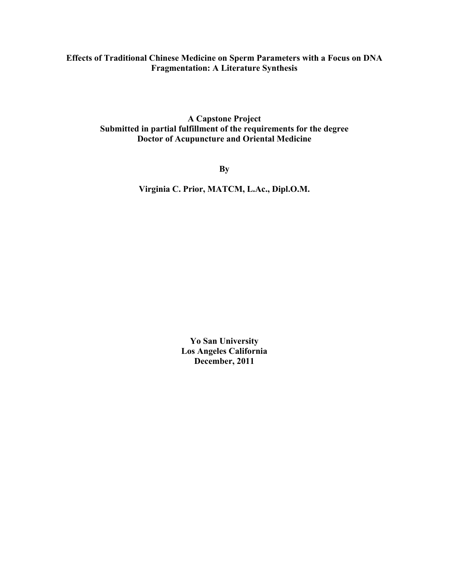## **Effects of Traditional Chinese Medicine on Sperm Parameters with a Focus on DNA Fragmentation: A Literature Synthesis**

**A Capstone Project Submitted in partial fulfillment of the requirements for the degree Doctor of Acupuncture and Oriental Medicine**

**By**

**Virginia C. Prior, MATCM, L.Ac., Dipl.O.M.**

**Yo San University Los Angeles California December, 2011**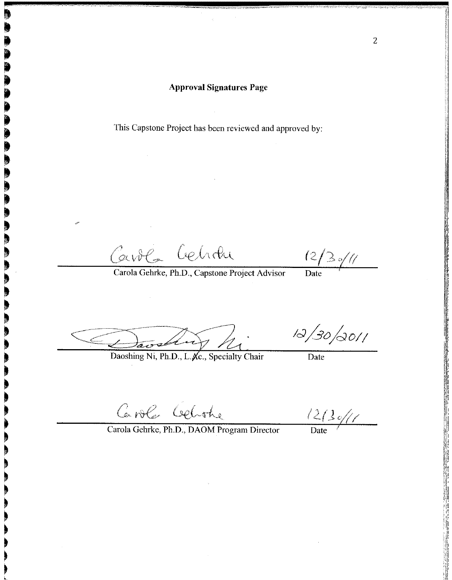This Capstone Project has been reviewed and approved by:

Carola Cehran

 $(2/3)/(1)$ 

Carola Gehrke, Ph.D., Capstone Project Advisor

 $\frac{1}{\text{Date}}$ 

Daoshing Ni, Ph.D., L. Ac., Specialty Chair

 $12/30/0011$ 

Date

Caroles Celothe

 $\frac{12}{2}$ 

Carola Gehrke, Ph.D., DAOM Program Director

 $\overline{2}$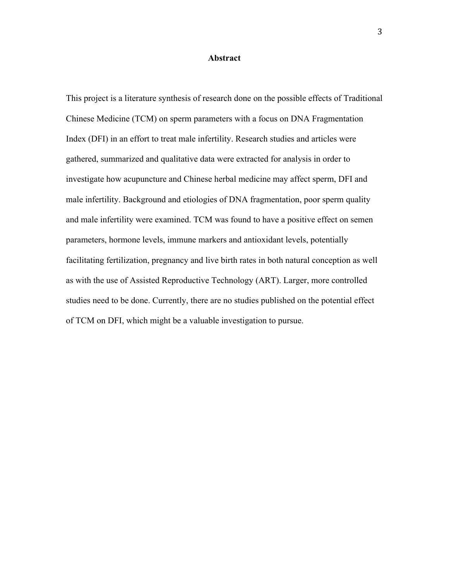#### **Abstract**

This project is a literature synthesis of research done on the possible effects of Traditional Chinese Medicine (TCM) on sperm parameters with a focus on DNA Fragmentation Index (DFI) in an effort to treat male infertility. Research studies and articles were gathered, summarized and qualitative data were extracted for analysis in order to investigate how acupuncture and Chinese herbal medicine may affect sperm, DFI and male infertility. Background and etiologies of DNA fragmentation, poor sperm quality and male infertility were examined. TCM was found to have a positive effect on semen parameters, hormone levels, immune markers and antioxidant levels, potentially facilitating fertilization, pregnancy and live birth rates in both natural conception as well as with the use of Assisted Reproductive Technology (ART). Larger, more controlled studies need to be done. Currently, there are no studies published on the potential effect of TCM on DFI, which might be a valuable investigation to pursue.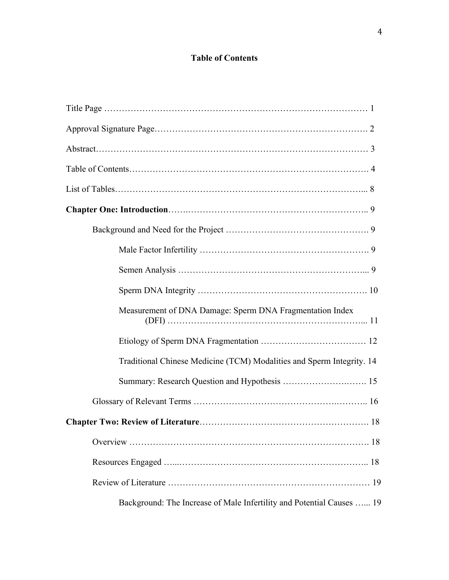# **Table of Contents**

| Measurement of DNA Damage: Sperm DNA Fragmentation Index              |
|-----------------------------------------------------------------------|
|                                                                       |
| Traditional Chinese Medicine (TCM) Modalities and Sperm Integrity. 14 |
|                                                                       |
|                                                                       |
|                                                                       |
|                                                                       |
|                                                                       |
|                                                                       |
| Background: The Increase of Male Infertility and Potential Causes  19 |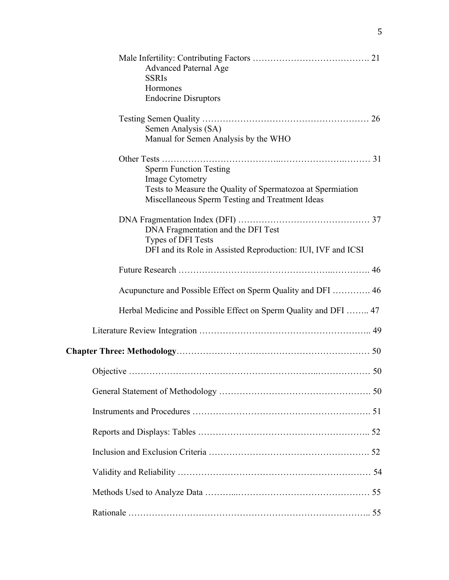| <b>Advanced Paternal Age</b><br><b>SSRIs</b><br>Hormones<br><b>Endocrine Disruptors</b>                                                                           |  |
|-------------------------------------------------------------------------------------------------------------------------------------------------------------------|--|
| Semen Analysis (SA)<br>Manual for Semen Analysis by the WHO                                                                                                       |  |
| <b>Sperm Function Testing</b><br>Image Cytometry<br>Tests to Measure the Quality of Spermatozoa at Spermiation<br>Miscellaneous Sperm Testing and Treatment Ideas |  |
| DNA Fragmentation and the DFI Test<br>Types of DFI Tests<br>DFI and its Role in Assisted Reproduction: IUI, IVF and ICSI                                          |  |
|                                                                                                                                                                   |  |
| Acupuncture and Possible Effect on Sperm Quality and DFI  46                                                                                                      |  |
| Herbal Medicine and Possible Effect on Sperm Quality and DFI  47                                                                                                  |  |
|                                                                                                                                                                   |  |
|                                                                                                                                                                   |  |
|                                                                                                                                                                   |  |
|                                                                                                                                                                   |  |
|                                                                                                                                                                   |  |
|                                                                                                                                                                   |  |
|                                                                                                                                                                   |  |
|                                                                                                                                                                   |  |
|                                                                                                                                                                   |  |
|                                                                                                                                                                   |  |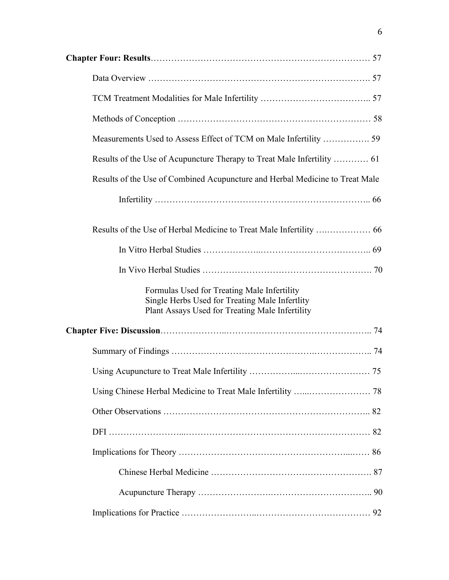| Results of the Use of Combined Acupuncture and Herbal Medicine to Treat Male                                                                     |  |
|--------------------------------------------------------------------------------------------------------------------------------------------------|--|
|                                                                                                                                                  |  |
|                                                                                                                                                  |  |
|                                                                                                                                                  |  |
|                                                                                                                                                  |  |
| Formulas Used for Treating Male Infertility<br>Single Herbs Used for Treating Male Infertlity<br>Plant Assays Used for Treating Male Infertility |  |
|                                                                                                                                                  |  |
|                                                                                                                                                  |  |
|                                                                                                                                                  |  |
|                                                                                                                                                  |  |
|                                                                                                                                                  |  |
|                                                                                                                                                  |  |
|                                                                                                                                                  |  |
|                                                                                                                                                  |  |
|                                                                                                                                                  |  |
|                                                                                                                                                  |  |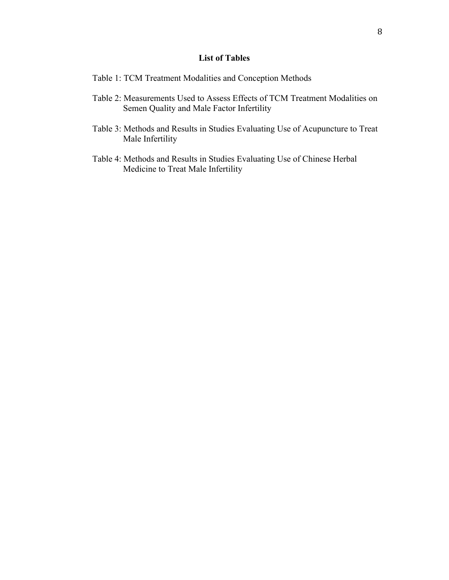## **List of Tables**

- Table 1: TCM Treatment Modalities and Conception Methods
- Table 2: Measurements Used to Assess Effects of TCM Treatment Modalities on Semen Quality and Male Factor Infertility
- Table 3: Methods and Results in Studies Evaluating Use of Acupuncture to Treat Male Infertility
- Table 4: Methods and Results in Studies Evaluating Use of Chinese Herbal Medicine to Treat Male Infertility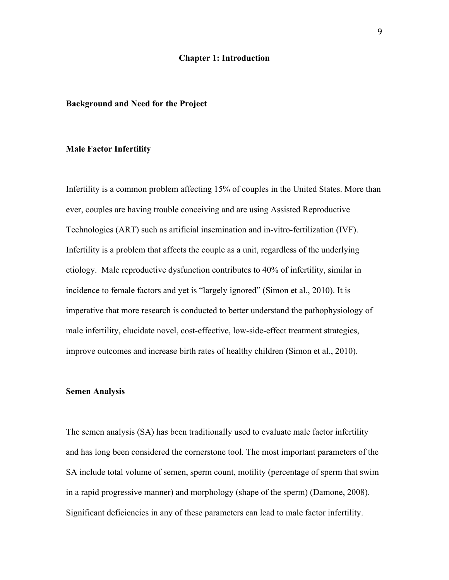#### **Chapter 1: Introduction**

#### **Background and Need for the Project**

#### **Male Factor Infertility**

Infertility is a common problem affecting 15% of couples in the United States. More than ever, couples are having trouble conceiving and are using Assisted Reproductive Technologies (ART) such as artificial insemination and in-vitro-fertilization (IVF). Infertility is a problem that affects the couple as a unit, regardless of the underlying etiology. Male reproductive dysfunction contributes to 40% of infertility, similar in incidence to female factors and yet is "largely ignored" (Simon et al., 2010). It is imperative that more research is conducted to better understand the pathophysiology of male infertility, elucidate novel, cost-effective, low-side-effect treatment strategies, improve outcomes and increase birth rates of healthy children (Simon et al., 2010).

## **Semen Analysis**

The semen analysis (SA) has been traditionally used to evaluate male factor infertility and has long been considered the cornerstone tool. The most important parameters of the SA include total volume of semen, sperm count, motility (percentage of sperm that swim in a rapid progressive manner) and morphology (shape of the sperm) (Damone, 2008). Significant deficiencies in any of these parameters can lead to male factor infertility.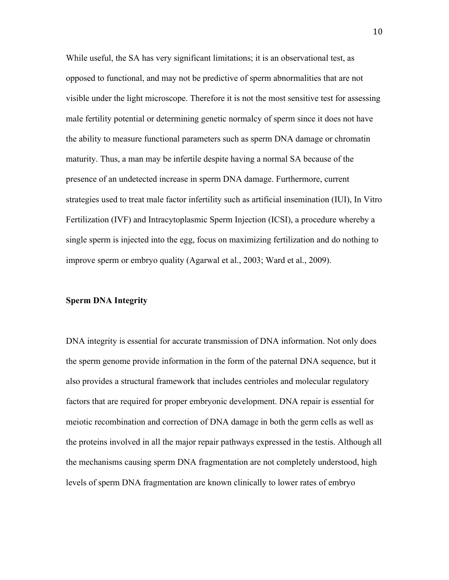While useful, the SA has very significant limitations; it is an observational test, as opposed to functional, and may not be predictive of sperm abnormalities that are not visible under the light microscope. Therefore it is not the most sensitive test for assessing male fertility potential or determining genetic normalcy of sperm since it does not have the ability to measure functional parameters such as sperm DNA damage or chromatin maturity. Thus, a man may be infertile despite having a normal SA because of the presence of an undetected increase in sperm DNA damage. Furthermore, current strategies used to treat male factor infertility such as artificial insemination (IUI), In Vitro Fertilization (IVF) and Intracytoplasmic Sperm Injection (ICSI), a procedure whereby a single sperm is injected into the egg, focus on maximizing fertilization and do nothing to improve sperm or embryo quality (Agarwal et al., 2003; Ward et al., 2009).

## **Sperm DNA Integrity**

DNA integrity is essential for accurate transmission of DNA information. Not only does the sperm genome provide information in the form of the paternal DNA sequence, but it also provides a structural framework that includes centrioles and molecular regulatory factors that are required for proper embryonic development. DNA repair is essential for meiotic recombination and correction of DNA damage in both the germ cells as well as the proteins involved in all the major repair pathways expressed in the testis. Although all the mechanisms causing sperm DNA fragmentation are not completely understood, high levels of sperm DNA fragmentation are known clinically to lower rates of embryo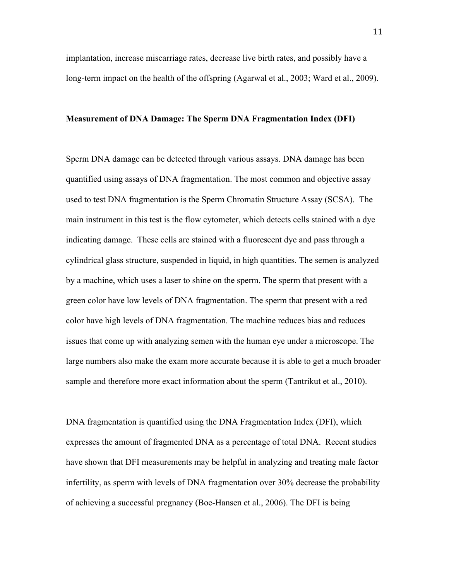implantation, increase miscarriage rates, decrease live birth rates, and possibly have a long-term impact on the health of the offspring (Agarwal et al., 2003; Ward et al., 2009).

#### **Measurement of DNA Damage: The Sperm DNA Fragmentation Index (DFI)**

Sperm DNA damage can be detected through various assays. DNA damage has been quantified using assays of DNA fragmentation. The most common and objective assay used to test DNA fragmentation is the Sperm Chromatin Structure Assay (SCSA). The main instrument in this test is the flow cytometer, which detects cells stained with a dye indicating damage. These cells are stained with a fluorescent dye and pass through a cylindrical glass structure, suspended in liquid, in high quantities. The semen is analyzed by a machine, which uses a laser to shine on the sperm. The sperm that present with a green color have low levels of DNA fragmentation. The sperm that present with a red color have high levels of DNA fragmentation. The machine reduces bias and reduces issues that come up with analyzing semen with the human eye under a microscope. The large numbers also make the exam more accurate because it is able to get a much broader sample and therefore more exact information about the sperm (Tantrikut et al., 2010).

DNA fragmentation is quantified using the DNA Fragmentation Index (DFI), which expresses the amount of fragmented DNA as a percentage of total DNA. Recent studies have shown that DFI measurements may be helpful in analyzing and treating male factor infertility, as sperm with levels of DNA fragmentation over 30% decrease the probability of achieving a successful pregnancy (Boe-Hansen et al., 2006). The DFI is being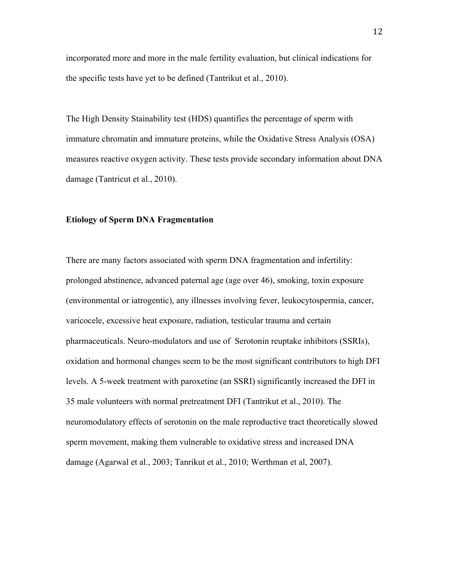incorporated more and more in the male fertility evaluation, but clinical indications for the specific tests have yet to be defined (Tantrikut et al., 2010).

The High Density Stainability test (HDS) quantifies the percentage of sperm with immature chromatin and immature proteins, while the Oxidative Stress Analysis (OSA) measures reactive oxygen activity. These tests provide secondary information about DNA damage (Tantricut et al., 2010).

## **Etiology of Sperm DNA Fragmentation**

There are many factors associated with sperm DNA fragmentation and infertility: prolonged abstinence, advanced paternal age (age over 46), smoking, toxin exposure (environmental or iatrogentic), any illnesses involving fever, leukocytospermia, cancer, varicocele, excessive heat exposure, radiation, testicular trauma and certain pharmaceuticals. Neuro-modulators and use of Serotonin reuptake inhibitors (SSRIs), oxidation and hormonal changes seem to be the most significant contributors to high DFI levels. A 5-week treatment with paroxetine (an SSRI) significantly increased the DFI in 35 male volunteers with normal pretreatment DFI (Tantrikut et al., 2010). The neuromodulatory effects of serotonin on the male reproductive tract theoretically slowed sperm movement, making them vulnerable to oxidative stress and increased DNA damage (Agarwal et al., 2003; Tanrikut et al., 2010; Werthman et al, 2007).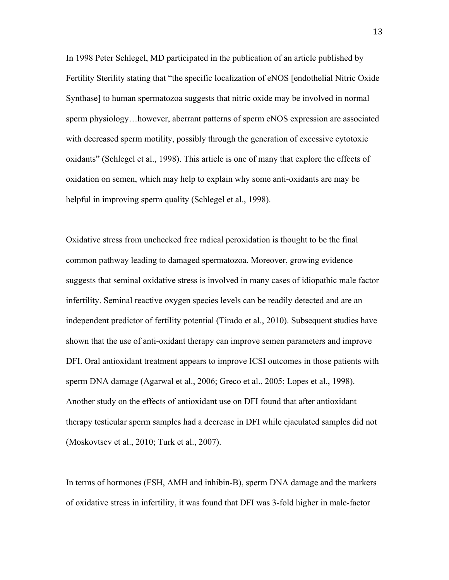In 1998 Peter Schlegel, MD participated in the publication of an article published by Fertility Sterility stating that "the specific localization of eNOS [endothelial Nitric Oxide Synthase] to human spermatozoa suggests that nitric oxide may be involved in normal sperm physiology…however, aberrant patterns of sperm eNOS expression are associated with decreased sperm motility, possibly through the generation of excessive cytotoxic oxidants" (Schlegel et al., 1998). This article is one of many that explore the effects of oxidation on semen, which may help to explain why some anti-oxidants are may be helpful in improving sperm quality (Schlegel et al., 1998).

Oxidative stress from unchecked free radical peroxidation is thought to be the final common pathway leading to damaged spermatozoa. Moreover, growing evidence suggests that seminal oxidative stress is involved in many cases of idiopathic male factor infertility. Seminal reactive oxygen species levels can be readily detected and are an independent predictor of fertility potential (Tirado et al., 2010). Subsequent studies have shown that the use of anti-oxidant therapy can improve semen parameters and improve DFI. Oral antioxidant treatment appears to improve ICSI outcomes in those patients with sperm DNA damage (Agarwal et al., 2006; Greco et al., 2005; Lopes et al., 1998). Another study on the effects of antioxidant use on DFI found that after antioxidant therapy testicular sperm samples had a decrease in DFI while ejaculated samples did not (Moskovtsev et al., 2010; Turk et al., 2007).

In terms of hormones (FSH, AMH and inhibin-B), sperm DNA damage and the markers of oxidative stress in infertility, it was found that DFI was 3-fold higher in male-factor

13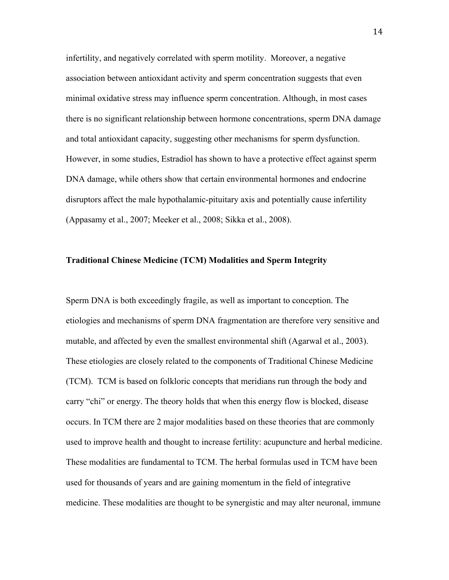infertility, and negatively correlated with sperm motility. Moreover, a negative association between antioxidant activity and sperm concentration suggests that even minimal oxidative stress may influence sperm concentration. Although, in most cases there is no significant relationship between hormone concentrations, sperm DNA damage and total antioxidant capacity, suggesting other mechanisms for sperm dysfunction. However, in some studies, Estradiol has shown to have a protective effect against sperm DNA damage, while others show that certain environmental hormones and endocrine disruptors affect the male hypothalamic-pituitary axis and potentially cause infertility (Appasamy et al., 2007; Meeker et al., 2008; Sikka et al., 2008).

## **Traditional Chinese Medicine (TCM) Modalities and Sperm Integrity**

Sperm DNA is both exceedingly fragile, as well as important to conception. The etiologies and mechanisms of sperm DNA fragmentation are therefore very sensitive and mutable, and affected by even the smallest environmental shift (Agarwal et al., 2003). These etiologies are closely related to the components of Traditional Chinese Medicine (TCM). TCM is based on folkloric concepts that meridians run through the body and carry "chi" or energy. The theory holds that when this energy flow is blocked, disease occurs. In TCM there are 2 major modalities based on these theories that are commonly used to improve health and thought to increase fertility: acupuncture and herbal medicine. These modalities are fundamental to TCM. The herbal formulas used in TCM have been used for thousands of years and are gaining momentum in the field of integrative medicine. These modalities are thought to be synergistic and may alter neuronal, immune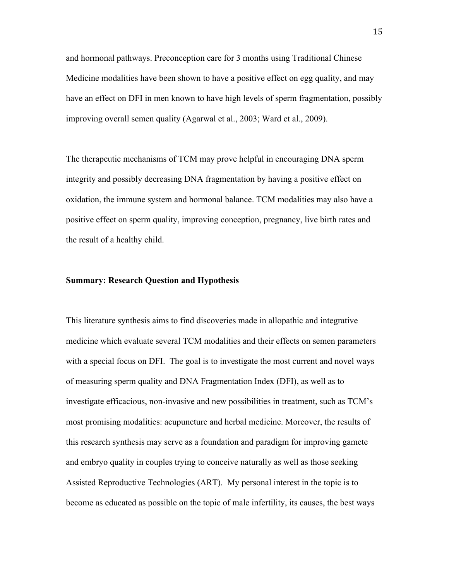and hormonal pathways. Preconception care for 3 months using Traditional Chinese Medicine modalities have been shown to have a positive effect on egg quality, and may have an effect on DFI in men known to have high levels of sperm fragmentation, possibly improving overall semen quality (Agarwal et al., 2003; Ward et al., 2009).

The therapeutic mechanisms of TCM may prove helpful in encouraging DNA sperm integrity and possibly decreasing DNA fragmentation by having a positive effect on oxidation, the immune system and hormonal balance. TCM modalities may also have a positive effect on sperm quality, improving conception, pregnancy, live birth rates and the result of a healthy child.

#### **Summary: Research Question and Hypothesis**

This literature synthesis aims to find discoveries made in allopathic and integrative medicine which evaluate several TCM modalities and their effects on semen parameters with a special focus on DFI. The goal is to investigate the most current and novel ways of measuring sperm quality and DNA Fragmentation Index (DFI), as well as to investigate efficacious, non-invasive and new possibilities in treatment, such as TCM's most promising modalities: acupuncture and herbal medicine. Moreover, the results of this research synthesis may serve as a foundation and paradigm for improving gamete and embryo quality in couples trying to conceive naturally as well as those seeking Assisted Reproductive Technologies (ART). My personal interest in the topic is to become as educated as possible on the topic of male infertility, its causes, the best ways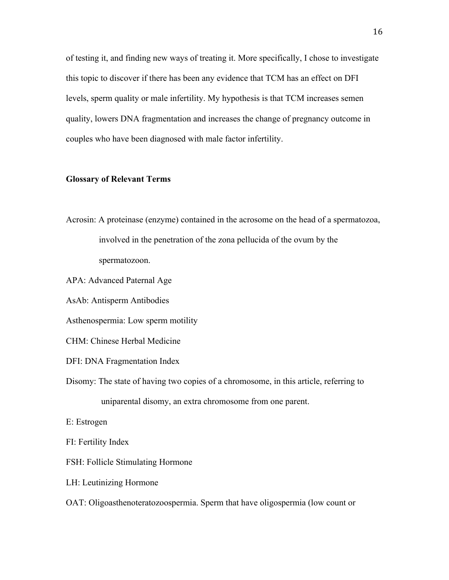of testing it, and finding new ways of treating it. More specifically, I chose to investigate this topic to discover if there has been any evidence that TCM has an effect on DFI levels, sperm quality or male infertility. My hypothesis is that TCM increases semen quality, lowers DNA fragmentation and increases the change of pregnancy outcome in couples who have been diagnosed with male factor infertility.

## **Glossary of Relevant Terms**

Acrosin: A proteinase (enzyme) contained in the acrosome on the head of a spermatozoa, involved in the penetration of the zona pellucida of the ovum by the spermatozoon.

APA: Advanced Paternal Age

AsAb: Antisperm Antibodies

Asthenospermia: Low sperm motility

CHM: Chinese Herbal Medicine

DFI: DNA Fragmentation Index

Disomy: The state of having two copies of a chromosome, in this article, referring to uniparental disomy, an extra chromosome from one parent.

E: Estrogen

FI: Fertility Index

FSH: Follicle Stimulating Hormone

LH: Leutinizing Hormone

OAT: Oligoasthenoteratozoospermia. Sperm that have oligospermia (low count or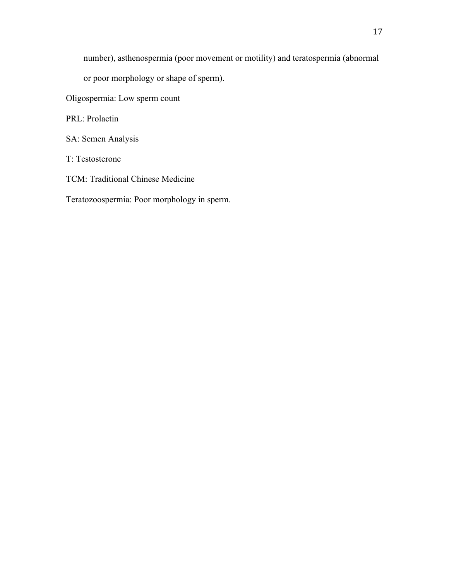number), asthenospermia (poor movement or motility) and teratospermia (abnormal

or poor morphology or shape of sperm).

Oligospermia: Low sperm count

PRL: Prolactin

SA: Semen Analysis

T: Testosterone

TCM: Traditional Chinese Medicine

Teratozoospermia: Poor morphology in sperm.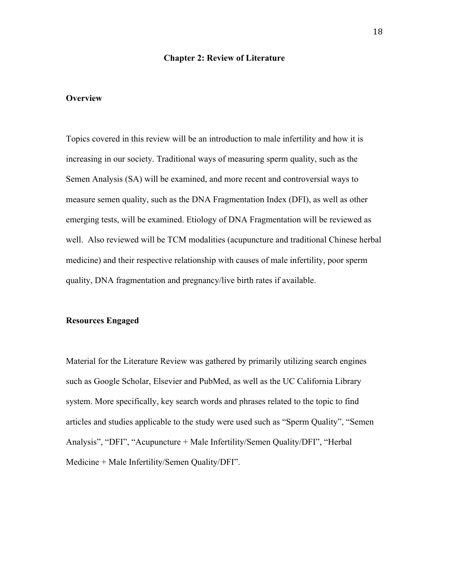#### **Chapter 2: Review of Literature**

## **Overview**

Topics covered in this review will be an introduction to male infertility and how it is increasing in our society. Traditional ways of measuring sperm quality, such as the Semen Analysis (SA) will be examined, and more recent and controversial ways to measure semen quality, such as the DNA Fragmentation Index (DFI), as well as other emerging tests, will be examined. Etiology of DNA Fragmentation will be reviewed as well. Also reviewed will be TCM modalities (acupuncture and traditional Chinese herbal medicine) and their respective relationship with causes of male infertility, poor sperm quality, DNA fragmentation and pregnancy/live birth rates if available.

## **Resources Engaged**

Material for the Literature Review was gathered by primarily utilizing search engines such as Google Scholar, Elsevier and PubMed, as well as the UC California Library system. More specifically, key search words and phrases related to the topic to find articles and studies applicable to the study were used such as "Sperm Quality", "Semen Analysis", "DFI", "Acupuncture + Male Infertility/Semen Quality/DFI", "Herbal Medicine + Male Infertility/Semen Quality/DFI".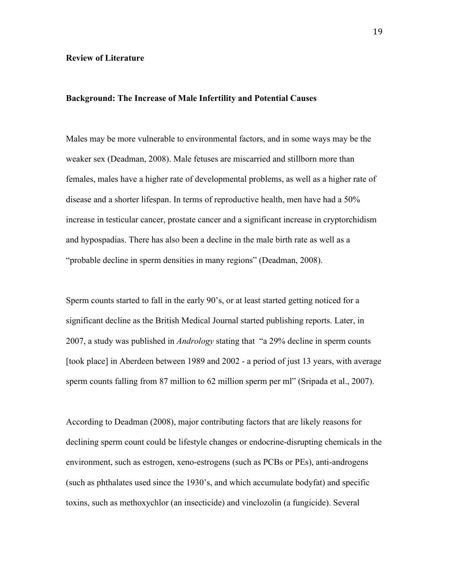#### **Review of Literature**

## **Background: The Increase of Male Infertility and Potential Causes**

Males may be more vulnerable to environmental factors, and in some ways may be the weaker sex (Deadman, 2008). Male fetuses are miscarried and stillborn more than females, males have a higher rate of developmental problems, as well as a higher rate of disease and a shorter lifespan. In terms of reproductive health, men have had a 50% increase in testicular cancer, prostate cancer and a significant increase in cryptorchidism and hypospadias. There has also been a decline in the male birth rate as well as a "probable decline in sperm densities in many regions" (Deadman, 2008).

Sperm counts started to fall in the early 90's, or at least started getting noticed for a significant decline as the British Medical Journal started publishing reports. Later, in 2007, a study was published in *Andrology* stating that "a 29% decline in sperm counts [took place] in Aberdeen between 1989 and 2002 - a period of just 13 years, with average sperm counts falling from 87 million to 62 million sperm per ml" (Sripada et al., 2007).

According to Deadman (2008), major contributing factors that are likely reasons for declining sperm count could be lifestyle changes or endocrine-disrupting chemicals in the environment, such as estrogen, xeno-estrogens (such as PCBs or PEs), anti-androgens (such as phthalates used since the 1930's, and which accumulate bodyfat) and specific toxins, such as methoxychlor (an insecticide) and vinclozolin (a fungicide). Several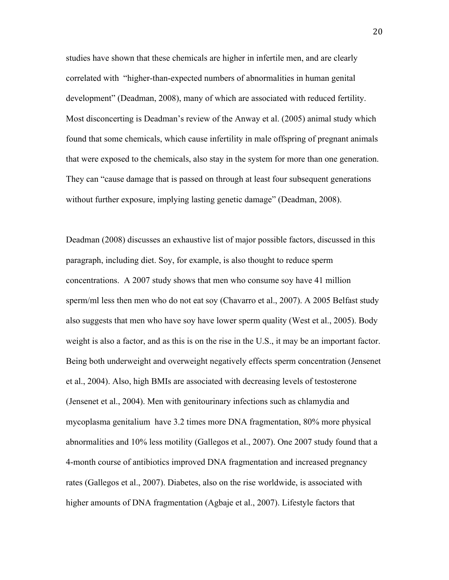studies have shown that these chemicals are higher in infertile men, and are clearly correlated with "higher-than-expected numbers of abnormalities in human genital development" (Deadman, 2008), many of which are associated with reduced fertility. Most disconcerting is Deadman's review of the Anway et al. (2005) animal study which found that some chemicals, which cause infertility in male offspring of pregnant animals that were exposed to the chemicals, also stay in the system for more than one generation. They can "cause damage that is passed on through at least four subsequent generations without further exposure, implying lasting genetic damage" (Deadman, 2008).

Deadman (2008) discusses an exhaustive list of major possible factors, discussed in this paragraph, including diet. Soy, for example, is also thought to reduce sperm concentrations. A 2007 study shows that men who consume soy have 41 million sperm/ml less then men who do not eat soy (Chavarro et al., 2007). A 2005 Belfast study also suggests that men who have soy have lower sperm quality (West et al., 2005). Body weight is also a factor, and as this is on the rise in the U.S., it may be an important factor. Being both underweight and overweight negatively effects sperm concentration (Jensenet et al., 2004). Also, high BMIs are associated with decreasing levels of testosterone (Jensenet et al., 2004). Men with genitourinary infections such as chlamydia and mycoplasma genitalium have 3.2 times more DNA fragmentation, 80% more physical abnormalities and 10% less motility (Gallegos et al., 2007). One 2007 study found that a 4-month course of antibiotics improved DNA fragmentation and increased pregnancy rates (Gallegos et al., 2007). Diabetes, also on the rise worldwide, is associated with higher amounts of DNA fragmentation (Agbaje et al., 2007). Lifestyle factors that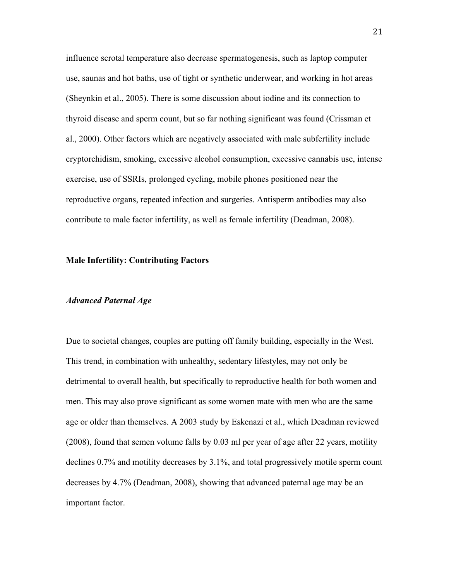influence scrotal temperature also decrease spermatogenesis, such as laptop computer use, saunas and hot baths, use of tight or synthetic underwear, and working in hot areas (Sheynkin et al., 2005). There is some discussion about iodine and its connection to thyroid disease and sperm count, but so far nothing significant was found (Crissman et al., 2000). Other factors which are negatively associated with male subfertility include cryptorchidism, smoking, excessive alcohol consumption, excessive cannabis use, intense exercise, use of SSRIs, prolonged cycling, mobile phones positioned near the reproductive organs, repeated infection and surgeries. Antisperm antibodies may also contribute to male factor infertility, as well as female infertility (Deadman, 2008).

## **Male Infertility: Contributing Factors**

## *Advanced Paternal Age*

Due to societal changes, couples are putting off family building, especially in the West. This trend, in combination with unhealthy, sedentary lifestyles, may not only be detrimental to overall health, but specifically to reproductive health for both women and men. This may also prove significant as some women mate with men who are the same age or older than themselves. A 2003 study by Eskenazi et al., which Deadman reviewed (2008), found that semen volume falls by 0.03 ml per year of age after 22 years, motility declines 0.7% and motility decreases by 3.1%, and total progressively motile sperm count decreases by 4.7% (Deadman, 2008), showing that advanced paternal age may be an important factor.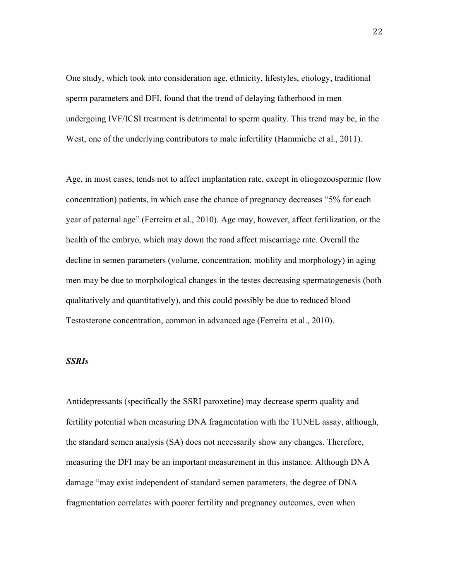One study, which took into consideration age, ethnicity, lifestyles, etiology, traditional sperm parameters and DFI, found that the trend of delaying fatherhood in men undergoing IVF/ICSI treatment is detrimental to sperm quality. This trend may be, in the West, one of the underlying contributors to male infertility (Hammiche et al., 2011).

Age, in most cases, tends not to affect implantation rate, except in oliogozoospermic (low concentration) patients, in which case the chance of pregnancy decreases "5% for each year of paternal age" (Ferreira et al., 2010). Age may, however, affect fertilization, or the health of the embryo, which may down the road affect miscarriage rate. Overall the decline in semen parameters (volume, concentration, motility and morphology) in aging men may be due to morphological changes in the testes decreasing spermatogenesis (both qualitatively and quantitatively), and this could possibly be due to reduced blood Testosterone concentration, common in advanced age (Ferreira et al., 2010).

## *SSRIs*

Antidepressants (specifically the SSRI paroxetine) may decrease sperm quality and fertility potential when measuring DNA fragmentation with the TUNEL assay, although, the standard semen analysis (SA) does not necessarily show any changes. Therefore, measuring the DFI may be an important measurement in this instance. Although DNA damage "may exist independent of standard semen parameters, the degree of DNA fragmentation correlates with poorer fertility and pregnancy outcomes, even when

22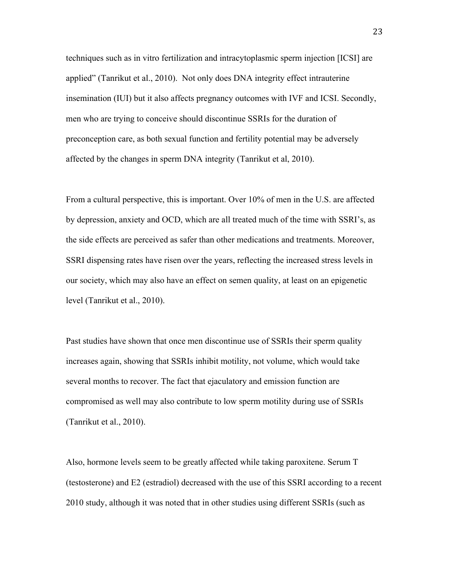techniques such as in vitro fertilization and intracytoplasmic sperm injection [ICSI] are applied" (Tanrikut et al., 2010). Not only does DNA integrity effect intrauterine insemination (IUI) but it also affects pregnancy outcomes with IVF and ICSI. Secondly, men who are trying to conceive should discontinue SSRIs for the duration of preconception care, as both sexual function and fertility potential may be adversely affected by the changes in sperm DNA integrity (Tanrikut et al, 2010).

From a cultural perspective, this is important. Over 10% of men in the U.S. are affected by depression, anxiety and OCD, which are all treated much of the time with SSRI's, as the side effects are perceived as safer than other medications and treatments. Moreover, SSRI dispensing rates have risen over the years, reflecting the increased stress levels in our society, which may also have an effect on semen quality, at least on an epigenetic level (Tanrikut et al., 2010).

Past studies have shown that once men discontinue use of SSRIs their sperm quality increases again, showing that SSRIs inhibit motility, not volume, which would take several months to recover. The fact that ejaculatory and emission function are compromised as well may also contribute to low sperm motility during use of SSRIs (Tanrikut et al., 2010).

Also, hormone levels seem to be greatly affected while taking paroxitene. Serum T (testosterone) and E2 (estradiol) decreased with the use of this SSRI according to a recent 2010 study, although it was noted that in other studies using different SSRIs (such as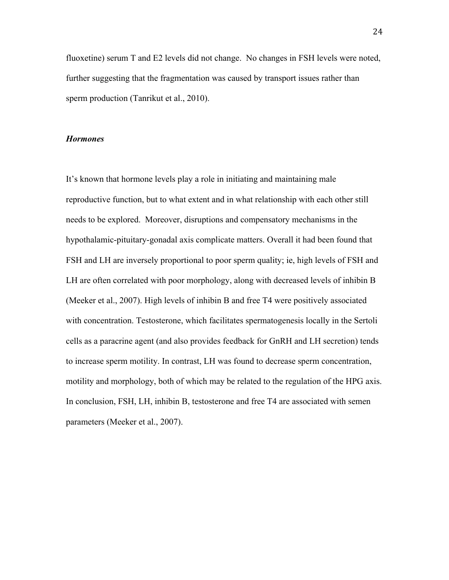fluoxetine) serum T and E2 levels did not change. No changes in FSH levels were noted, further suggesting that the fragmentation was caused by transport issues rather than sperm production (Tanrikut et al., 2010).

#### *Hormones*

It's known that hormone levels play a role in initiating and maintaining male reproductive function, but to what extent and in what relationship with each other still needs to be explored. Moreover, disruptions and compensatory mechanisms in the hypothalamic-pituitary-gonadal axis complicate matters. Overall it had been found that FSH and LH are inversely proportional to poor sperm quality; ie, high levels of FSH and LH are often correlated with poor morphology, along with decreased levels of inhibin B (Meeker et al., 2007). High levels of inhibin B and free T4 were positively associated with concentration. Testosterone, which facilitates spermatogenesis locally in the Sertoli cells as a paracrine agent (and also provides feedback for GnRH and LH secretion) tends to increase sperm motility. In contrast, LH was found to decrease sperm concentration, motility and morphology, both of which may be related to the regulation of the HPG axis. In conclusion, FSH, LH, inhibin B, testosterone and free T4 are associated with semen parameters (Meeker et al., 2007).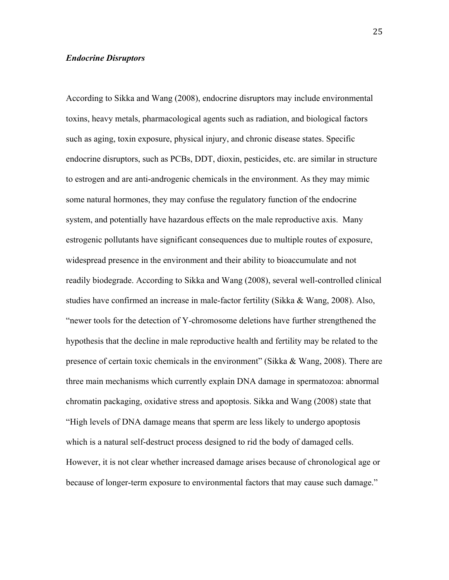## *Endocrine Disruptors*

According to Sikka and Wang (2008), endocrine disruptors may include environmental toxins, heavy metals, pharmacological agents such as radiation, and biological factors such as aging, toxin exposure, physical injury, and chronic disease states. Specific endocrine disruptors, such as PCBs, DDT, dioxin, pesticides, etc. are similar in structure to estrogen and are anti-androgenic chemicals in the environment. As they may mimic some natural hormones, they may confuse the regulatory function of the endocrine system, and potentially have hazardous effects on the male reproductive axis. Many estrogenic pollutants have significant consequences due to multiple routes of exposure, widespread presence in the environment and their ability to bioaccumulate and not readily biodegrade. According to Sikka and Wang (2008), several well-controlled clinical studies have confirmed an increase in male-factor fertility (Sikka & Wang, 2008). Also, "newer tools for the detection of Y-chromosome deletions have further strengthened the hypothesis that the decline in male reproductive health and fertility may be related to the presence of certain toxic chemicals in the environment" (Sikka & Wang, 2008). There are three main mechanisms which currently explain DNA damage in spermatozoa: abnormal chromatin packaging, oxidative stress and apoptosis. Sikka and Wang (2008) state that "High levels of DNA damage means that sperm are less likely to undergo apoptosis which is a natural self-destruct process designed to rid the body of damaged cells. However, it is not clear whether increased damage arises because of chronological age or because of longer-term exposure to environmental factors that may cause such damage."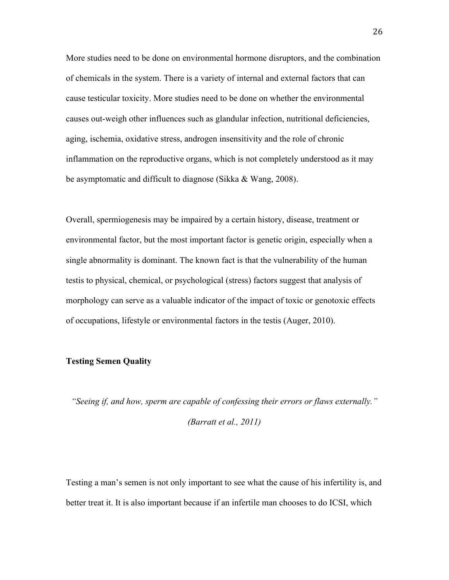More studies need to be done on environmental hormone disruptors, and the combination of chemicals in the system. There is a variety of internal and external factors that can cause testicular toxicity. More studies need to be done on whether the environmental causes out-weigh other influences such as glandular infection, nutritional deficiencies, aging, ischemia, oxidative stress, androgen insensitivity and the role of chronic inflammation on the reproductive organs, which is not completely understood as it may be asymptomatic and difficult to diagnose (Sikka & Wang, 2008).

Overall, spermiogenesis may be impaired by a certain history, disease, treatment or environmental factor, but the most important factor is genetic origin, especially when a single abnormality is dominant. The known fact is that the vulnerability of the human testis to physical, chemical, or psychological (stress) factors suggest that analysis of morphology can serve as a valuable indicator of the impact of toxic or genotoxic effects of occupations, lifestyle or environmental factors in the testis (Auger, 2010).

## **Testing Semen Quality**

*"Seeing if, and how, sperm are capable of confessing their errors or flaws externally."* 

*(Barratt et al., 2011)*

Testing a man's semen is not only important to see what the cause of his infertility is, and better treat it. It is also important because if an infertile man chooses to do ICSI, which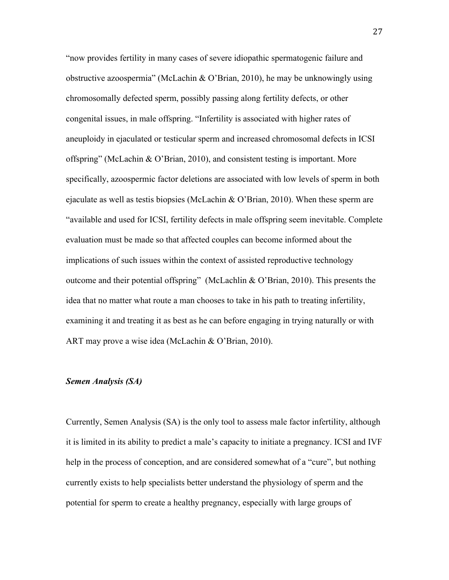"now provides fertility in many cases of severe idiopathic spermatogenic failure and obstructive azoospermia" (McLachin & O'Brian, 2010), he may be unknowingly using chromosomally defected sperm, possibly passing along fertility defects, or other congenital issues, in male offspring. "Infertility is associated with higher rates of aneuploidy in ejaculated or testicular sperm and increased chromosomal defects in ICSI offspring" (McLachin & O'Brian, 2010), and consistent testing is important. More specifically, azoospermic factor deletions are associated with low levels of sperm in both ejaculate as well as testis biopsies (McLachin & O'Brian, 2010). When these sperm are "available and used for ICSI, fertility defects in male offspring seem inevitable. Complete evaluation must be made so that affected couples can become informed about the implications of such issues within the context of assisted reproductive technology outcome and their potential offspring" (McLachlin & O'Brian, 2010). This presents the idea that no matter what route a man chooses to take in his path to treating infertility, examining it and treating it as best as he can before engaging in trying naturally or with ART may prove a wise idea (McLachin & O'Brian, 2010).

## *Semen Analysis (SA)*

Currently, Semen Analysis (SA) is the only tool to assess male factor infertility, although it is limited in its ability to predict a male's capacity to initiate a pregnancy. ICSI and IVF help in the process of conception, and are considered somewhat of a "cure", but nothing currently exists to help specialists better understand the physiology of sperm and the potential for sperm to create a healthy pregnancy, especially with large groups of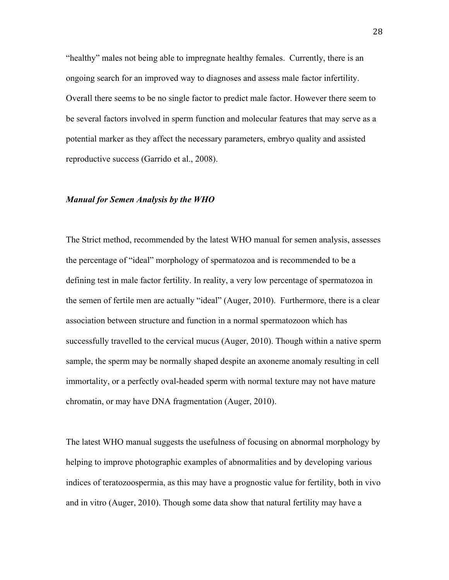"healthy" males not being able to impregnate healthy females. Currently, there is an ongoing search for an improved way to diagnoses and assess male factor infertility. Overall there seems to be no single factor to predict male factor. However there seem to be several factors involved in sperm function and molecular features that may serve as a potential marker as they affect the necessary parameters, embryo quality and assisted reproductive success (Garrido et al., 2008).

## *Manual for Semen Analysis by the WHO*

The Strict method, recommended by the latest WHO manual for semen analysis, assesses the percentage of "ideal" morphology of spermatozoa and is recommended to be a defining test in male factor fertility. In reality, a very low percentage of spermatozoa in the semen of fertile men are actually "ideal" (Auger, 2010). Furthermore, there is a clear association between structure and function in a normal spermatozoon which has successfully travelled to the cervical mucus (Auger, 2010). Though within a native sperm sample, the sperm may be normally shaped despite an axoneme anomaly resulting in cell immortality, or a perfectly oval-headed sperm with normal texture may not have mature chromatin, or may have DNA fragmentation (Auger, 2010).

The latest WHO manual suggests the usefulness of focusing on abnormal morphology by helping to improve photographic examples of abnormalities and by developing various indices of teratozoospermia, as this may have a prognostic value for fertility, both in vivo and in vitro (Auger, 2010). Though some data show that natural fertility may have a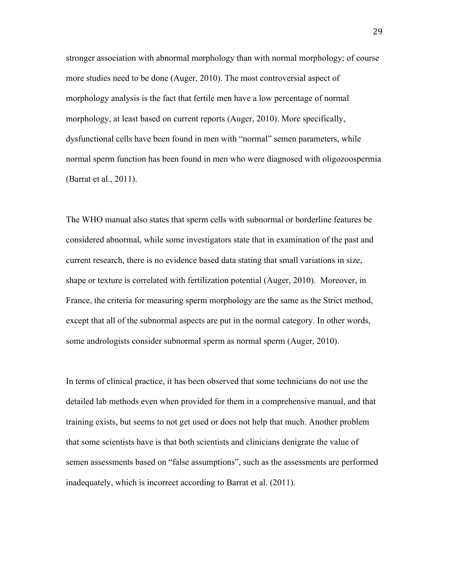stronger association with abnormal morphology than with normal morphology; of course more studies need to be done (Auger, 2010). The most controversial aspect of morphology analysis is the fact that fertile men have a low percentage of normal morphology, at least based on current reports (Auger, 2010). More specifically, dysfunctional cells have been found in men with "normal" semen parameters, while normal sperm function has been found in men who were diagnosed with oligozoospermia (Barrat et al., 2011).

The WHO manual also states that sperm cells with subnormal or borderline features be considered abnormal, while some investigators state that in examination of the past and current research, there is no evidence based data stating that small variations in size, shape or texture is correlated with fertilization potential (Auger, 2010). Moreover, in France, the criteria for measuring sperm morphology are the same as the Strict method, except that all of the subnormal aspects are put in the normal category. In other words, some andrologists consider subnormal sperm as normal sperm (Auger, 2010).

In terms of clinical practice, it has been observed that some technicians do not use the detailed lab methods even when provided for them in a comprehensive manual, and that training exists, but seems to not get used or does not help that much. Another problem that some scientists have is that both scientists and clinicians denigrate the value of semen assessments based on "false assumptions", such as the assessments are performed inadequately, which is incorrect according to Barrat et al. (2011).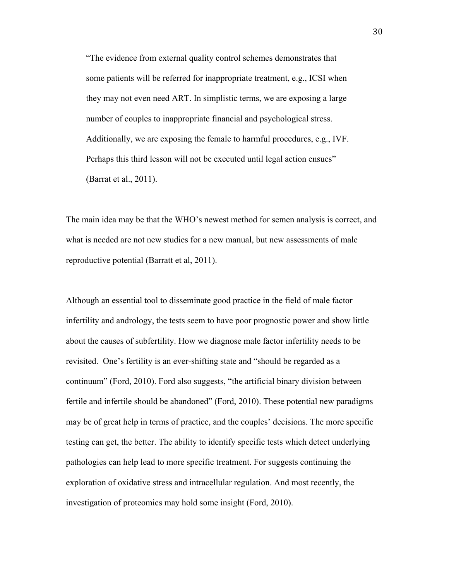"The evidence from external quality control schemes demonstrates that some patients will be referred for inappropriate treatment, e.g., ICSI when they may not even need ART. In simplistic terms, we are exposing a large number of couples to inappropriate financial and psychological stress. Additionally, we are exposing the female to harmful procedures, e.g., IVF. Perhaps this third lesson will not be executed until legal action ensues" (Barrat et al., 2011).

The main idea may be that the WHO's newest method for semen analysis is correct, and what is needed are not new studies for a new manual, but new assessments of male reproductive potential (Barratt et al, 2011).

Although an essential tool to disseminate good practice in the field of male factor infertility and andrology, the tests seem to have poor prognostic power and show little about the causes of subfertility. How we diagnose male factor infertility needs to be revisited. One's fertility is an ever-shifting state and "should be regarded as a continuum" (Ford, 2010). Ford also suggests, "the artificial binary division between fertile and infertile should be abandoned" (Ford, 2010). These potential new paradigms may be of great help in terms of practice, and the couples' decisions. The more specific testing can get, the better. The ability to identify specific tests which detect underlying pathologies can help lead to more specific treatment. For suggests continuing the exploration of oxidative stress and intracellular regulation. And most recently, the investigation of proteomics may hold some insight (Ford, 2010).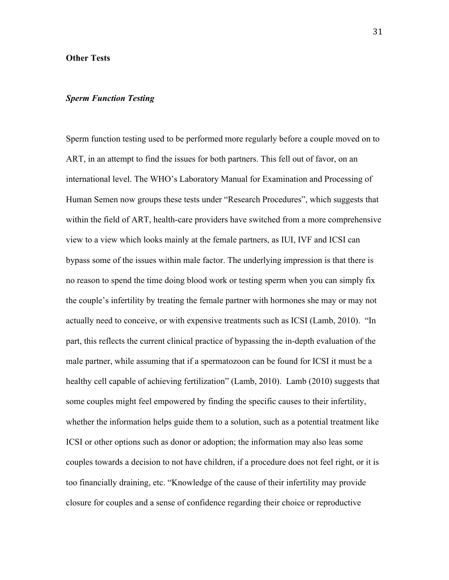## **Other Tests**

## *Sperm Function Testing*

Sperm function testing used to be performed more regularly before a couple moved on to ART, in an attempt to find the issues for both partners. This fell out of favor, on an international level. The WHO's Laboratory Manual for Examination and Processing of Human Semen now groups these tests under "Research Procedures", which suggests that within the field of ART, health-care providers have switched from a more comprehensive view to a view which looks mainly at the female partners, as IUI, IVF and ICSI can bypass some of the issues within male factor. The underlying impression is that there is no reason to spend the time doing blood work or testing sperm when you can simply fix the couple's infertility by treating the female partner with hormones she may or may not actually need to conceive, or with expensive treatments such as ICSI (Lamb, 2010). "In part, this reflects the current clinical practice of bypassing the in-depth evaluation of the male partner, while assuming that if a spermatozoon can be found for ICSI it must be a healthy cell capable of achieving fertilization" (Lamb, 2010). Lamb (2010) suggests that some couples might feel empowered by finding the specific causes to their infertility, whether the information helps guide them to a solution, such as a potential treatment like ICSI or other options such as donor or adoption; the information may also leas some couples towards a decision to not have children, if a procedure does not feel right, or it is too financially draining, etc. "Knowledge of the cause of their infertility may provide closure for couples and a sense of confidence regarding their choice or reproductive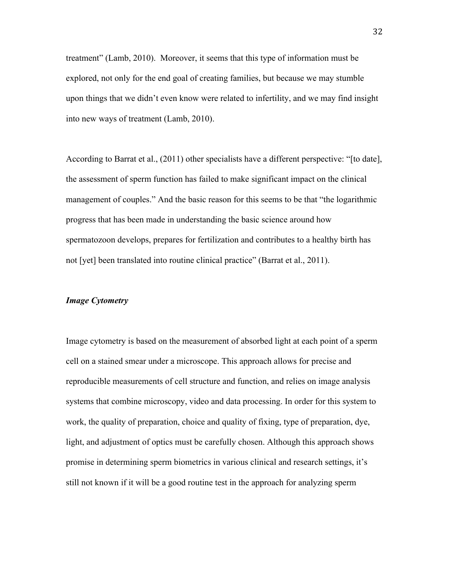treatment" (Lamb, 2010). Moreover, it seems that this type of information must be explored, not only for the end goal of creating families, but because we may stumble upon things that we didn't even know were related to infertility, and we may find insight into new ways of treatment (Lamb, 2010).

According to Barrat et al., (2011) other specialists have a different perspective: "[to date], the assessment of sperm function has failed to make significant impact on the clinical management of couples." And the basic reason for this seems to be that "the logarithmic progress that has been made in understanding the basic science around how spermatozoon develops, prepares for fertilization and contributes to a healthy birth has not [yet] been translated into routine clinical practice" (Barrat et al., 2011).

## *Image Cytometry*

Image cytometry is based on the measurement of absorbed light at each point of a sperm cell on a stained smear under a microscope. This approach allows for precise and reproducible measurements of cell structure and function, and relies on image analysis systems that combine microscopy, video and data processing. In order for this system to work, the quality of preparation, choice and quality of fixing, type of preparation, dye, light, and adjustment of optics must be carefully chosen. Although this approach shows promise in determining sperm biometrics in various clinical and research settings, it's still not known if it will be a good routine test in the approach for analyzing sperm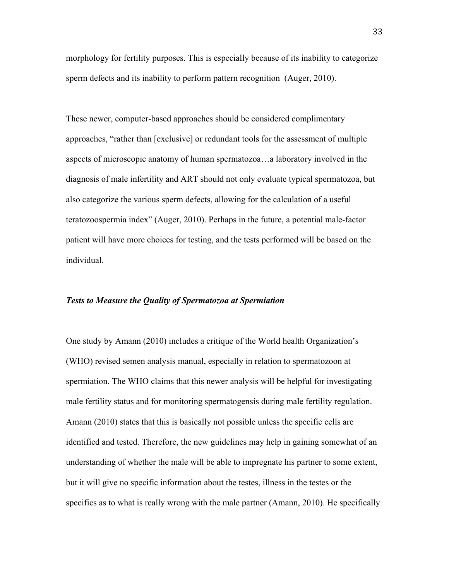morphology for fertility purposes. This is especially because of its inability to categorize sperm defects and its inability to perform pattern recognition (Auger, 2010).

These newer, computer-based approaches should be considered complimentary approaches, "rather than [exclusive] or redundant tools for the assessment of multiple aspects of microscopic anatomy of human spermatozoa…a laboratory involved in the diagnosis of male infertility and ART should not only evaluate typical spermatozoa, but also categorize the various sperm defects, allowing for the calculation of a useful teratozoospermia index" (Auger, 2010). Perhaps in the future, a potential male-factor patient will have more choices for testing, and the tests performed will be based on the individual.

## *Tests to Measure the Quality of Spermatozoa at Spermiation*

One study by Amann (2010) includes a critique of the World health Organization's (WHO) revised semen analysis manual, especially in relation to spermatozoon at spermiation. The WHO claims that this newer analysis will be helpful for investigating male fertility status and for monitoring spermatogensis during male fertility regulation. Amann (2010) states that this is basically not possible unless the specific cells are identified and tested. Therefore, the new guidelines may help in gaining somewhat of an understanding of whether the male will be able to impregnate his partner to some extent, but it will give no specific information about the testes, illness in the testes or the specifics as to what is really wrong with the male partner (Amann, 2010). He specifically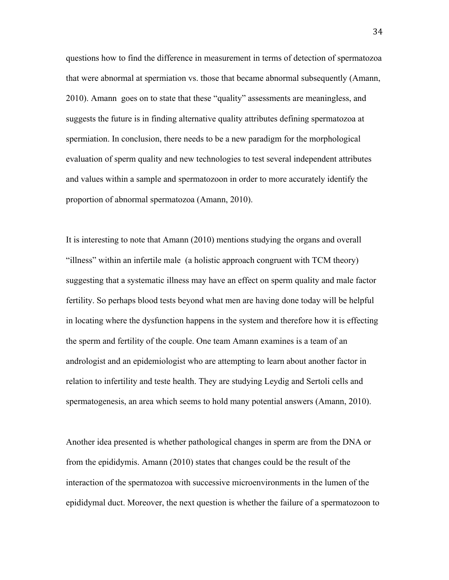questions how to find the difference in measurement in terms of detection of spermatozoa that were abnormal at spermiation vs. those that became abnormal subsequently (Amann, 2010). Amann goes on to state that these "quality" assessments are meaningless, and suggests the future is in finding alternative quality attributes defining spermatozoa at spermiation. In conclusion, there needs to be a new paradigm for the morphological evaluation of sperm quality and new technologies to test several independent attributes and values within a sample and spermatozoon in order to more accurately identify the proportion of abnormal spermatozoa (Amann, 2010).

It is interesting to note that Amann (2010) mentions studying the organs and overall "illness" within an infertile male (a holistic approach congruent with TCM theory) suggesting that a systematic illness may have an effect on sperm quality and male factor fertility. So perhaps blood tests beyond what men are having done today will be helpful in locating where the dysfunction happens in the system and therefore how it is effecting the sperm and fertility of the couple. One team Amann examines is a team of an andrologist and an epidemiologist who are attempting to learn about another factor in relation to infertility and teste health. They are studying Leydig and Sertoli cells and spermatogenesis, an area which seems to hold many potential answers (Amann, 2010).

Another idea presented is whether pathological changes in sperm are from the DNA or from the epididymis. Amann (2010) states that changes could be the result of the interaction of the spermatozoa with successive microenvironments in the lumen of the epididymal duct. Moreover, the next question is whether the failure of a spermatozoon to

34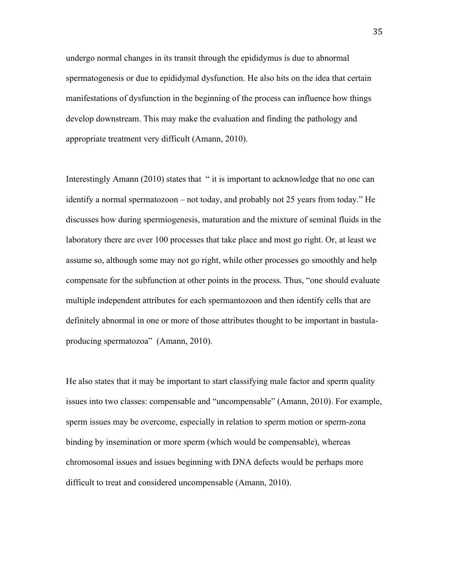undergo normal changes in its transit through the epididymus is due to abnormal spermatogenesis or due to epididymal dysfunction. He also hits on the idea that certain manifestations of dysfunction in the beginning of the process can influence how things develop downstream. This may make the evaluation and finding the pathology and appropriate treatment very difficult (Amann, 2010).

Interestingly Amann (2010) states that " it is important to acknowledge that no one can identify a normal spermatozoon – not today, and probably not 25 years from today." He discusses how during spermiogenesis, maturation and the mixture of seminal fluids in the laboratory there are over 100 processes that take place and most go right. Or, at least we assume so, although some may not go right, while other processes go smoothly and help compensate for the subfunction at other points in the process. Thus, "one should evaluate multiple independent attributes for each spermantozoon and then identify cells that are definitely abnormal in one or more of those attributes thought to be important in bastulaproducing spermatozoa" (Amann, 2010).

He also states that it may be important to start classifying male factor and sperm quality issues into two classes: compensable and "uncompensable" (Amann, 2010). For example, sperm issues may be overcome, especially in relation to sperm motion or sperm-zona binding by insemination or more sperm (which would be compensable), whereas chromosomal issues and issues beginning with DNA defects would be perhaps more difficult to treat and considered uncompensable (Amann, 2010).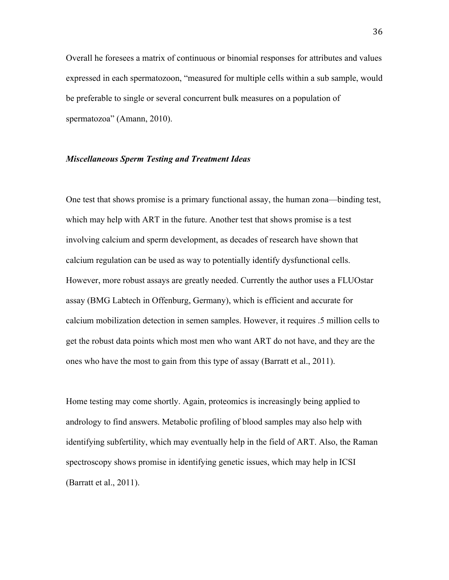Overall he foresees a matrix of continuous or binomial responses for attributes and values expressed in each spermatozoon, "measured for multiple cells within a sub sample, would be preferable to single or several concurrent bulk measures on a population of spermatozoa" (Amann, 2010).

#### *Miscellaneous Sperm Testing and Treatment Ideas*

One test that shows promise is a primary functional assay, the human zona—binding test, which may help with ART in the future. Another test that shows promise is a test involving calcium and sperm development, as decades of research have shown that calcium regulation can be used as way to potentially identify dysfunctional cells. However, more robust assays are greatly needed. Currently the author uses a FLUOstar assay (BMG Labtech in Offenburg, Germany), which is efficient and accurate for calcium mobilization detection in semen samples. However, it requires .5 million cells to get the robust data points which most men who want ART do not have, and they are the ones who have the most to gain from this type of assay (Barratt et al., 2011).

Home testing may come shortly. Again, proteomics is increasingly being applied to andrology to find answers. Metabolic profiling of blood samples may also help with identifying subfertility, which may eventually help in the field of ART. Also, the Raman spectroscopy shows promise in identifying genetic issues, which may help in ICSI (Barratt et al., 2011).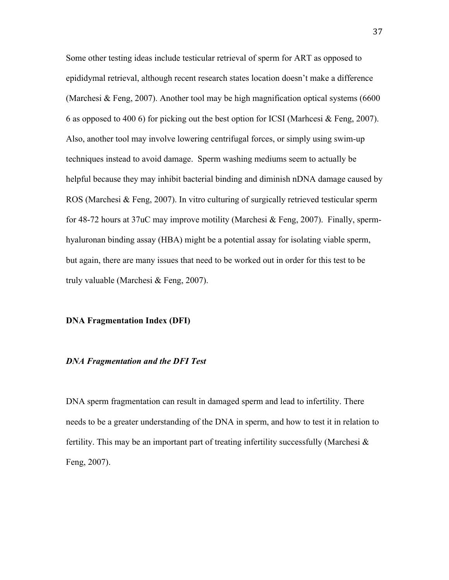Some other testing ideas include testicular retrieval of sperm for ART as opposed to epididymal retrieval, although recent research states location doesn't make a difference (Marchesi & Feng, 2007). Another tool may be high magnification optical systems (6600 6 as opposed to 400 6) for picking out the best option for ICSI (Marhcesi & Feng, 2007). Also, another tool may involve lowering centrifugal forces, or simply using swim-up techniques instead to avoid damage. Sperm washing mediums seem to actually be helpful because they may inhibit bacterial binding and diminish nDNA damage caused by ROS (Marchesi & Feng, 2007). In vitro culturing of surgically retrieved testicular sperm for 48-72 hours at 37uC may improve motility (Marchesi & Feng, 2007). Finally, spermhyaluronan binding assay (HBA) might be a potential assay for isolating viable sperm, but again, there are many issues that need to be worked out in order for this test to be truly valuable (Marchesi & Feng, 2007).

## **DNA Fragmentation Index (DFI)**

# *DNA Fragmentation and the DFI Test*

DNA sperm fragmentation can result in damaged sperm and lead to infertility. There needs to be a greater understanding of the DNA in sperm, and how to test it in relation to fertility. This may be an important part of treating infertility successfully (Marchesi  $\&$ Feng, 2007).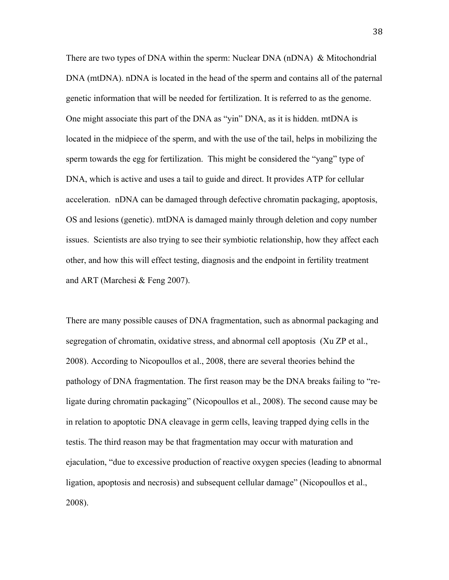There are two types of DNA within the sperm: Nuclear DNA (nDNA) & Mitochondrial DNA (mtDNA). nDNA is located in the head of the sperm and contains all of the paternal genetic information that will be needed for fertilization. It is referred to as the genome. One might associate this part of the DNA as "yin" DNA, as it is hidden. mtDNA is located in the midpiece of the sperm, and with the use of the tail, helps in mobilizing the sperm towards the egg for fertilization. This might be considered the "yang" type of DNA, which is active and uses a tail to guide and direct. It provides ATP for cellular acceleration. nDNA can be damaged through defective chromatin packaging, apoptosis, OS and lesions (genetic). mtDNA is damaged mainly through deletion and copy number issues. Scientists are also trying to see their symbiotic relationship, how they affect each other, and how this will effect testing, diagnosis and the endpoint in fertility treatment and ART (Marchesi & Feng 2007).

There are many possible causes of DNA fragmentation, such as abnormal packaging and segregation of chromatin, oxidative stress, and abnormal cell apoptosis (Xu ZP et al., 2008). According to Nicopoullos et al., 2008, there are several theories behind the pathology of DNA fragmentation. The first reason may be the DNA breaks failing to "religate during chromatin packaging" (Nicopoullos et al., 2008). The second cause may be in relation to apoptotic DNA cleavage in germ cells, leaving trapped dying cells in the testis. The third reason may be that fragmentation may occur with maturation and ejaculation, "due to excessive production of reactive oxygen species (leading to abnormal ligation, apoptosis and necrosis) and subsequent cellular damage" (Nicopoullos et al., 2008).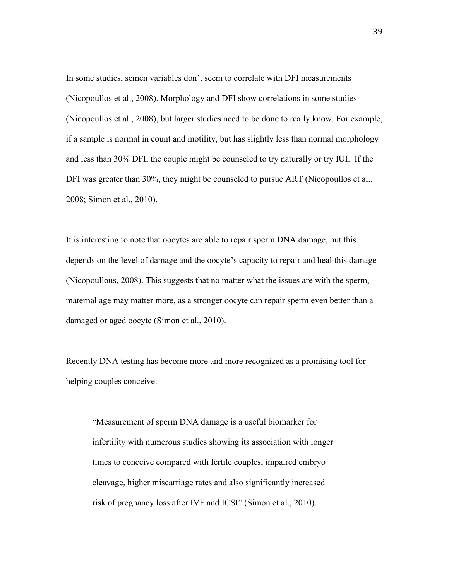In some studies, semen variables don't seem to correlate with DFI measurements (Nicopoullos et al., 2008). Morphology and DFI show correlations in some studies (Nicopoullos et al., 2008), but larger studies need to be done to really know. For example, if a sample is normal in count and motility, but has slightly less than normal morphology and less than 30% DFI, the couple might be counseled to try naturally or try IUI. If the DFI was greater than 30%, they might be counseled to pursue ART (Nicopoullos et al., 2008; Simon et al., 2010).

It is interesting to note that oocytes are able to repair sperm DNA damage, but this depends on the level of damage and the oocyte's capacity to repair and heal this damage (Nicopoullous, 2008). This suggests that no matter what the issues are with the sperm, maternal age may matter more, as a stronger oocyte can repair sperm even better than a damaged or aged oocyte (Simon et al., 2010).

Recently DNA testing has become more and more recognized as a promising tool for helping couples conceive:

"Measurement of sperm DNA damage is a useful biomarker for infertility with numerous studies showing its association with longer times to conceive compared with fertile couples, impaired embryo cleavage, higher miscarriage rates and also significantly increased risk of pregnancy loss after IVF and ICSI" (Simon et al., 2010).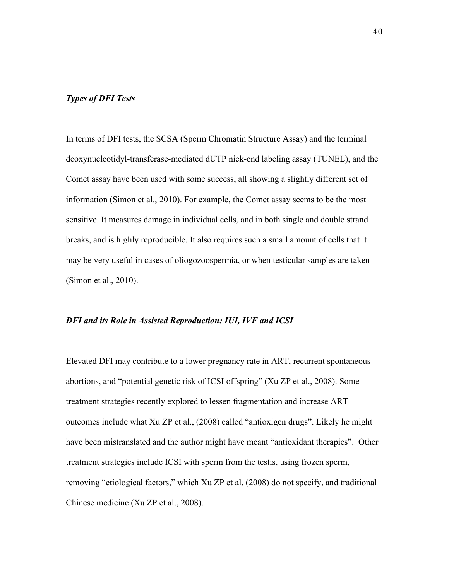# *Types of DFI Tests*

In terms of DFI tests, the SCSA (Sperm Chromatin Structure Assay) and the terminal deoxynucleotidyl-transferase-mediated dUTP nick-end labeling assay (TUNEL), and the Comet assay have been used with some success, all showing a slightly different set of information (Simon et al., 2010). For example, the Comet assay seems to be the most sensitive. It measures damage in individual cells, and in both single and double strand breaks, and is highly reproducible. It also requires such a small amount of cells that it may be very useful in cases of oliogozoospermia, or when testicular samples are taken (Simon et al., 2010).

## *DFI and its Role in Assisted Reproduction: IUI, IVF and ICSI*

Elevated DFI may contribute to a lower pregnancy rate in ART, recurrent spontaneous abortions, and "potential genetic risk of ICSI offspring" (Xu ZP et al., 2008). Some treatment strategies recently explored to lessen fragmentation and increase ART outcomes include what Xu ZP et al., (2008) called "antioxigen drugs". Likely he might have been mistranslated and the author might have meant "antioxidant therapies". Other treatment strategies include ICSI with sperm from the testis, using frozen sperm, removing "etiological factors," which Xu ZP et al. (2008) do not specify, and traditional Chinese medicine (Xu ZP et al., 2008).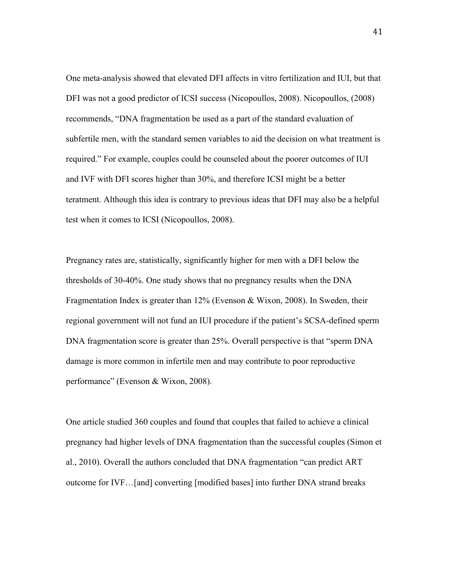One meta-analysis showed that elevated DFI affects in vitro fertilization and IUI, but that DFI was not a good predictor of ICSI success (Nicopoullos, 2008). Nicopoullos, (2008) recommends, "DNA fragmentation be used as a part of the standard evaluation of subfertile men, with the standard semen variables to aid the decision on what treatment is required." For example, couples could be counseled about the poorer outcomes of IUI and IVF with DFI scores higher than 30%, and therefore ICSI might be a better teratment. Although this idea is contrary to previous ideas that DFI may also be a helpful test when it comes to ICSI (Nicopoullos, 2008).

Pregnancy rates are, statistically, significantly higher for men with a DFI below the thresholds of 30-40%. One study shows that no pregnancy results when the DNA Fragmentation Index is greater than 12% (Evenson & Wixon, 2008). In Sweden, their regional government will not fund an IUI procedure if the patient's SCSA-defined sperm DNA fragmentation score is greater than 25%. Overall perspective is that "sperm DNA damage is more common in infertile men and may contribute to poor reproductive performance" (Evenson & Wixon, 2008).

One article studied 360 couples and found that couples that failed to achieve a clinical pregnancy had higher levels of DNA fragmentation than the successful couples (Simon et al., 2010). Overall the authors concluded that DNA fragmentation "can predict ART outcome for IVF…[and] converting [modified bases] into further DNA strand breaks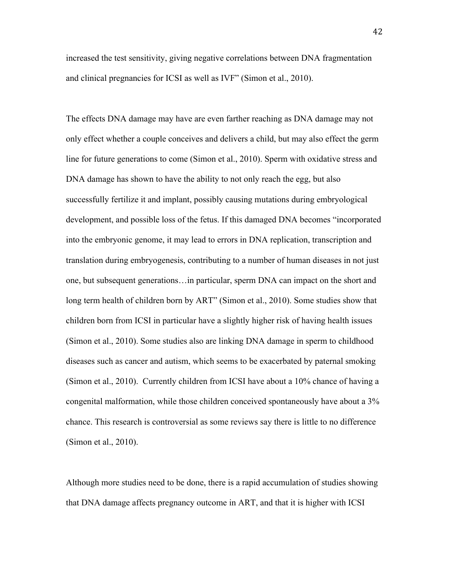increased the test sensitivity, giving negative correlations between DNA fragmentation and clinical pregnancies for ICSI as well as IVF" (Simon et al., 2010).

The effects DNA damage may have are even farther reaching as DNA damage may not only effect whether a couple conceives and delivers a child, but may also effect the germ line for future generations to come (Simon et al., 2010). Sperm with oxidative stress and DNA damage has shown to have the ability to not only reach the egg, but also successfully fertilize it and implant, possibly causing mutations during embryological development, and possible loss of the fetus. If this damaged DNA becomes "incorporated into the embryonic genome, it may lead to errors in DNA replication, transcription and translation during embryogenesis, contributing to a number of human diseases in not just one, but subsequent generations…in particular, sperm DNA can impact on the short and long term health of children born by ART" (Simon et al., 2010). Some studies show that children born from ICSI in particular have a slightly higher risk of having health issues (Simon et al., 2010). Some studies also are linking DNA damage in sperm to childhood diseases such as cancer and autism, which seems to be exacerbated by paternal smoking (Simon et al., 2010). Currently children from ICSI have about a 10% chance of having a congenital malformation, while those children conceived spontaneously have about a 3% chance. This research is controversial as some reviews say there is little to no difference (Simon et al., 2010).

Although more studies need to be done, there is a rapid accumulation of studies showing that DNA damage affects pregnancy outcome in ART, and that it is higher with ICSI

42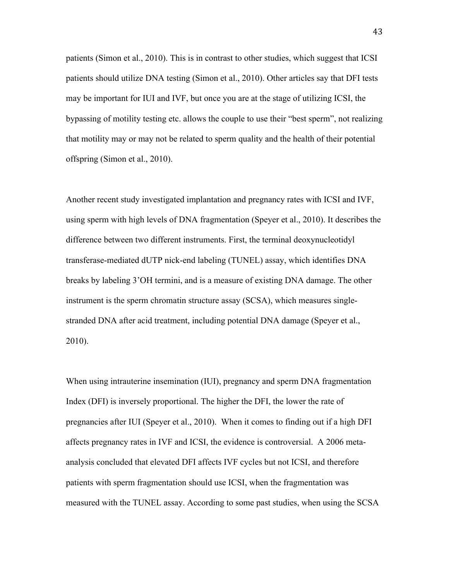patients (Simon et al., 2010). This is in contrast to other studies, which suggest that ICSI patients should utilize DNA testing (Simon et al., 2010). Other articles say that DFI tests may be important for IUI and IVF, but once you are at the stage of utilizing ICSI, the bypassing of motility testing etc. allows the couple to use their "best sperm", not realizing that motility may or may not be related to sperm quality and the health of their potential offspring (Simon et al., 2010).

Another recent study investigated implantation and pregnancy rates with ICSI and IVF, using sperm with high levels of DNA fragmentation (Speyer et al., 2010). It describes the difference between two different instruments. First, the terminal deoxynucleotidyl transferase-mediated dUTP nick-end labeling (TUNEL) assay, which identifies DNA breaks by labeling 3'OH termini, and is a measure of existing DNA damage. The other instrument is the sperm chromatin structure assay (SCSA), which measures singlestranded DNA after acid treatment, including potential DNA damage (Speyer et al., 2010).

When using intrauterine insemination *(IUI)*, pregnancy and sperm DNA fragmentation Index (DFI) is inversely proportional. The higher the DFI, the lower the rate of pregnancies after IUI (Speyer et al., 2010). When it comes to finding out if a high DFI affects pregnancy rates in IVF and ICSI, the evidence is controversial. A 2006 metaanalysis concluded that elevated DFI affects IVF cycles but not ICSI, and therefore patients with sperm fragmentation should use ICSI, when the fragmentation was measured with the TUNEL assay. According to some past studies, when using the SCSA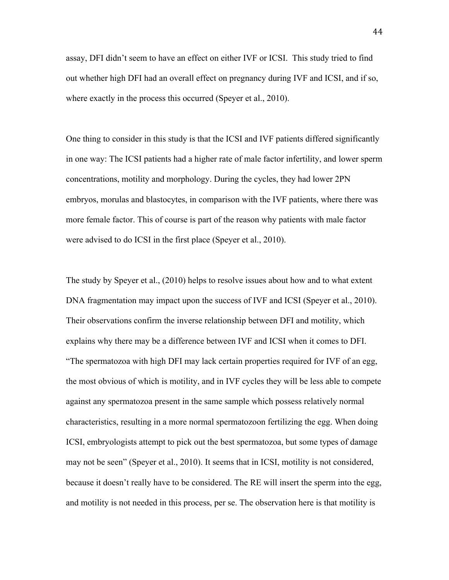assay, DFI didn't seem to have an effect on either IVF or ICSI. This study tried to find out whether high DFI had an overall effect on pregnancy during IVF and ICSI, and if so, where exactly in the process this occurred (Speyer et al., 2010).

One thing to consider in this study is that the ICSI and IVF patients differed significantly in one way: The ICSI patients had a higher rate of male factor infertility, and lower sperm concentrations, motility and morphology. During the cycles, they had lower 2PN embryos, morulas and blastocytes, in comparison with the IVF patients, where there was more female factor. This of course is part of the reason why patients with male factor were advised to do ICSI in the first place (Speyer et al., 2010).

The study by Speyer et al., (2010) helps to resolve issues about how and to what extent DNA fragmentation may impact upon the success of IVF and ICSI (Speyer et al., 2010). Their observations confirm the inverse relationship between DFI and motility, which explains why there may be a difference between IVF and ICSI when it comes to DFI. "The spermatozoa with high DFI may lack certain properties required for IVF of an egg, the most obvious of which is motility, and in IVF cycles they will be less able to compete against any spermatozoa present in the same sample which possess relatively normal characteristics, resulting in a more normal spermatozoon fertilizing the egg. When doing ICSI, embryologists attempt to pick out the best spermatozoa, but some types of damage may not be seen" (Speyer et al., 2010). It seems that in ICSI, motility is not considered, because it doesn't really have to be considered. The RE will insert the sperm into the egg, and motility is not needed in this process, per se. The observation here is that motility is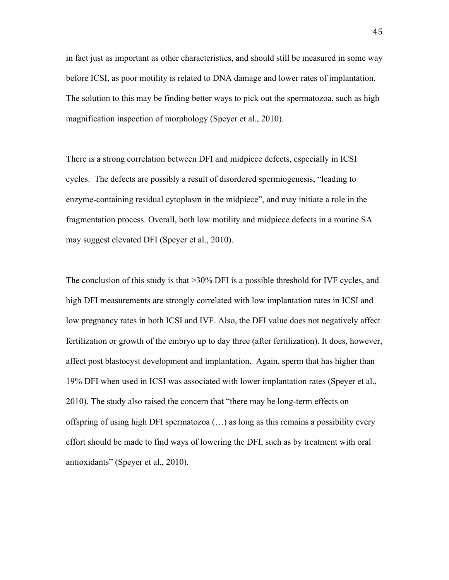in fact just as important as other characteristics, and should still be measured in some way before ICSI, as poor motility is related to DNA damage and lower rates of implantation. The solution to this may be finding better ways to pick out the spermatozoa, such as high magnification inspection of morphology (Speyer et al., 2010).

There is a strong correlation between DFI and midpiece defects, especially in ICSI cycles. The defects are possibly a result of disordered spermiogenesis, "leading to enzyme-containing residual cytoplasm in the midpiece", and may initiate a role in the fragmentation process. Overall, both low motility and midpiece defects in a routine SA may suggest elevated DFI (Speyer et al., 2010).

The conclusion of this study is that >30% DFI is a possible threshold for IVF cycles, and high DFI measurements are strongly correlated with low implantation rates in ICSI and low pregnancy rates in both ICSI and IVF. Also, the DFI value does not negatively affect fertilization or growth of the embryo up to day three (after fertilization). It does, however, affect post blastocyst development and implantation. Again, sperm that has higher than 19% DFI when used in ICSI was associated with lower implantation rates (Speyer et al., 2010). The study also raised the concern that "there may be long-term effects on offspring of using high DFI spermatozoa (…) as long as this remains a possibility every effort should be made to find ways of lowering the DFI, such as by treatment with oral antioxidants" (Speyer et al., 2010).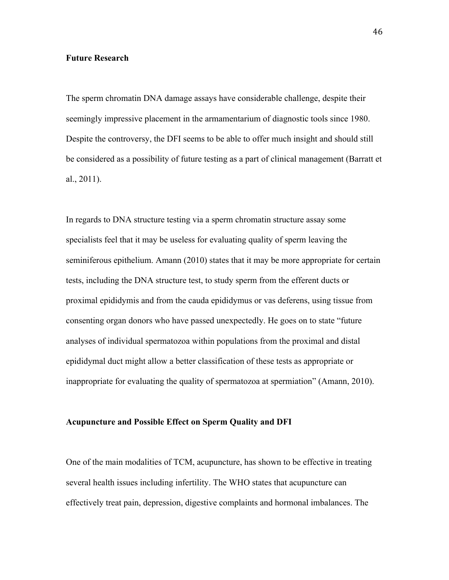# **Future Research**

The sperm chromatin DNA damage assays have considerable challenge, despite their seemingly impressive placement in the armamentarium of diagnostic tools since 1980. Despite the controversy, the DFI seems to be able to offer much insight and should still be considered as a possibility of future testing as a part of clinical management (Barratt et al., 2011).

In regards to DNA structure testing via a sperm chromatin structure assay some specialists feel that it may be useless for evaluating quality of sperm leaving the seminiferous epithelium. Amann (2010) states that it may be more appropriate for certain tests, including the DNA structure test, to study sperm from the efferent ducts or proximal epididymis and from the cauda epididymus or vas deferens, using tissue from consenting organ donors who have passed unexpectedly. He goes on to state "future analyses of individual spermatozoa within populations from the proximal and distal epididymal duct might allow a better classification of these tests as appropriate or inappropriate for evaluating the quality of spermatozoa at spermiation" (Amann, 2010).

#### **Acupuncture and Possible Effect on Sperm Quality and DFI**

One of the main modalities of TCM, acupuncture, has shown to be effective in treating several health issues including infertility. The WHO states that acupuncture can effectively treat pain, depression, digestive complaints and hormonal imbalances. The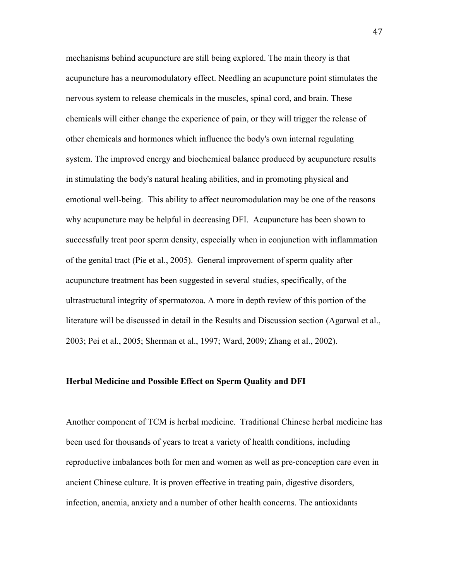mechanisms behind acupuncture are still being explored. The main theory is that acupuncture has a neuromodulatory effect. Needling an acupuncture point stimulates the nervous system to release chemicals in the muscles, spinal cord, and brain. These chemicals will either change the experience of pain, or they will trigger the release of other chemicals and hormones which influence the body's own internal regulating system. The improved energy and biochemical balance produced by acupuncture results in stimulating the body's natural healing abilities, and in promoting physical and emotional well-being. This ability to affect neuromodulation may be one of the reasons why acupuncture may be helpful in decreasing DFI. Acupuncture has been shown to successfully treat poor sperm density, especially when in conjunction with inflammation of the genital tract (Pie et al., 2005). General improvement of sperm quality after acupuncture treatment has been suggested in several studies, specifically, of the ultrastructural integrity of spermatozoa. A more in depth review of this portion of the literature will be discussed in detail in the Results and Discussion section (Agarwal et al., 2003; Pei et al., 2005; Sherman et al., 1997; Ward, 2009; Zhang et al., 2002).

## **Herbal Medicine and Possible Effect on Sperm Quality and DFI**

Another component of TCM is herbal medicine. Traditional Chinese herbal medicine has been used for thousands of years to treat a variety of health conditions, including reproductive imbalances both for men and women as well as pre-conception care even in ancient Chinese culture. It is proven effective in treating pain, digestive disorders, infection, anemia, anxiety and a number of other health concerns. The antioxidants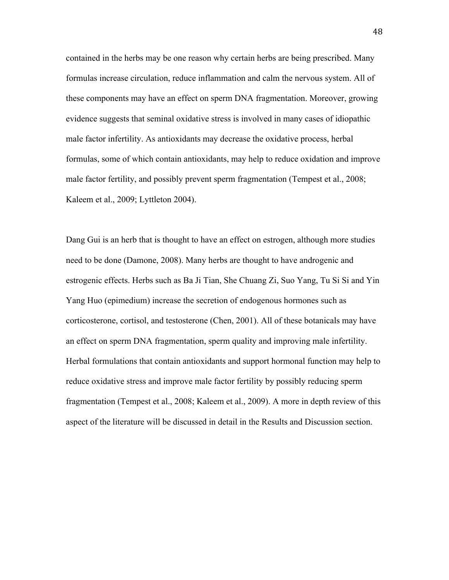contained in the herbs may be one reason why certain herbs are being prescribed. Many formulas increase circulation, reduce inflammation and calm the nervous system. All of these components may have an effect on sperm DNA fragmentation. Moreover, growing evidence suggests that seminal oxidative stress is involved in many cases of idiopathic male factor infertility. As antioxidants may decrease the oxidative process, herbal formulas, some of which contain antioxidants, may help to reduce oxidation and improve male factor fertility, and possibly prevent sperm fragmentation (Tempest et al., 2008; Kaleem et al., 2009; Lyttleton 2004).

Dang Gui is an herb that is thought to have an effect on estrogen, although more studies need to be done (Damone, 2008). Many herbs are thought to have androgenic and estrogenic effects. Herbs such as Ba Ji Tian, She Chuang Zi, Suo Yang, Tu Si Si and Yin Yang Huo (epimedium) increase the secretion of endogenous hormones such as corticosterone, cortisol, and testosterone (Chen, 2001). All of these botanicals may have an effect on sperm DNA fragmentation, sperm quality and improving male infertility. Herbal formulations that contain antioxidants and support hormonal function may help to reduce oxidative stress and improve male factor fertility by possibly reducing sperm fragmentation (Tempest et al., 2008; Kaleem et al., 2009). A more in depth review of this aspect of the literature will be discussed in detail in the Results and Discussion section.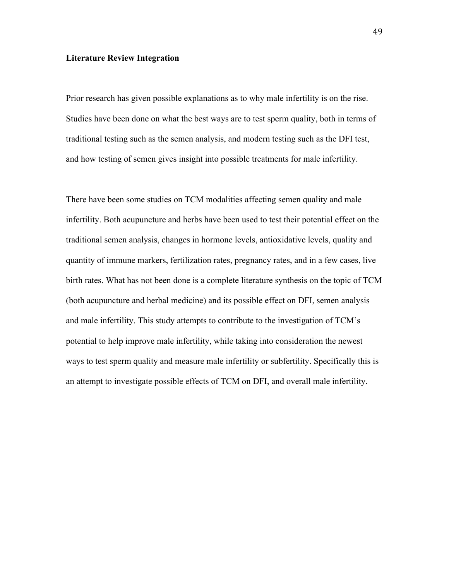# **Literature Review Integration**

Prior research has given possible explanations as to why male infertility is on the rise. Studies have been done on what the best ways are to test sperm quality, both in terms of traditional testing such as the semen analysis, and modern testing such as the DFI test, and how testing of semen gives insight into possible treatments for male infertility.

There have been some studies on TCM modalities affecting semen quality and male infertility. Both acupuncture and herbs have been used to test their potential effect on the traditional semen analysis, changes in hormone levels, antioxidative levels, quality and quantity of immune markers, fertilization rates, pregnancy rates, and in a few cases, live birth rates. What has not been done is a complete literature synthesis on the topic of TCM (both acupuncture and herbal medicine) and its possible effect on DFI, semen analysis and male infertility. This study attempts to contribute to the investigation of TCM's potential to help improve male infertility, while taking into consideration the newest ways to test sperm quality and measure male infertility or subfertility. Specifically this is an attempt to investigate possible effects of TCM on DFI, and overall male infertility.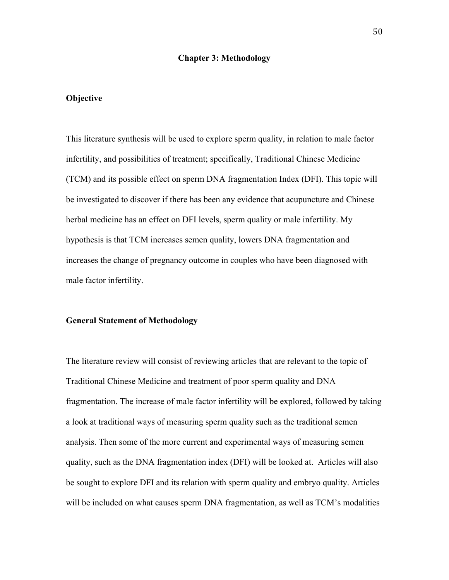#### **Chapter 3: Methodology**

# **Objective**

This literature synthesis will be used to explore sperm quality, in relation to male factor infertility, and possibilities of treatment; specifically, Traditional Chinese Medicine (TCM) and its possible effect on sperm DNA fragmentation Index (DFI). This topic will be investigated to discover if there has been any evidence that acupuncture and Chinese herbal medicine has an effect on DFI levels, sperm quality or male infertility. My hypothesis is that TCM increases semen quality, lowers DNA fragmentation and increases the change of pregnancy outcome in couples who have been diagnosed with male factor infertility.

#### **General Statement of Methodology**

The literature review will consist of reviewing articles that are relevant to the topic of Traditional Chinese Medicine and treatment of poor sperm quality and DNA fragmentation. The increase of male factor infertility will be explored, followed by taking a look at traditional ways of measuring sperm quality such as the traditional semen analysis. Then some of the more current and experimental ways of measuring semen quality, such as the DNA fragmentation index (DFI) will be looked at. Articles will also be sought to explore DFI and its relation with sperm quality and embryo quality. Articles will be included on what causes sperm DNA fragmentation, as well as TCM's modalities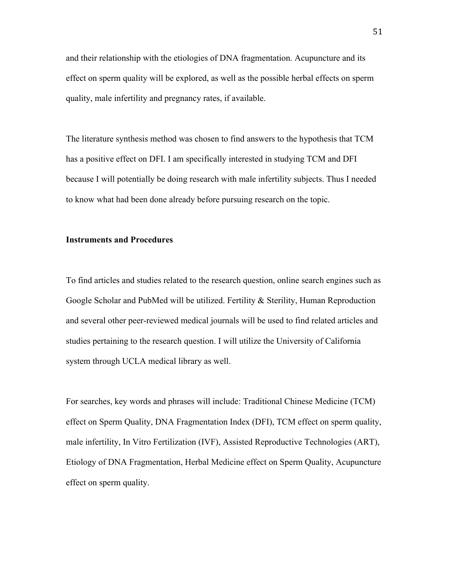and their relationship with the etiologies of DNA fragmentation. Acupuncture and its effect on sperm quality will be explored, as well as the possible herbal effects on sperm quality, male infertility and pregnancy rates, if available.

The literature synthesis method was chosen to find answers to the hypothesis that TCM has a positive effect on DFI. I am specifically interested in studying TCM and DFI because I will potentially be doing research with male infertility subjects. Thus I needed to know what had been done already before pursuing research on the topic.

# **Instruments and Procedures**

To find articles and studies related to the research question, online search engines such as Google Scholar and PubMed will be utilized. Fertility & Sterility, Human Reproduction and several other peer-reviewed medical journals will be used to find related articles and studies pertaining to the research question. I will utilize the University of California system through UCLA medical library as well.

For searches, key words and phrases will include: Traditional Chinese Medicine (TCM) effect on Sperm Quality, DNA Fragmentation Index (DFI), TCM effect on sperm quality, male infertility, In Vitro Fertilization (IVF), Assisted Reproductive Technologies (ART), Etiology of DNA Fragmentation, Herbal Medicine effect on Sperm Quality, Acupuncture effect on sperm quality.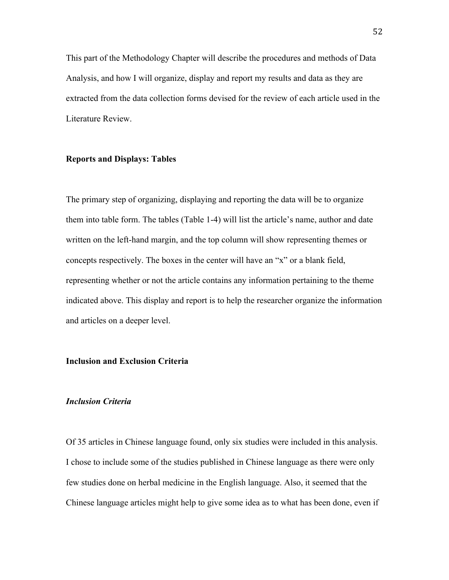This part of the Methodology Chapter will describe the procedures and methods of Data Analysis, and how I will organize, display and report my results and data as they are extracted from the data collection forms devised for the review of each article used in the Literature Review.

# **Reports and Displays: Tables**

The primary step of organizing, displaying and reporting the data will be to organize them into table form. The tables (Table 1-4) will list the article's name, author and date written on the left-hand margin, and the top column will show representing themes or concepts respectively. The boxes in the center will have an "x" or a blank field, representing whether or not the article contains any information pertaining to the theme indicated above. This display and report is to help the researcher organize the information and articles on a deeper level.

# **Inclusion and Exclusion Criteria**

## *Inclusion Criteria*

Of 35 articles in Chinese language found, only six studies were included in this analysis. I chose to include some of the studies published in Chinese language as there were only few studies done on herbal medicine in the English language. Also, it seemed that the Chinese language articles might help to give some idea as to what has been done, even if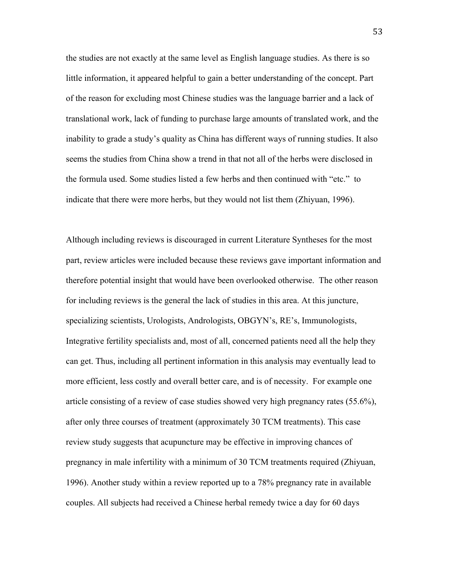the studies are not exactly at the same level as English language studies. As there is so little information, it appeared helpful to gain a better understanding of the concept. Part of the reason for excluding most Chinese studies was the language barrier and a lack of translational work, lack of funding to purchase large amounts of translated work, and the inability to grade a study's quality as China has different ways of running studies. It also seems the studies from China show a trend in that not all of the herbs were disclosed in the formula used. Some studies listed a few herbs and then continued with "etc." to indicate that there were more herbs, but they would not list them (Zhiyuan, 1996).

Although including reviews is discouraged in current Literature Syntheses for the most part, review articles were included because these reviews gave important information and therefore potential insight that would have been overlooked otherwise. The other reason for including reviews is the general the lack of studies in this area. At this juncture, specializing scientists, Urologists, Andrologists, OBGYN's, RE's, Immunologists, Integrative fertility specialists and, most of all, concerned patients need all the help they can get. Thus, including all pertinent information in this analysis may eventually lead to more efficient, less costly and overall better care, and is of necessity. For example one article consisting of a review of case studies showed very high pregnancy rates (55.6%), after only three courses of treatment (approximately 30 TCM treatments). This case review study suggests that acupuncture may be effective in improving chances of pregnancy in male infertility with a minimum of 30 TCM treatments required (Zhiyuan, 1996). Another study within a review reported up to a 78% pregnancy rate in available couples. All subjects had received a Chinese herbal remedy twice a day for 60 days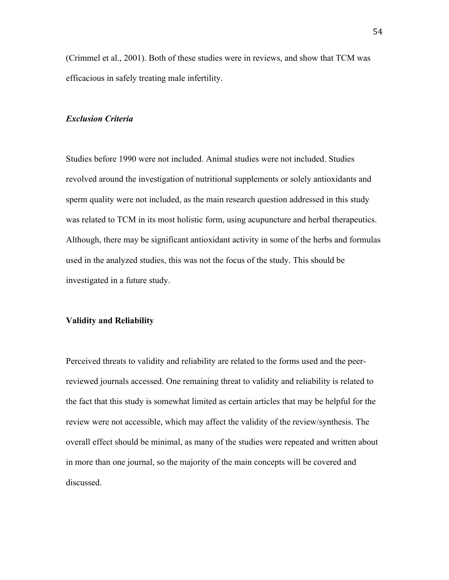(Crimmel et al., 2001). Both of these studies were in reviews, and show that TCM was efficacious in safely treating male infertility.

## *Exclusion Criteria*

Studies before 1990 were not included. Animal studies were not included. Studies revolved around the investigation of nutritional supplements or solely antioxidants and sperm quality were not included, as the main research question addressed in this study was related to TCM in its most holistic form, using acupuncture and herbal therapeutics. Although, there may be significant antioxidant activity in some of the herbs and formulas used in the analyzed studies, this was not the focus of the study. This should be investigated in a future study.

# **Validity and Reliability**

Perceived threats to validity and reliability are related to the forms used and the peerreviewed journals accessed. One remaining threat to validity and reliability is related to the fact that this study is somewhat limited as certain articles that may be helpful for the review were not accessible, which may affect the validity of the review/synthesis. The overall effect should be minimal, as many of the studies were repeated and written about in more than one journal, so the majority of the main concepts will be covered and discussed.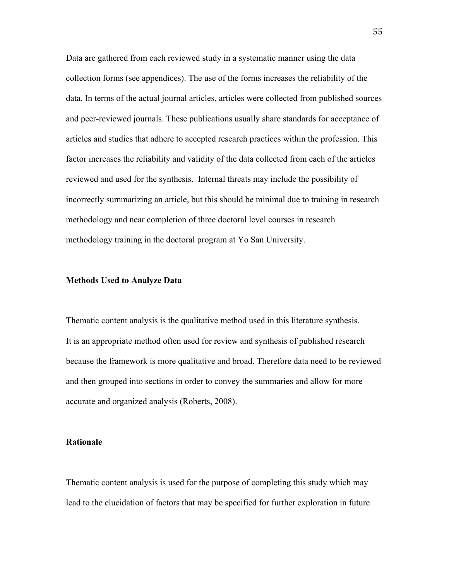Data are gathered from each reviewed study in a systematic manner using the data collection forms (see appendices). The use of the forms increases the reliability of the data. In terms of the actual journal articles, articles were collected from published sources and peer-reviewed journals. These publications usually share standards for acceptance of articles and studies that adhere to accepted research practices within the profession. This factor increases the reliability and validity of the data collected from each of the articles reviewed and used for the synthesis. Internal threats may include the possibility of incorrectly summarizing an article, but this should be minimal due to training in research methodology and near completion of three doctoral level courses in research methodology training in the doctoral program at Yo San University.

#### **Methods Used to Analyze Data**

Thematic content analysis is the qualitative method used in this literature synthesis. It is an appropriate method often used for review and synthesis of published research because the framework is more qualitative and broad. Therefore data need to be reviewed and then grouped into sections in order to convey the summaries and allow for more accurate and organized analysis (Roberts, 2008).

# **Rationale**

Thematic content analysis is used for the purpose of completing this study which may lead to the elucidation of factors that may be specified for further exploration in future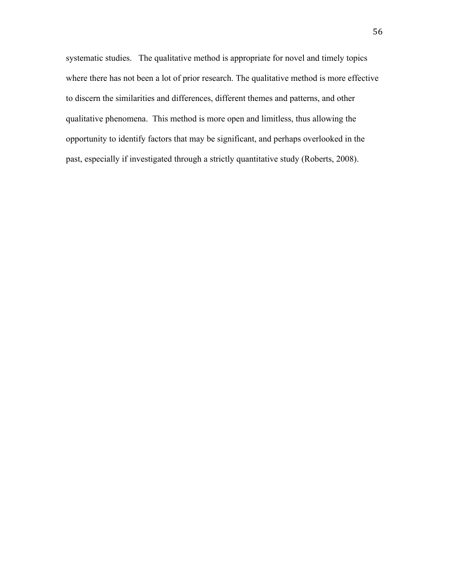systematic studies. The qualitative method is appropriate for novel and timely topics where there has not been a lot of prior research. The qualitative method is more effective to discern the similarities and differences, different themes and patterns, and other qualitative phenomena. This method is more open and limitless, thus allowing the opportunity to identify factors that may be significant, and perhaps overlooked in the past, especially if investigated through a strictly quantitative study (Roberts, 2008).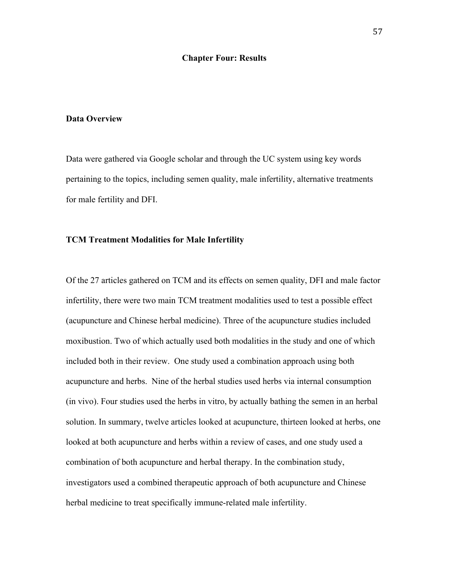## **Chapter Four: Results**

## **Data Overview**

Data were gathered via Google scholar and through the UC system using key words pertaining to the topics, including semen quality, male infertility, alternative treatments for male fertility and DFI.

## **TCM Treatment Modalities for Male Infertility**

Of the 27 articles gathered on TCM and its effects on semen quality, DFI and male factor infertility, there were two main TCM treatment modalities used to test a possible effect (acupuncture and Chinese herbal medicine). Three of the acupuncture studies included moxibustion. Two of which actually used both modalities in the study and one of which included both in their review. One study used a combination approach using both acupuncture and herbs. Nine of the herbal studies used herbs via internal consumption (in vivo). Four studies used the herbs in vitro, by actually bathing the semen in an herbal solution. In summary, twelve articles looked at acupuncture, thirteen looked at herbs, one looked at both acupuncture and herbs within a review of cases, and one study used a combination of both acupuncture and herbal therapy. In the combination study, investigators used a combined therapeutic approach of both acupuncture and Chinese herbal medicine to treat specifically immune-related male infertility.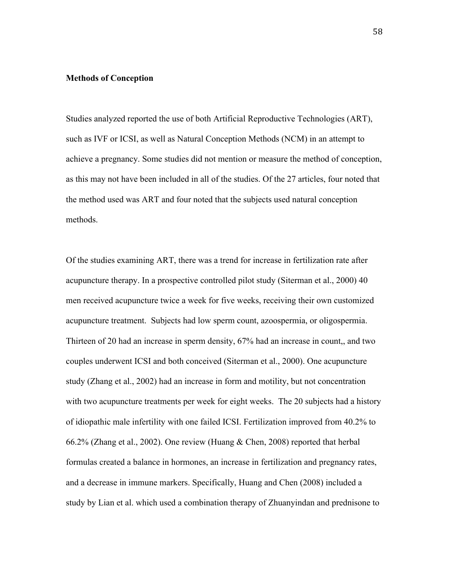## **Methods of Conception**

Studies analyzed reported the use of both Artificial Reproductive Technologies (ART), such as IVF or ICSI, as well as Natural Conception Methods (NCM) in an attempt to achieve a pregnancy. Some studies did not mention or measure the method of conception, as this may not have been included in all of the studies. Of the 27 articles, four noted that the method used was ART and four noted that the subjects used natural conception methods.

Of the studies examining ART, there was a trend for increase in fertilization rate after acupuncture therapy. In a prospective controlled pilot study (Siterman et al., 2000) 40 men received acupuncture twice a week for five weeks, receiving their own customized acupuncture treatment. Subjects had low sperm count, azoospermia, or oligospermia. Thirteen of 20 had an increase in sperm density, 67% had an increase in count,, and two couples underwent ICSI and both conceived (Siterman et al., 2000). One acupuncture study (Zhang et al., 2002) had an increase in form and motility, but not concentration with two acupuncture treatments per week for eight weeks. The 20 subjects had a history of idiopathic male infertility with one failed ICSI. Fertilization improved from 40.2% to 66.2% (Zhang et al., 2002). One review (Huang & Chen, 2008) reported that herbal formulas created a balance in hormones, an increase in fertilization and pregnancy rates, and a decrease in immune markers. Specifically, Huang and Chen (2008) included a study by Lian et al. which used a combination therapy of Zhuanyindan and prednisone to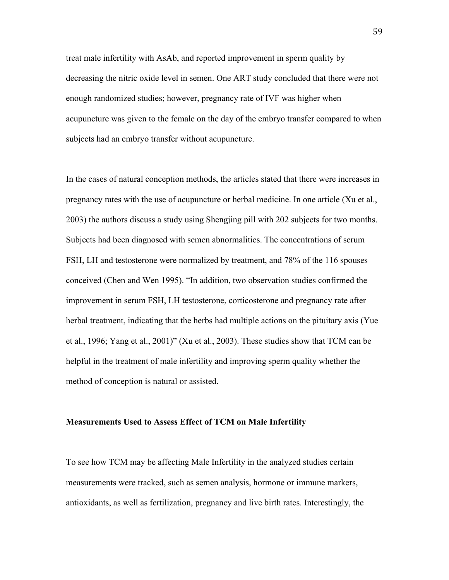treat male infertility with AsAb, and reported improvement in sperm quality by decreasing the nitric oxide level in semen. One ART study concluded that there were not enough randomized studies; however, pregnancy rate of IVF was higher when acupuncture was given to the female on the day of the embryo transfer compared to when subjects had an embryo transfer without acupuncture.

In the cases of natural conception methods, the articles stated that there were increases in pregnancy rates with the use of acupuncture or herbal medicine. In one article (Xu et al., 2003) the authors discuss a study using Shengjing pill with 202 subjects for two months. Subjects had been diagnosed with semen abnormalities. The concentrations of serum FSH, LH and testosterone were normalized by treatment, and 78% of the 116 spouses conceived (Chen and Wen 1995). "In addition, two observation studies confirmed the improvement in serum FSH, LH testosterone, corticosterone and pregnancy rate after herbal treatment, indicating that the herbs had multiple actions on the pituitary axis (Yue et al., 1996; Yang et al., 2001)" (Xu et al., 2003). These studies show that TCM can be helpful in the treatment of male infertility and improving sperm quality whether the method of conception is natural or assisted.

#### **Measurements Used to Assess Effect of TCM on Male Infertility**

To see how TCM may be affecting Male Infertility in the analyzed studies certain measurements were tracked, such as semen analysis, hormone or immune markers, antioxidants, as well as fertilization, pregnancy and live birth rates. Interestingly, the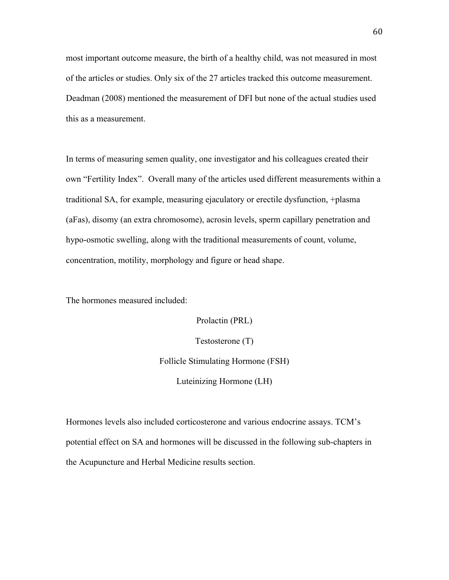most important outcome measure, the birth of a healthy child, was not measured in most of the articles or studies. Only six of the 27 articles tracked this outcome measurement. Deadman (2008) mentioned the measurement of DFI but none of the actual studies used this as a measurement.

In terms of measuring semen quality, one investigator and his colleagues created their own "Fertility Index". Overall many of the articles used different measurements within a traditional SA, for example, measuring ejaculatory or erectile dysfunction, +plasma (aFas), disomy (an extra chromosome), acrosin levels, sperm capillary penetration and hypo-osmotic swelling, along with the traditional measurements of count, volume, concentration, motility, morphology and figure or head shape.

The hormones measured included:

Prolactin (PRL) Testosterone (T) Follicle Stimulating Hormone (FSH) Luteinizing Hormone (LH)

Hormones levels also included corticosterone and various endocrine assays. TCM's potential effect on SA and hormones will be discussed in the following sub-chapters in the Acupuncture and Herbal Medicine results section.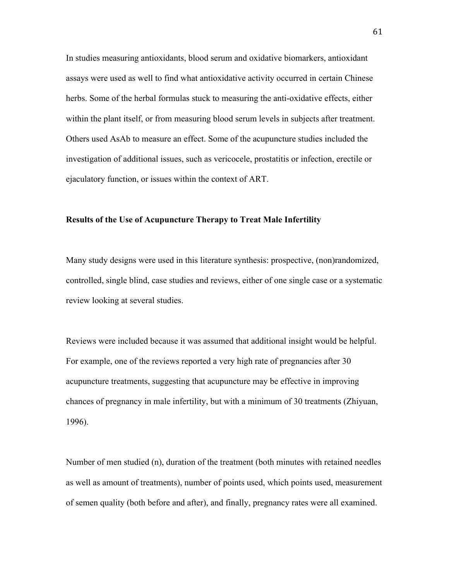In studies measuring antioxidants, blood serum and oxidative biomarkers, antioxidant assays were used as well to find what antioxidative activity occurred in certain Chinese herbs. Some of the herbal formulas stuck to measuring the anti-oxidative effects, either within the plant itself, or from measuring blood serum levels in subjects after treatment. Others used AsAb to measure an effect. Some of the acupuncture studies included the investigation of additional issues, such as vericocele, prostatitis or infection, erectile or ejaculatory function, or issues within the context of ART.

# **Results of the Use of Acupuncture Therapy to Treat Male Infertility**

Many study designs were used in this literature synthesis: prospective, (non)randomized, controlled, single blind, case studies and reviews, either of one single case or a systematic review looking at several studies.

Reviews were included because it was assumed that additional insight would be helpful. For example, one of the reviews reported a very high rate of pregnancies after 30 acupuncture treatments, suggesting that acupuncture may be effective in improving chances of pregnancy in male infertility, but with a minimum of 30 treatments (Zhiyuan, 1996).

Number of men studied (n), duration of the treatment (both minutes with retained needles as well as amount of treatments), number of points used, which points used, measurement of semen quality (both before and after), and finally, pregnancy rates were all examined.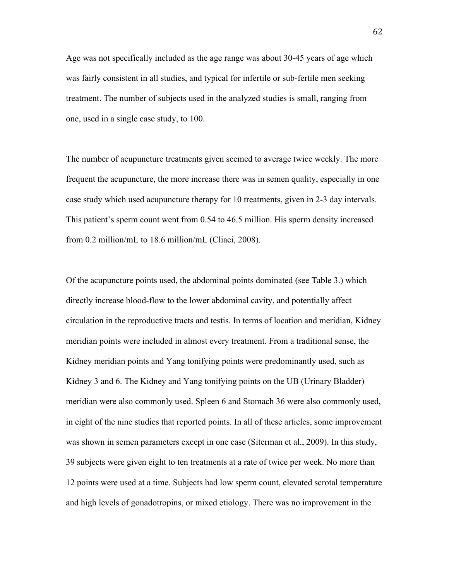Age was not specifically included as the age range was about 30-45 years of age which was fairly consistent in all studies, and typical for infertile or sub-fertile men seeking treatment. The number of subjects used in the analyzed studies is small, ranging from one, used in a single case study, to 100.

The number of acupuncture treatments given seemed to average twice weekly. The more frequent the acupuncture, the more increase there was in semen quality, especially in one case study which used acupuncture therapy for 10 treatments, given in 2-3 day intervals. This patient's sperm count went from 0.54 to 46.5 million. His sperm density increased from 0.2 million/mL to 18.6 million/mL (Cliaci, 2008).

Of the acupuncture points used, the abdominal points dominated (see Table 3.) which directly increase blood-flow to the lower abdominal cavity, and potentially affect circulation in the reproductive tracts and testis. In terms of location and meridian, Kidney meridian points were included in almost every treatment. From a traditional sense, the Kidney meridian points and Yang tonifying points were predominantly used, such as Kidney 3 and 6. The Kidney and Yang tonifying points on the UB (Urinary Bladder) meridian were also commonly used. Spleen 6 and Stomach 36 were also commonly used, in eight of the nine studies that reported points. In all of these articles, some improvement was shown in semen parameters except in one case (Siterman et al., 2009). In this study, 39 subjects were given eight to ten treatments at a rate of twice per week. No more than 12 points were used at a time. Subjects had low sperm count, elevated scrotal temperature and high levels of gonadotropins, or mixed etiology. There was no improvement in the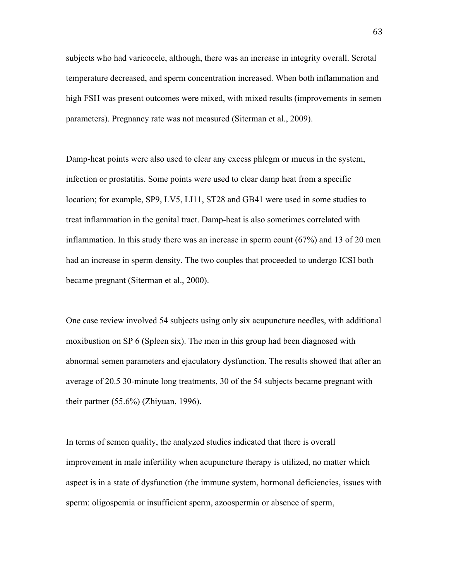subjects who had varicocele, although, there was an increase in integrity overall. Scrotal temperature decreased, and sperm concentration increased. When both inflammation and high FSH was present outcomes were mixed, with mixed results (improvements in semen parameters). Pregnancy rate was not measured (Siterman et al., 2009).

Damp-heat points were also used to clear any excess phlegm or mucus in the system, infection or prostatitis. Some points were used to clear damp heat from a specific location; for example, SP9, LV5, LI11, ST28 and GB41 were used in some studies to treat inflammation in the genital tract. Damp-heat is also sometimes correlated with inflammation. In this study there was an increase in sperm count (67%) and 13 of 20 men had an increase in sperm density. The two couples that proceeded to undergo ICSI both became pregnant (Siterman et al., 2000).

One case review involved 54 subjects using only six acupuncture needles, with additional moxibustion on SP 6 (Spleen six). The men in this group had been diagnosed with abnormal semen parameters and ejaculatory dysfunction. The results showed that after an average of 20.5 30-minute long treatments, 30 of the 54 subjects became pregnant with their partner (55.6%) (Zhiyuan, 1996).

In terms of semen quality, the analyzed studies indicated that there is overall improvement in male infertility when acupuncture therapy is utilized, no matter which aspect is in a state of dysfunction (the immune system, hormonal deficiencies, issues with sperm: oligospemia or insufficient sperm, azoospermia or absence of sperm,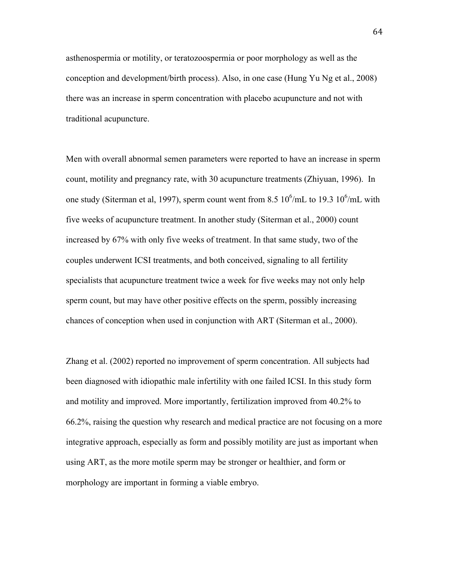asthenospermia or motility, or teratozoospermia or poor morphology as well as the conception and development/birth process). Also, in one case (Hung Yu Ng et al., 2008) there was an increase in sperm concentration with placebo acupuncture and not with traditional acupuncture.

Men with overall abnormal semen parameters were reported to have an increase in sperm count, motility and pregnancy rate, with 30 acupuncture treatments (Zhiyuan, 1996). In one study (Siterman et al, 1997), sperm count went from 8.5  $10^6$ /mL to 19.3  $10^6$ /mL with five weeks of acupuncture treatment. In another study (Siterman et al., 2000) count increased by 67% with only five weeks of treatment. In that same study, two of the couples underwent ICSI treatments, and both conceived, signaling to all fertility specialists that acupuncture treatment twice a week for five weeks may not only help sperm count, but may have other positive effects on the sperm, possibly increasing chances of conception when used in conjunction with ART (Siterman et al., 2000).

Zhang et al. (2002) reported no improvement of sperm concentration. All subjects had been diagnosed with idiopathic male infertility with one failed ICSI. In this study form and motility and improved. More importantly, fertilization improved from 40.2% to 66.2%, raising the question why research and medical practice are not focusing on a more integrative approach, especially as form and possibly motility are just as important when using ART, as the more motile sperm may be stronger or healthier, and form or morphology are important in forming a viable embryo.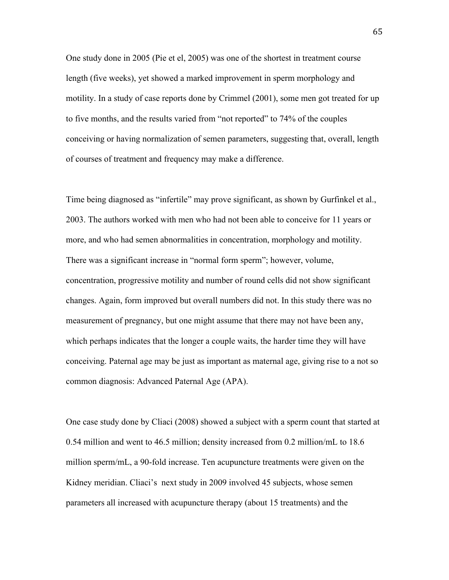One study done in 2005 (Pie et el, 2005) was one of the shortest in treatment course length (five weeks), yet showed a marked improvement in sperm morphology and motility. In a study of case reports done by Crimmel (2001), some men got treated for up to five months, and the results varied from "not reported" to 74% of the couples conceiving or having normalization of semen parameters, suggesting that, overall, length of courses of treatment and frequency may make a difference.

Time being diagnosed as "infertile" may prove significant, as shown by Gurfinkel et al., 2003. The authors worked with men who had not been able to conceive for 11 years or more, and who had semen abnormalities in concentration, morphology and motility. There was a significant increase in "normal form sperm"; however, volume, concentration, progressive motility and number of round cells did not show significant changes. Again, form improved but overall numbers did not. In this study there was no measurement of pregnancy, but one might assume that there may not have been any, which perhaps indicates that the longer a couple waits, the harder time they will have conceiving. Paternal age may be just as important as maternal age, giving rise to a not so common diagnosis: Advanced Paternal Age (APA).

One case study done by Cliaci (2008) showed a subject with a sperm count that started at 0.54 million and went to 46.5 million; density increased from 0.2 million/mL to 18.6 million sperm/mL, a 90-fold increase. Ten acupuncture treatments were given on the Kidney meridian. Cliaci's next study in 2009 involved 45 subjects, whose semen parameters all increased with acupuncture therapy (about 15 treatments) and the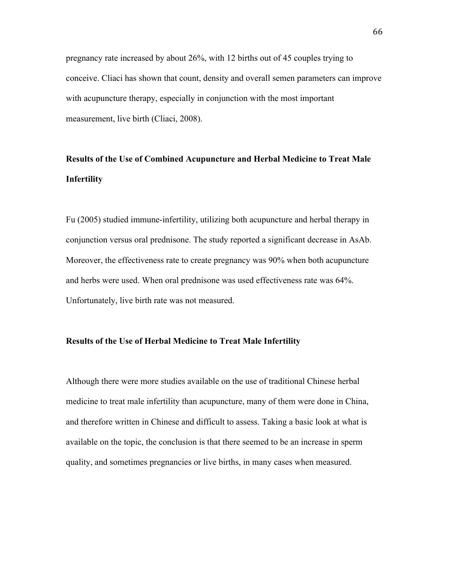pregnancy rate increased by about 26%, with 12 births out of 45 couples trying to conceive. Cliaci has shown that count, density and overall semen parameters can improve with acupuncture therapy, especially in conjunction with the most important measurement, live birth (Cliaci, 2008).

# **Results of the Use of Combined Acupuncture and Herbal Medicine to Treat Male Infertility**

Fu (2005) studied immune-infertility, utilizing both acupuncture and herbal therapy in conjunction versus oral prednisone. The study reported a significant decrease in AsAb. Moreover, the effectiveness rate to create pregnancy was 90% when both acupuncture and herbs were used. When oral prednisone was used effectiveness rate was 64%. Unfortunately, live birth rate was not measured.

# **Results of the Use of Herbal Medicine to Treat Male Infertility**

Although there were more studies available on the use of traditional Chinese herbal medicine to treat male infertility than acupuncture, many of them were done in China, and therefore written in Chinese and difficult to assess. Taking a basic look at what is available on the topic, the conclusion is that there seemed to be an increase in sperm quality, and sometimes pregnancies or live births, in many cases when measured.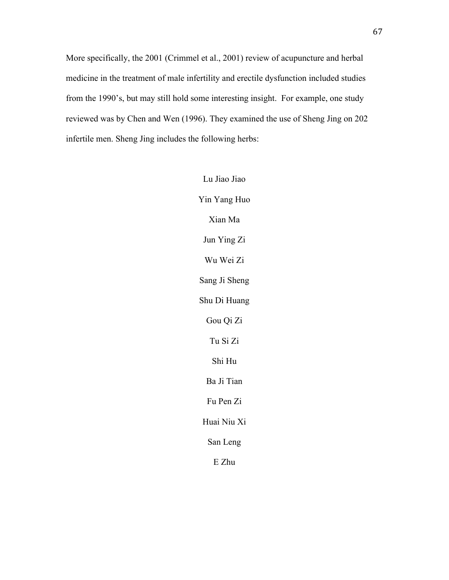More specifically, the 2001 (Crimmel et al., 2001) review of acupuncture and herbal medicine in the treatment of male infertility and erectile dysfunction included studies from the 1990's, but may still hold some interesting insight. For example, one study reviewed was by Chen and Wen (1996). They examined the use of Sheng Jing on 202 infertile men. Sheng Jing includes the following herbs:

> Lu Jiao Jiao Yin Yang Huo Xian Ma Jun Ying Zi Wu Wei Zi Sang Ji Sheng Shu Di Huang Gou Qi Zi Tu Si Zi Shi Hu Ba Ji Tian Fu Pen Zi Huai Niu Xi San Leng E Zhu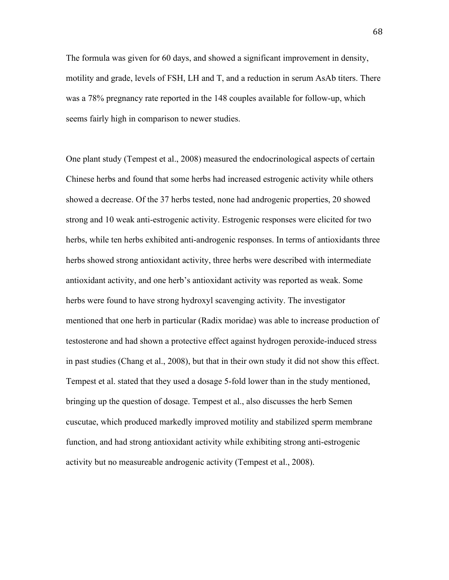The formula was given for 60 days, and showed a significant improvement in density, motility and grade, levels of FSH, LH and T, and a reduction in serum AsAb titers. There was a 78% pregnancy rate reported in the 148 couples available for follow-up, which seems fairly high in comparison to newer studies.

One plant study (Tempest et al., 2008) measured the endocrinological aspects of certain Chinese herbs and found that some herbs had increased estrogenic activity while others showed a decrease. Of the 37 herbs tested, none had androgenic properties, 20 showed strong and 10 weak anti-estrogenic activity. Estrogenic responses were elicited for two herbs, while ten herbs exhibited anti-androgenic responses. In terms of antioxidants three herbs showed strong antioxidant activity, three herbs were described with intermediate antioxidant activity, and one herb's antioxidant activity was reported as weak. Some herbs were found to have strong hydroxyl scavenging activity. The investigator mentioned that one herb in particular (Radix moridae) was able to increase production of testosterone and had shown a protective effect against hydrogen peroxide-induced stress in past studies (Chang et al., 2008), but that in their own study it did not show this effect. Tempest et al. stated that they used a dosage 5-fold lower than in the study mentioned, bringing up the question of dosage. Tempest et al., also discusses the herb Semen cuscutae, which produced markedly improved motility and stabilized sperm membrane function, and had strong antioxidant activity while exhibiting strong anti-estrogenic activity but no measureable androgenic activity (Tempest et al., 2008).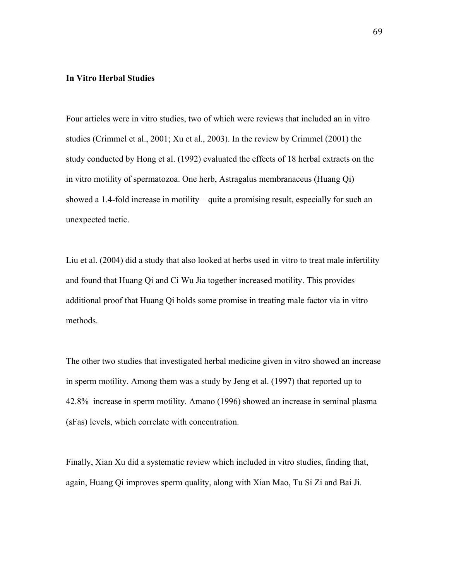## **In Vitro Herbal Studies**

Four articles were in vitro studies, two of which were reviews that included an in vitro studies (Crimmel et al., 2001; Xu et al., 2003). In the review by Crimmel (2001) the study conducted by Hong et al. (1992) evaluated the effects of 18 herbal extracts on the in vitro motility of spermatozoa. One herb, Astragalus membranaceus (Huang Qi) showed a 1.4-fold increase in motility – quite a promising result, especially for such an unexpected tactic.

Liu et al. (2004) did a study that also looked at herbs used in vitro to treat male infertility and found that Huang Qi and Ci Wu Jia together increased motility. This provides additional proof that Huang Qi holds some promise in treating male factor via in vitro methods.

The other two studies that investigated herbal medicine given in vitro showed an increase in sperm motility. Among them was a study by Jeng et al. (1997) that reported up to 42.8% increase in sperm motility. Amano (1996) showed an increase in seminal plasma (sFas) levels, which correlate with concentration.

Finally, Xian Xu did a systematic review which included in vitro studies, finding that, again, Huang Qi improves sperm quality, along with Xian Mao, Tu Si Zi and Bai Ji.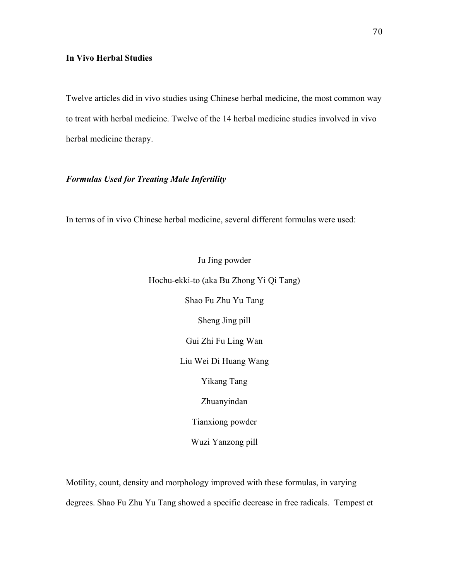# **In Vivo Herbal Studies**

Twelve articles did in vivo studies using Chinese herbal medicine, the most common way to treat with herbal medicine. Twelve of the 14 herbal medicine studies involved in vivo herbal medicine therapy.

# *Formulas Used for Treating Male Infertility*

In terms of in vivo Chinese herbal medicine, several different formulas were used:

Ju Jing powder Hochu-ekki-to (aka Bu Zhong Yi Qi Tang) Shao Fu Zhu Yu Tang Sheng Jing pill Gui Zhi Fu Ling Wan Liu Wei Di Huang Wang Yikang Tang Zhuanyindan Tianxiong powder Wuzi Yanzong pill

Motility, count, density and morphology improved with these formulas, in varying degrees. Shao Fu Zhu Yu Tang showed a specific decrease in free radicals. Tempest et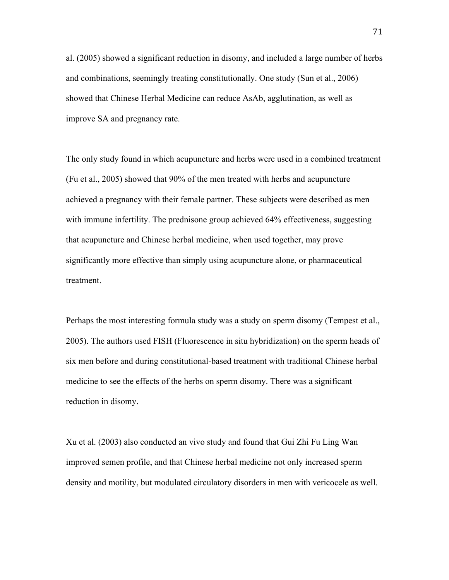al. (2005) showed a significant reduction in disomy, and included a large number of herbs and combinations, seemingly treating constitutionally. One study (Sun et al., 2006) showed that Chinese Herbal Medicine can reduce AsAb, agglutination, as well as improve SA and pregnancy rate.

The only study found in which acupuncture and herbs were used in a combined treatment (Fu et al., 2005) showed that 90% of the men treated with herbs and acupuncture achieved a pregnancy with their female partner. These subjects were described as men with immune infertility. The prednisone group achieved 64% effectiveness, suggesting that acupuncture and Chinese herbal medicine, when used together, may prove significantly more effective than simply using acupuncture alone, or pharmaceutical treatment.

Perhaps the most interesting formula study was a study on sperm disomy (Tempest et al., 2005). The authors used FISH (Fluorescence in situ hybridization) on the sperm heads of six men before and during constitutional-based treatment with traditional Chinese herbal medicine to see the effects of the herbs on sperm disomy. There was a significant reduction in disomy.

Xu et al. (2003) also conducted an vivo study and found that Gui Zhi Fu Ling Wan improved semen profile, and that Chinese herbal medicine not only increased sperm density and motility, but modulated circulatory disorders in men with vericocele as well.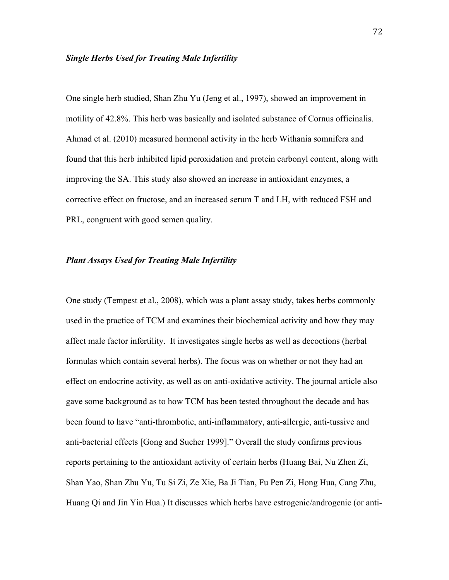# *Single Herbs Used for Treating Male Infertility*

One single herb studied, Shan Zhu Yu (Jeng et al., 1997), showed an improvement in motility of 42.8%. This herb was basically and isolated substance of Cornus officinalis. Ahmad et al. (2010) measured hormonal activity in the herb Withania somnifera and found that this herb inhibited lipid peroxidation and protein carbonyl content, along with improving the SA. This study also showed an increase in antioxidant enzymes, a corrective effect on fructose, and an increased serum T and LH, with reduced FSH and PRL, congruent with good semen quality.

# *Plant Assays Used for Treating Male Infertility*

One study (Tempest et al., 2008), which was a plant assay study, takes herbs commonly used in the practice of TCM and examines their biochemical activity and how they may affect male factor infertility. It investigates single herbs as well as decoctions (herbal formulas which contain several herbs). The focus was on whether or not they had an effect on endocrine activity, as well as on anti-oxidative activity. The journal article also gave some background as to how TCM has been tested throughout the decade and has been found to have "anti-thrombotic, anti-inflammatory, anti-allergic, anti-tussive and anti-bacterial effects [Gong and Sucher 1999]." Overall the study confirms previous reports pertaining to the antioxidant activity of certain herbs (Huang Bai, Nu Zhen Zi, Shan Yao, Shan Zhu Yu, Tu Si Zi, Ze Xie, Ba Ji Tian, Fu Pen Zi, Hong Hua, Cang Zhu, Huang Qi and Jin Yin Hua.) It discusses which herbs have estrogenic/androgenic (or anti-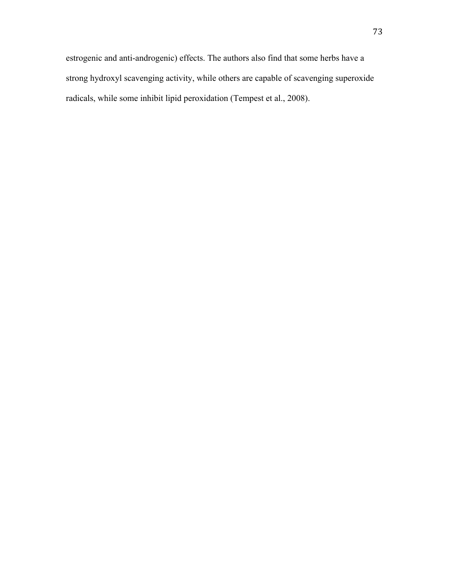estrogenic and anti-androgenic) effects. The authors also find that some herbs have a strong hydroxyl scavenging activity, while others are capable of scavenging superoxide radicals, while some inhibit lipid peroxidation (Tempest et al., 2008).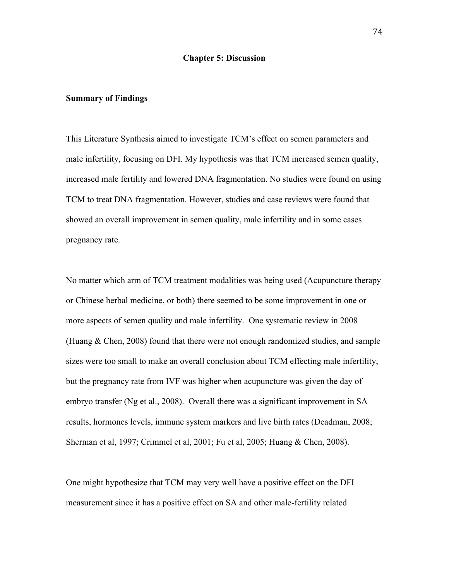#### **Chapter 5: Discussion**

#### **Summary of Findings**

This Literature Synthesis aimed to investigate TCM's effect on semen parameters and male infertility, focusing on DFI. My hypothesis was that TCM increased semen quality, increased male fertility and lowered DNA fragmentation. No studies were found on using TCM to treat DNA fragmentation. However, studies and case reviews were found that showed an overall improvement in semen quality, male infertility and in some cases pregnancy rate.

No matter which arm of TCM treatment modalities was being used (Acupuncture therapy or Chinese herbal medicine, or both) there seemed to be some improvement in one or more aspects of semen quality and male infertility. One systematic review in 2008 (Huang & Chen, 2008) found that there were not enough randomized studies, and sample sizes were too small to make an overall conclusion about TCM effecting male infertility, but the pregnancy rate from IVF was higher when acupuncture was given the day of embryo transfer (Ng et al., 2008). Overall there was a significant improvement in SA results, hormones levels, immune system markers and live birth rates (Deadman, 2008; Sherman et al, 1997; Crimmel et al, 2001; Fu et al, 2005; Huang & Chen, 2008).

One might hypothesize that TCM may very well have a positive effect on the DFI measurement since it has a positive effect on SA and other male-fertility related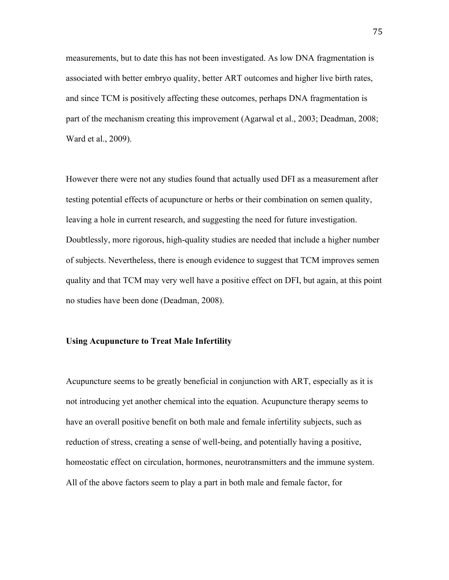measurements, but to date this has not been investigated. As low DNA fragmentation is associated with better embryo quality, better ART outcomes and higher live birth rates, and since TCM is positively affecting these outcomes, perhaps DNA fragmentation is part of the mechanism creating this improvement (Agarwal et al., 2003; Deadman, 2008; Ward et al., 2009).

However there were not any studies found that actually used DFI as a measurement after testing potential effects of acupuncture or herbs or their combination on semen quality, leaving a hole in current research, and suggesting the need for future investigation. Doubtlessly, more rigorous, high-quality studies are needed that include a higher number of subjects. Nevertheless, there is enough evidence to suggest that TCM improves semen quality and that TCM may very well have a positive effect on DFI, but again, at this point no studies have been done (Deadman, 2008).

## **Using Acupuncture to Treat Male Infertility**

Acupuncture seems to be greatly beneficial in conjunction with ART, especially as it is not introducing yet another chemical into the equation. Acupuncture therapy seems to have an overall positive benefit on both male and female infertility subjects, such as reduction of stress, creating a sense of well-being, and potentially having a positive, homeostatic effect on circulation, hormones, neurotransmitters and the immune system. All of the above factors seem to play a part in both male and female factor, for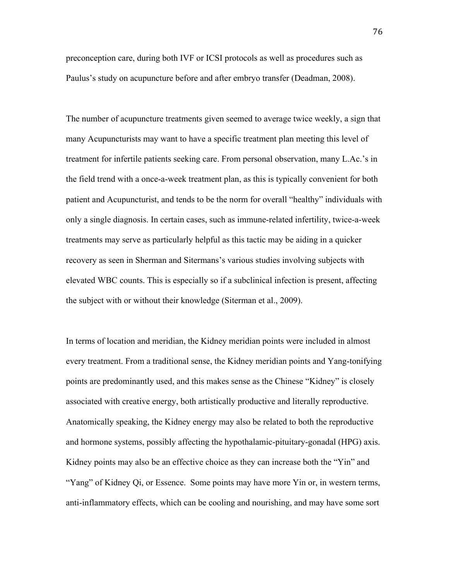preconception care, during both IVF or ICSI protocols as well as procedures such as Paulus's study on acupuncture before and after embryo transfer (Deadman, 2008).

The number of acupuncture treatments given seemed to average twice weekly, a sign that many Acupuncturists may want to have a specific treatment plan meeting this level of treatment for infertile patients seeking care. From personal observation, many L.Ac.'s in the field trend with a once-a-week treatment plan, as this is typically convenient for both patient and Acupuncturist, and tends to be the norm for overall "healthy" individuals with only a single diagnosis. In certain cases, such as immune-related infertility, twice-a-week treatments may serve as particularly helpful as this tactic may be aiding in a quicker recovery as seen in Sherman and Sitermans's various studies involving subjects with elevated WBC counts. This is especially so if a subclinical infection is present, affecting the subject with or without their knowledge (Siterman et al., 2009).

In terms of location and meridian, the Kidney meridian points were included in almost every treatment. From a traditional sense, the Kidney meridian points and Yang-tonifying points are predominantly used, and this makes sense as the Chinese "Kidney" is closely associated with creative energy, both artistically productive and literally reproductive. Anatomically speaking, the Kidney energy may also be related to both the reproductive and hormone systems, possibly affecting the hypothalamic-pituitary-gonadal (HPG) axis. Kidney points may also be an effective choice as they can increase both the "Yin" and "Yang" of Kidney Qi, or Essence. Some points may have more Yin or, in western terms, anti-inflammatory effects, which can be cooling and nourishing, and may have some sort

76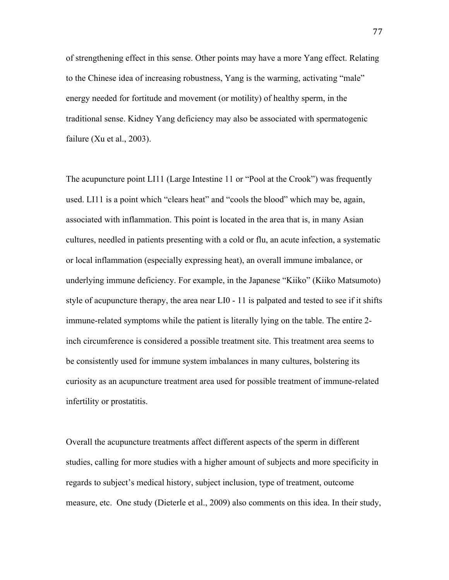of strengthening effect in this sense. Other points may have a more Yang effect. Relating to the Chinese idea of increasing robustness, Yang is the warming, activating "male" energy needed for fortitude and movement (or motility) of healthy sperm, in the traditional sense. Kidney Yang deficiency may also be associated with spermatogenic failure (Xu et al., 2003).

The acupuncture point LI11 (Large Intestine 11 or "Pool at the Crook") was frequently used. LI11 is a point which "clears heat" and "cools the blood" which may be, again, associated with inflammation. This point is located in the area that is, in many Asian cultures, needled in patients presenting with a cold or flu, an acute infection, a systematic or local inflammation (especially expressing heat), an overall immune imbalance, or underlying immune deficiency. For example, in the Japanese "Kiiko" (Kiiko Matsumoto) style of acupuncture therapy, the area near LI0 - 11 is palpated and tested to see if it shifts immune-related symptoms while the patient is literally lying on the table. The entire 2 inch circumference is considered a possible treatment site. This treatment area seems to be consistently used for immune system imbalances in many cultures, bolstering its curiosity as an acupuncture treatment area used for possible treatment of immune-related infertility or prostatitis.

Overall the acupuncture treatments affect different aspects of the sperm in different studies, calling for more studies with a higher amount of subjects and more specificity in regards to subject's medical history, subject inclusion, type of treatment, outcome measure, etc. One study (Dieterle et al., 2009) also comments on this idea. In their study,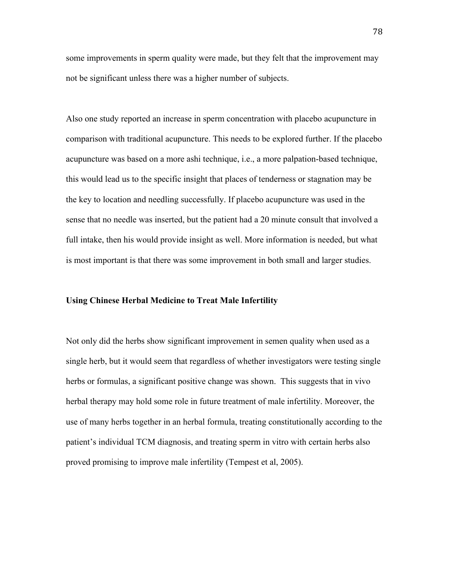some improvements in sperm quality were made, but they felt that the improvement may not be significant unless there was a higher number of subjects.

Also one study reported an increase in sperm concentration with placebo acupuncture in comparison with traditional acupuncture. This needs to be explored further. If the placebo acupuncture was based on a more ashi technique, i.e., a more palpation-based technique, this would lead us to the specific insight that places of tenderness or stagnation may be the key to location and needling successfully. If placebo acupuncture was used in the sense that no needle was inserted, but the patient had a 20 minute consult that involved a full intake, then his would provide insight as well. More information is needed, but what is most important is that there was some improvement in both small and larger studies.

#### **Using Chinese Herbal Medicine to Treat Male Infertility**

Not only did the herbs show significant improvement in semen quality when used as a single herb, but it would seem that regardless of whether investigators were testing single herbs or formulas, a significant positive change was shown. This suggests that in vivo herbal therapy may hold some role in future treatment of male infertility. Moreover, the use of many herbs together in an herbal formula, treating constitutionally according to the patient's individual TCM diagnosis, and treating sperm in vitro with certain herbs also proved promising to improve male infertility (Tempest et al, 2005).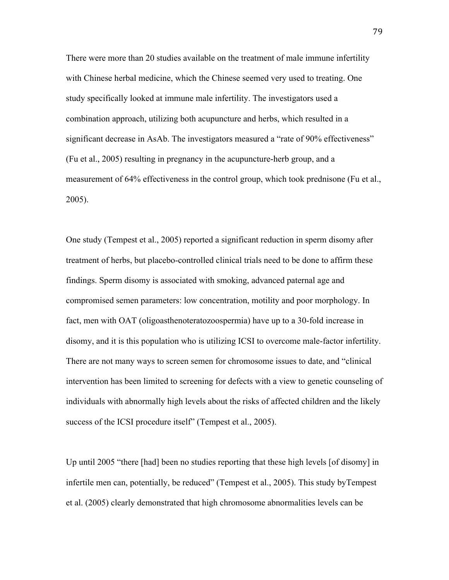There were more than 20 studies available on the treatment of male immune infertility with Chinese herbal medicine, which the Chinese seemed very used to treating. One study specifically looked at immune male infertility. The investigators used a combination approach, utilizing both acupuncture and herbs, which resulted in a significant decrease in AsAb. The investigators measured a "rate of 90% effectiveness" (Fu et al., 2005) resulting in pregnancy in the acupuncture-herb group, and a measurement of 64% effectiveness in the control group, which took prednisone (Fu et al., 2005).

One study (Tempest et al., 2005) reported a significant reduction in sperm disomy after treatment of herbs, but placebo-controlled clinical trials need to be done to affirm these findings. Sperm disomy is associated with smoking, advanced paternal age and compromised semen parameters: low concentration, motility and poor morphology. In fact, men with OAT (oligoasthenoteratozoospermia) have up to a 30-fold increase in disomy, and it is this population who is utilizing ICSI to overcome male-factor infertility. There are not many ways to screen semen for chromosome issues to date, and "clinical intervention has been limited to screening for defects with a view to genetic counseling of individuals with abnormally high levels about the risks of affected children and the likely success of the ICSI procedure itself" (Tempest et al., 2005).

Up until 2005 "there [had] been no studies reporting that these high levels [of disomy] in infertile men can, potentially, be reduced" (Tempest et al., 2005). This study byTempest et al. (2005) clearly demonstrated that high chromosome abnormalities levels can be

79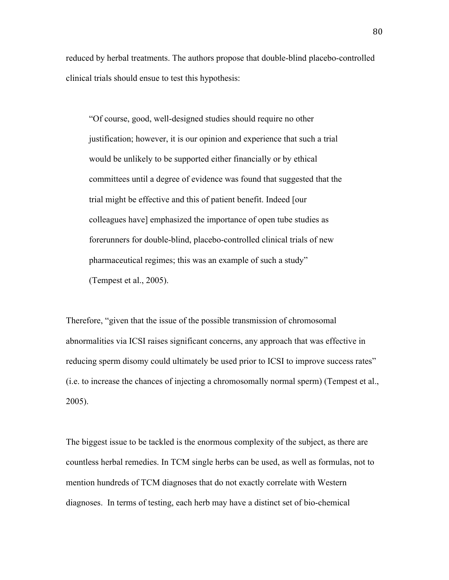reduced by herbal treatments. The authors propose that double-blind placebo-controlled clinical trials should ensue to test this hypothesis:

"Of course, good, well-designed studies should require no other justification; however, it is our opinion and experience that such a trial would be unlikely to be supported either financially or by ethical committees until a degree of evidence was found that suggested that the trial might be effective and this of patient benefit. Indeed [our colleagues have] emphasized the importance of open tube studies as forerunners for double-blind, placebo-controlled clinical trials of new pharmaceutical regimes; this was an example of such a study" (Tempest et al., 2005).

Therefore, "given that the issue of the possible transmission of chromosomal abnormalities via ICSI raises significant concerns, any approach that was effective in reducing sperm disomy could ultimately be used prior to ICSI to improve success rates" (i.e. to increase the chances of injecting a chromosomally normal sperm) (Tempest et al., 2005).

The biggest issue to be tackled is the enormous complexity of the subject, as there are countless herbal remedies. In TCM single herbs can be used, as well as formulas, not to mention hundreds of TCM diagnoses that do not exactly correlate with Western diagnoses. In terms of testing, each herb may have a distinct set of bio-chemical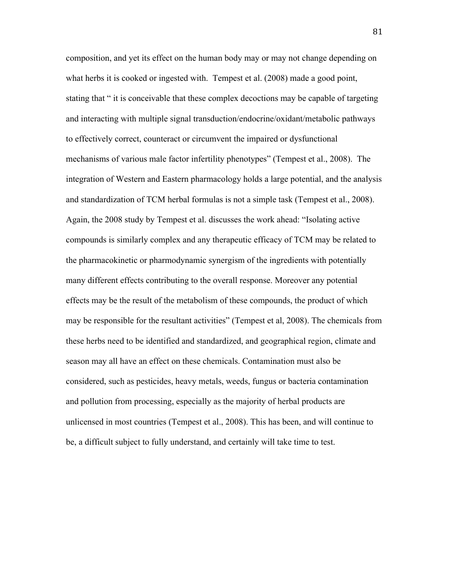composition, and yet its effect on the human body may or may not change depending on what herbs it is cooked or ingested with. Tempest et al. (2008) made a good point, stating that " it is conceivable that these complex decoctions may be capable of targeting and interacting with multiple signal transduction/endocrine/oxidant/metabolic pathways to effectively correct, counteract or circumvent the impaired or dysfunctional mechanisms of various male factor infertility phenotypes" (Tempest et al., 2008). The integration of Western and Eastern pharmacology holds a large potential, and the analysis and standardization of TCM herbal formulas is not a simple task (Tempest et al., 2008). Again, the 2008 study by Tempest et al. discusses the work ahead: "Isolating active compounds is similarly complex and any therapeutic efficacy of TCM may be related to the pharmacokinetic or pharmodynamic synergism of the ingredients with potentially many different effects contributing to the overall response. Moreover any potential effects may be the result of the metabolism of these compounds, the product of which may be responsible for the resultant activities" (Tempest et al, 2008). The chemicals from these herbs need to be identified and standardized, and geographical region, climate and season may all have an effect on these chemicals. Contamination must also be considered, such as pesticides, heavy metals, weeds, fungus or bacteria contamination and pollution from processing, especially as the majority of herbal products are unlicensed in most countries (Tempest et al., 2008). This has been, and will continue to be, a difficult subject to fully understand, and certainly will take time to test.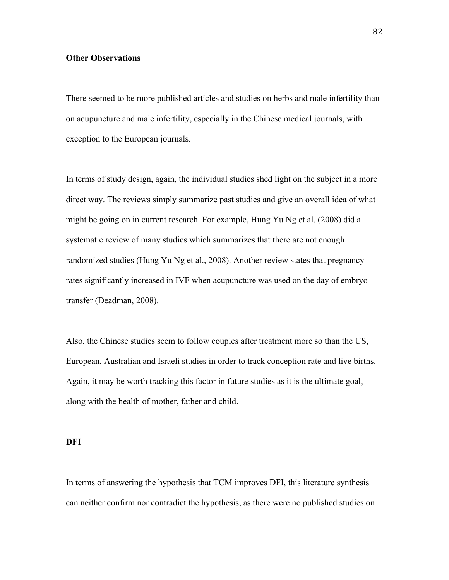## **Other Observations**

There seemed to be more published articles and studies on herbs and male infertility than on acupuncture and male infertility, especially in the Chinese medical journals, with exception to the European journals.

In terms of study design, again, the individual studies shed light on the subject in a more direct way. The reviews simply summarize past studies and give an overall idea of what might be going on in current research. For example, Hung Yu Ng et al. (2008) did a systematic review of many studies which summarizes that there are not enough randomized studies (Hung Yu Ng et al., 2008). Another review states that pregnancy rates significantly increased in IVF when acupuncture was used on the day of embryo transfer (Deadman, 2008).

Also, the Chinese studies seem to follow couples after treatment more so than the US, European, Australian and Israeli studies in order to track conception rate and live births. Again, it may be worth tracking this factor in future studies as it is the ultimate goal, along with the health of mother, father and child.

#### **DFI**

In terms of answering the hypothesis that TCM improves DFI, this literature synthesis can neither confirm nor contradict the hypothesis, as there were no published studies on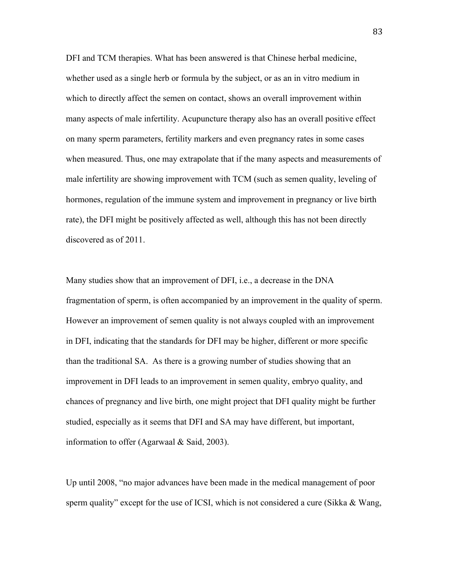DFI and TCM therapies. What has been answered is that Chinese herbal medicine, whether used as a single herb or formula by the subject, or as an in vitro medium in which to directly affect the semen on contact, shows an overall improvement within many aspects of male infertility. Acupuncture therapy also has an overall positive effect on many sperm parameters, fertility markers and even pregnancy rates in some cases when measured. Thus, one may extrapolate that if the many aspects and measurements of male infertility are showing improvement with TCM (such as semen quality, leveling of hormones, regulation of the immune system and improvement in pregnancy or live birth rate), the DFI might be positively affected as well, although this has not been directly discovered as of 2011.

Many studies show that an improvement of DFI, i.e., a decrease in the DNA fragmentation of sperm, is often accompanied by an improvement in the quality of sperm. However an improvement of semen quality is not always coupled with an improvement in DFI, indicating that the standards for DFI may be higher, different or more specific than the traditional SA. As there is a growing number of studies showing that an improvement in DFI leads to an improvement in semen quality, embryo quality, and chances of pregnancy and live birth, one might project that DFI quality might be further studied, especially as it seems that DFI and SA may have different, but important, information to offer (Agarwaal & Said, 2003).

Up until 2008, "no major advances have been made in the medical management of poor sperm quality" except for the use of ICSI, which is not considered a cure (Sikka & Wang,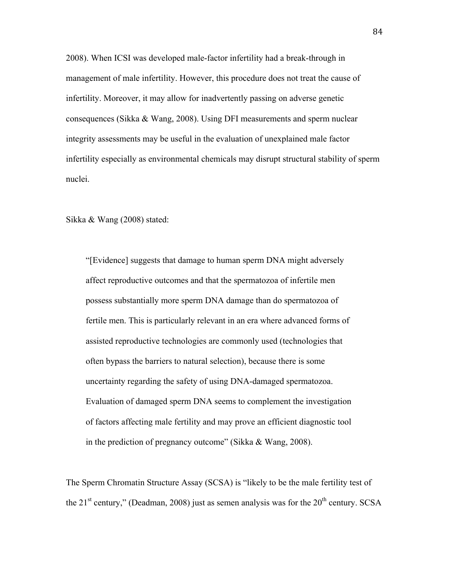2008). When ICSI was developed male-factor infertility had a break-through in management of male infertility. However, this procedure does not treat the cause of infertility. Moreover, it may allow for inadvertently passing on adverse genetic consequences (Sikka & Wang, 2008). Using DFI measurements and sperm nuclear integrity assessments may be useful in the evaluation of unexplained male factor infertility especially as environmental chemicals may disrupt structural stability of sperm nuclei.

Sikka & Wang (2008) stated:

"[Evidence] suggests that damage to human sperm DNA might adversely affect reproductive outcomes and that the spermatozoa of infertile men possess substantially more sperm DNA damage than do spermatozoa of fertile men. This is particularly relevant in an era where advanced forms of assisted reproductive technologies are commonly used (technologies that often bypass the barriers to natural selection), because there is some uncertainty regarding the safety of using DNA-damaged spermatozoa. Evaluation of damaged sperm DNA seems to complement the investigation of factors affecting male fertility and may prove an efficient diagnostic tool in the prediction of pregnancy outcome" (Sikka & Wang, 2008).

The Sperm Chromatin Structure Assay (SCSA) is "likely to be the male fertility test of the  $21<sup>st</sup>$  century," (Deadman, 2008) just as semen analysis was for the  $20<sup>th</sup>$  century. SCSA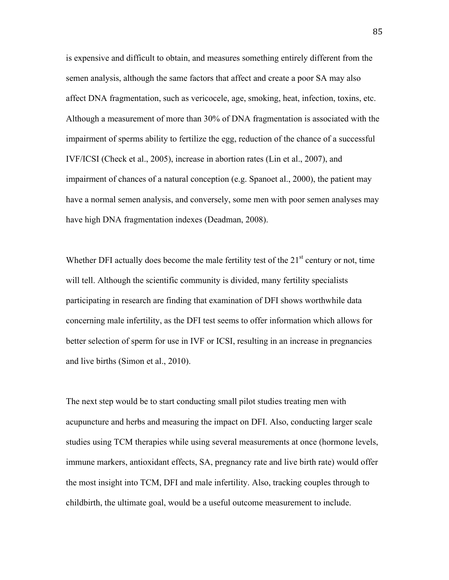is expensive and difficult to obtain, and measures something entirely different from the semen analysis, although the same factors that affect and create a poor SA may also affect DNA fragmentation, such as vericocele, age, smoking, heat, infection, toxins, etc. Although a measurement of more than 30% of DNA fragmentation is associated with the impairment of sperms ability to fertilize the egg, reduction of the chance of a successful IVF/ICSI (Check et al., 2005), increase in abortion rates (Lin et al., 2007), and impairment of chances of a natural conception (e.g. Spanoet al., 2000), the patient may have a normal semen analysis, and conversely, some men with poor semen analyses may have high DNA fragmentation indexes (Deadman, 2008).

Whether DFI actually does become the male fertility test of the  $21<sup>st</sup>$  century or not, time will tell. Although the scientific community is divided, many fertility specialists participating in research are finding that examination of DFI shows worthwhile data concerning male infertility, as the DFI test seems to offer information which allows for better selection of sperm for use in IVF or ICSI, resulting in an increase in pregnancies and live births (Simon et al., 2010).

The next step would be to start conducting small pilot studies treating men with acupuncture and herbs and measuring the impact on DFI. Also, conducting larger scale studies using TCM therapies while using several measurements at once (hormone levels, immune markers, antioxidant effects, SA, pregnancy rate and live birth rate) would offer the most insight into TCM, DFI and male infertility. Also, tracking couples through to childbirth, the ultimate goal, would be a useful outcome measurement to include.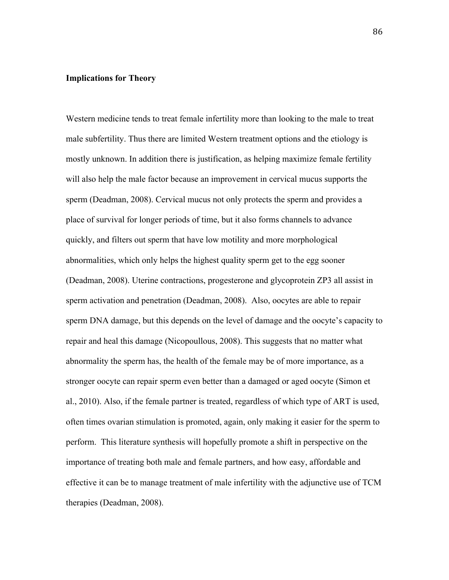## **Implications for Theory**

Western medicine tends to treat female infertility more than looking to the male to treat male subfertility. Thus there are limited Western treatment options and the etiology is mostly unknown. In addition there is justification, as helping maximize female fertility will also help the male factor because an improvement in cervical mucus supports the sperm (Deadman, 2008). Cervical mucus not only protects the sperm and provides a place of survival for longer periods of time, but it also forms channels to advance quickly, and filters out sperm that have low motility and more morphological abnormalities, which only helps the highest quality sperm get to the egg sooner (Deadman, 2008). Uterine contractions, progesterone and glycoprotein ZP3 all assist in sperm activation and penetration (Deadman, 2008). Also, oocytes are able to repair sperm DNA damage, but this depends on the level of damage and the oocyte's capacity to repair and heal this damage (Nicopoullous, 2008). This suggests that no matter what abnormality the sperm has, the health of the female may be of more importance, as a stronger oocyte can repair sperm even better than a damaged or aged oocyte (Simon et al., 2010). Also, if the female partner is treated, regardless of which type of ART is used, often times ovarian stimulation is promoted, again, only making it easier for the sperm to perform. This literature synthesis will hopefully promote a shift in perspective on the importance of treating both male and female partners, and how easy, affordable and effective it can be to manage treatment of male infertility with the adjunctive use of TCM therapies (Deadman, 2008).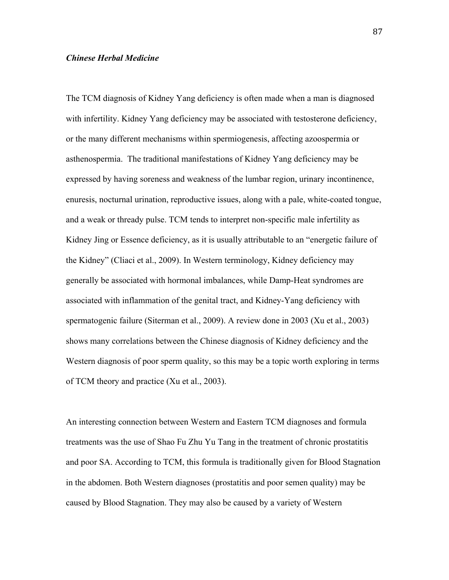### *Chinese Herbal Medicine*

The TCM diagnosis of Kidney Yang deficiency is often made when a man is diagnosed with infertility. Kidney Yang deficiency may be associated with testosterone deficiency, or the many different mechanisms within spermiogenesis, affecting azoospermia or asthenospermia. The traditional manifestations of Kidney Yang deficiency may be expressed by having soreness and weakness of the lumbar region, urinary incontinence, enuresis, nocturnal urination, reproductive issues, along with a pale, white-coated tongue, and a weak or thready pulse. TCM tends to interpret non-specific male infertility as Kidney Jing or Essence deficiency, as it is usually attributable to an "energetic failure of the Kidney" (Cliaci et al., 2009). In Western terminology, Kidney deficiency may generally be associated with hormonal imbalances, while Damp-Heat syndromes are associated with inflammation of the genital tract, and Kidney-Yang deficiency with spermatogenic failure (Siterman et al., 2009). A review done in 2003 (Xu et al., 2003) shows many correlations between the Chinese diagnosis of Kidney deficiency and the Western diagnosis of poor sperm quality, so this may be a topic worth exploring in terms of TCM theory and practice (Xu et al., 2003).

An interesting connection between Western and Eastern TCM diagnoses and formula treatments was the use of Shao Fu Zhu Yu Tang in the treatment of chronic prostatitis and poor SA. According to TCM, this formula is traditionally given for Blood Stagnation in the abdomen. Both Western diagnoses (prostatitis and poor semen quality) may be caused by Blood Stagnation. They may also be caused by a variety of Western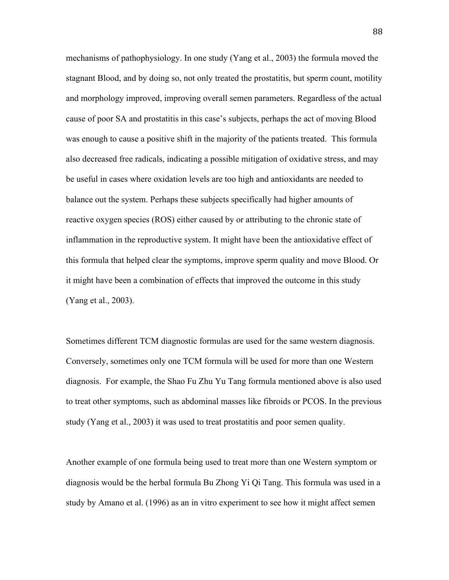mechanisms of pathophysiology. In one study (Yang et al., 2003) the formula moved the stagnant Blood, and by doing so, not only treated the prostatitis, but sperm count, motility and morphology improved, improving overall semen parameters. Regardless of the actual cause of poor SA and prostatitis in this case's subjects, perhaps the act of moving Blood was enough to cause a positive shift in the majority of the patients treated. This formula also decreased free radicals, indicating a possible mitigation of oxidative stress, and may be useful in cases where oxidation levels are too high and antioxidants are needed to balance out the system. Perhaps these subjects specifically had higher amounts of reactive oxygen species (ROS) either caused by or attributing to the chronic state of inflammation in the reproductive system. It might have been the antioxidative effect of this formula that helped clear the symptoms, improve sperm quality and move Blood. Or it might have been a combination of effects that improved the outcome in this study (Yang et al., 2003).

Sometimes different TCM diagnostic formulas are used for the same western diagnosis. Conversely, sometimes only one TCM formula will be used for more than one Western diagnosis. For example, the Shao Fu Zhu Yu Tang formula mentioned above is also used to treat other symptoms, such as abdominal masses like fibroids or PCOS. In the previous study (Yang et al., 2003) it was used to treat prostatitis and poor semen quality.

Another example of one formula being used to treat more than one Western symptom or diagnosis would be the herbal formula Bu Zhong Yi Qi Tang. This formula was used in a study by Amano et al. (1996) as an in vitro experiment to see how it might affect semen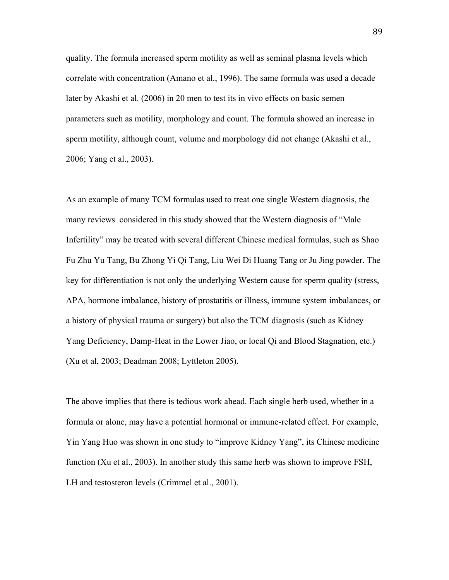quality. The formula increased sperm motility as well as seminal plasma levels which correlate with concentration (Amano et al., 1996). The same formula was used a decade later by Akashi et al. (2006) in 20 men to test its in vivo effects on basic semen parameters such as motility, morphology and count. The formula showed an increase in sperm motility, although count, volume and morphology did not change (Akashi et al., 2006; Yang et al., 2003).

As an example of many TCM formulas used to treat one single Western diagnosis, the many reviews considered in this study showed that the Western diagnosis of "Male Infertility" may be treated with several different Chinese medical formulas, such as Shao Fu Zhu Yu Tang, Bu Zhong Yi Qi Tang, Liu Wei Di Huang Tang or Ju Jing powder. The key for differentiation is not only the underlying Western cause for sperm quality (stress, APA, hormone imbalance, history of prostatitis or illness, immune system imbalances, or a history of physical trauma or surgery) but also the TCM diagnosis (such as Kidney Yang Deficiency, Damp-Heat in the Lower Jiao, or local Qi and Blood Stagnation, etc.) (Xu et al, 2003; Deadman 2008; Lyttleton 2005).

The above implies that there is tedious work ahead. Each single herb used, whether in a formula or alone, may have a potential hormonal or immune-related effect. For example, Yin Yang Huo was shown in one study to "improve Kidney Yang", its Chinese medicine function (Xu et al., 2003). In another study this same herb was shown to improve FSH, LH and testosteron levels (Crimmel et al., 2001).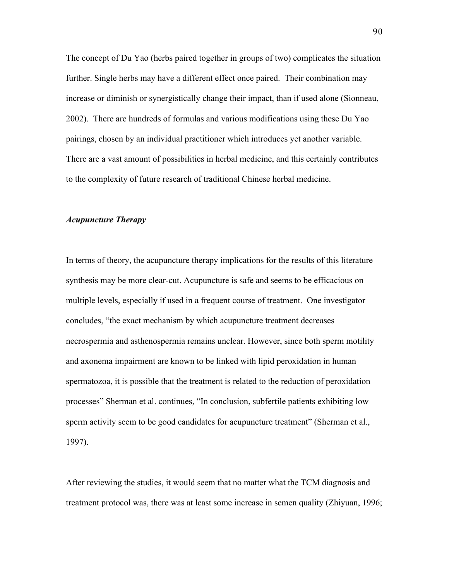The concept of Du Yao (herbs paired together in groups of two) complicates the situation further. Single herbs may have a different effect once paired. Their combination may increase or diminish or synergistically change their impact, than if used alone (Sionneau, 2002). There are hundreds of formulas and various modifications using these Du Yao pairings, chosen by an individual practitioner which introduces yet another variable. There are a vast amount of possibilities in herbal medicine, and this certainly contributes to the complexity of future research of traditional Chinese herbal medicine.

# *Acupuncture Therapy*

In terms of theory, the acupuncture therapy implications for the results of this literature synthesis may be more clear-cut. Acupuncture is safe and seems to be efficacious on multiple levels, especially if used in a frequent course of treatment. One investigator concludes, "the exact mechanism by which acupuncture treatment decreases necrospermia and asthenospermia remains unclear. However, since both sperm motility and axonema impairment are known to be linked with lipid peroxidation in human spermatozoa, it is possible that the treatment is related to the reduction of peroxidation processes" Sherman et al. continues, "In conclusion, subfertile patients exhibiting low sperm activity seem to be good candidates for acupuncture treatment" (Sherman et al., 1997).

After reviewing the studies, it would seem that no matter what the TCM diagnosis and treatment protocol was, there was at least some increase in semen quality (Zhiyuan, 1996;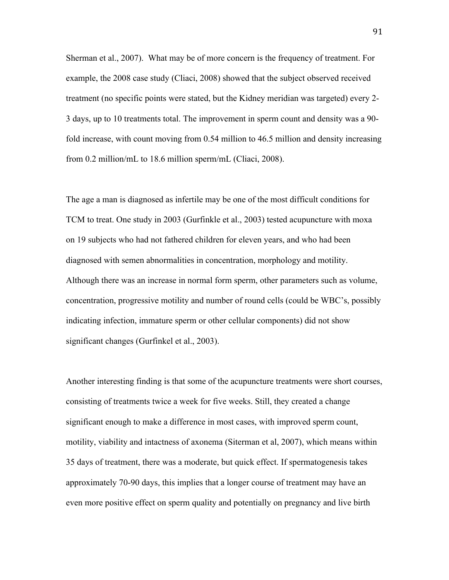Sherman et al., 2007). What may be of more concern is the frequency of treatment. For example, the 2008 case study (Cliaci, 2008) showed that the subject observed received treatment (no specific points were stated, but the Kidney meridian was targeted) every 2- 3 days, up to 10 treatments total. The improvement in sperm count and density was a 90 fold increase, with count moving from 0.54 million to 46.5 million and density increasing from 0.2 million/mL to 18.6 million sperm/mL (Cliaci, 2008).

The age a man is diagnosed as infertile may be one of the most difficult conditions for TCM to treat. One study in 2003 (Gurfinkle et al., 2003) tested acupuncture with moxa on 19 subjects who had not fathered children for eleven years, and who had been diagnosed with semen abnormalities in concentration, morphology and motility. Although there was an increase in normal form sperm, other parameters such as volume, concentration, progressive motility and number of round cells (could be WBC's, possibly indicating infection, immature sperm or other cellular components) did not show significant changes (Gurfinkel et al., 2003).

Another interesting finding is that some of the acupuncture treatments were short courses, consisting of treatments twice a week for five weeks. Still, they created a change significant enough to make a difference in most cases, with improved sperm count, motility, viability and intactness of axonema (Siterman et al, 2007), which means within 35 days of treatment, there was a moderate, but quick effect. If spermatogenesis takes approximately 70-90 days, this implies that a longer course of treatment may have an even more positive effect on sperm quality and potentially on pregnancy and live birth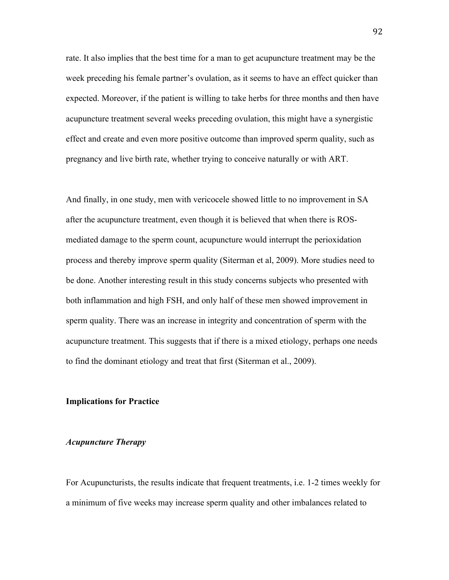rate. It also implies that the best time for a man to get acupuncture treatment may be the week preceding his female partner's ovulation, as it seems to have an effect quicker than expected. Moreover, if the patient is willing to take herbs for three months and then have acupuncture treatment several weeks preceding ovulation, this might have a synergistic effect and create and even more positive outcome than improved sperm quality, such as pregnancy and live birth rate, whether trying to conceive naturally or with ART.

And finally, in one study, men with vericocele showed little to no improvement in SA after the acupuncture treatment, even though it is believed that when there is ROSmediated damage to the sperm count, acupuncture would interrupt the perioxidation process and thereby improve sperm quality (Siterman et al, 2009). More studies need to be done. Another interesting result in this study concerns subjects who presented with both inflammation and high FSH, and only half of these men showed improvement in sperm quality. There was an increase in integrity and concentration of sperm with the acupuncture treatment. This suggests that if there is a mixed etiology, perhaps one needs to find the dominant etiology and treat that first (Siterman et al., 2009).

## **Implications for Practice**

# *Acupuncture Therapy*

For Acupuncturists, the results indicate that frequent treatments, i.e. 1-2 times weekly for a minimum of five weeks may increase sperm quality and other imbalances related to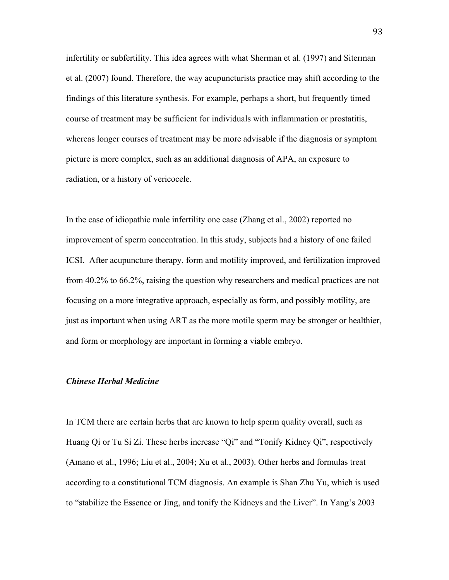infertility or subfertility. This idea agrees with what Sherman et al. (1997) and Siterman et al. (2007) found. Therefore, the way acupuncturists practice may shift according to the findings of this literature synthesis. For example, perhaps a short, but frequently timed course of treatment may be sufficient for individuals with inflammation or prostatitis, whereas longer courses of treatment may be more advisable if the diagnosis or symptom picture is more complex, such as an additional diagnosis of APA, an exposure to radiation, or a history of vericocele.

In the case of idiopathic male infertility one case (Zhang et al., 2002) reported no improvement of sperm concentration. In this study, subjects had a history of one failed ICSI. After acupuncture therapy, form and motility improved, and fertilization improved from 40.2% to 66.2%, raising the question why researchers and medical practices are not focusing on a more integrative approach, especially as form, and possibly motility, are just as important when using ART as the more motile sperm may be stronger or healthier, and form or morphology are important in forming a viable embryo.

## *Chinese Herbal Medicine*

In TCM there are certain herbs that are known to help sperm quality overall, such as Huang Qi or Tu Si Zi. These herbs increase "Qi" and "Tonify Kidney Qi", respectively (Amano et al., 1996; Liu et al., 2004; Xu et al., 2003). Other herbs and formulas treat according to a constitutional TCM diagnosis. An example is Shan Zhu Yu, which is used to "stabilize the Essence or Jing, and tonify the Kidneys and the Liver". In Yang's 2003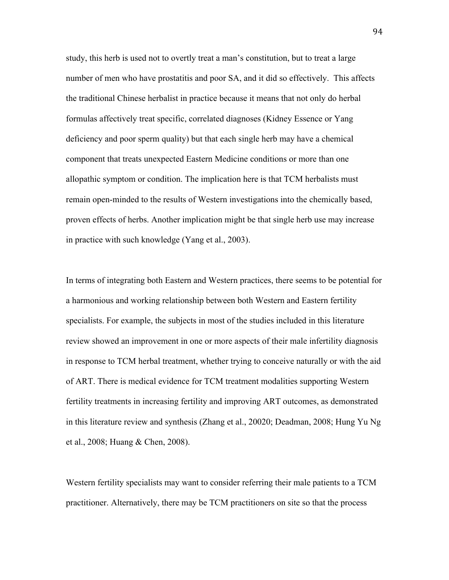study, this herb is used not to overtly treat a man's constitution, but to treat a large number of men who have prostatitis and poor SA, and it did so effectively. This affects the traditional Chinese herbalist in practice because it means that not only do herbal formulas affectively treat specific, correlated diagnoses (Kidney Essence or Yang deficiency and poor sperm quality) but that each single herb may have a chemical component that treats unexpected Eastern Medicine conditions or more than one allopathic symptom or condition. The implication here is that TCM herbalists must remain open-minded to the results of Western investigations into the chemically based, proven effects of herbs. Another implication might be that single herb use may increase in practice with such knowledge (Yang et al., 2003).

In terms of integrating both Eastern and Western practices, there seems to be potential for a harmonious and working relationship between both Western and Eastern fertility specialists. For example, the subjects in most of the studies included in this literature review showed an improvement in one or more aspects of their male infertility diagnosis in response to TCM herbal treatment, whether trying to conceive naturally or with the aid of ART. There is medical evidence for TCM treatment modalities supporting Western fertility treatments in increasing fertility and improving ART outcomes, as demonstrated in this literature review and synthesis (Zhang et al., 20020; Deadman, 2008; Hung Yu Ng et al., 2008; Huang & Chen, 2008).

Western fertility specialists may want to consider referring their male patients to a TCM practitioner. Alternatively, there may be TCM practitioners on site so that the process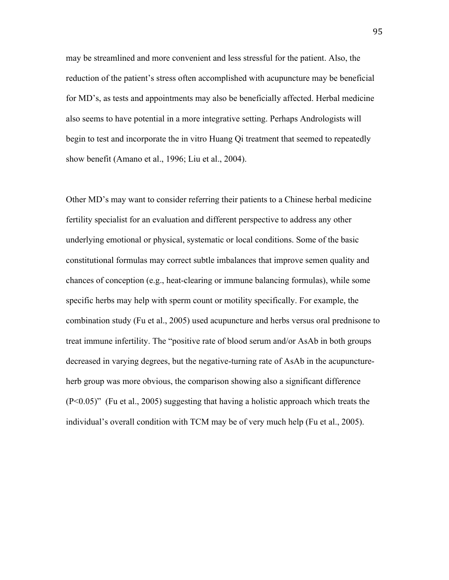may be streamlined and more convenient and less stressful for the patient. Also, the reduction of the patient's stress often accomplished with acupuncture may be beneficial for MD's, as tests and appointments may also be beneficially affected. Herbal medicine also seems to have potential in a more integrative setting. Perhaps Andrologists will begin to test and incorporate the in vitro Huang Qi treatment that seemed to repeatedly show benefit (Amano et al., 1996; Liu et al., 2004).

Other MD's may want to consider referring their patients to a Chinese herbal medicine fertility specialist for an evaluation and different perspective to address any other underlying emotional or physical, systematic or local conditions. Some of the basic constitutional formulas may correct subtle imbalances that improve semen quality and chances of conception (e.g., heat-clearing or immune balancing formulas), while some specific herbs may help with sperm count or motility specifically. For example, the combination study (Fu et al., 2005) used acupuncture and herbs versus oral prednisone to treat immune infertility. The "positive rate of blood serum and/or AsAb in both groups decreased in varying degrees, but the negative-turning rate of AsAb in the acupunctureherb group was more obvious, the comparison showing also a significant difference (P<0.05)" (Fu et al., 2005) suggesting that having a holistic approach which treats the individual's overall condition with TCM may be of very much help (Fu et al., 2005).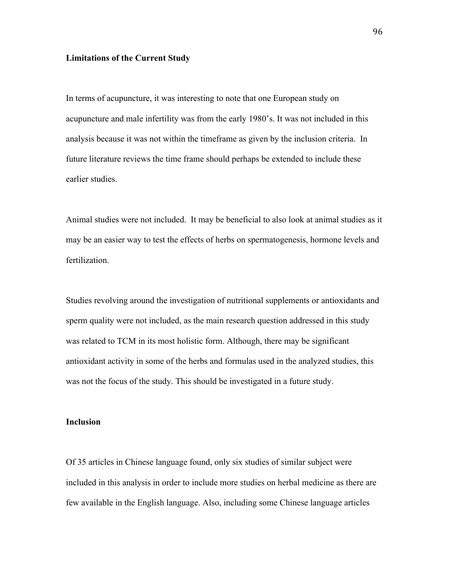## **Limitations of the Current Study**

In terms of acupuncture, it was interesting to note that one European study on acupuncture and male infertility was from the early 1980's. It was not included in this analysis because it was not within the timeframe as given by the inclusion criteria. In future literature reviews the time frame should perhaps be extended to include these earlier studies.

Animal studies were not included. It may be beneficial to also look at animal studies as it may be an easier way to test the effects of herbs on spermatogenesis, hormone levels and fertilization.

Studies revolving around the investigation of nutritional supplements or antioxidants and sperm quality were not included, as the main research question addressed in this study was related to TCM in its most holistic form. Although, there may be significant antioxidant activity in some of the herbs and formulas used in the analyzed studies, this was not the focus of the study. This should be investigated in a future study.

#### **Inclusion**

Of 35 articles in Chinese language found, only six studies of similar subject were included in this analysis in order to include more studies on herbal medicine as there are few available in the English language. Also, including some Chinese language articles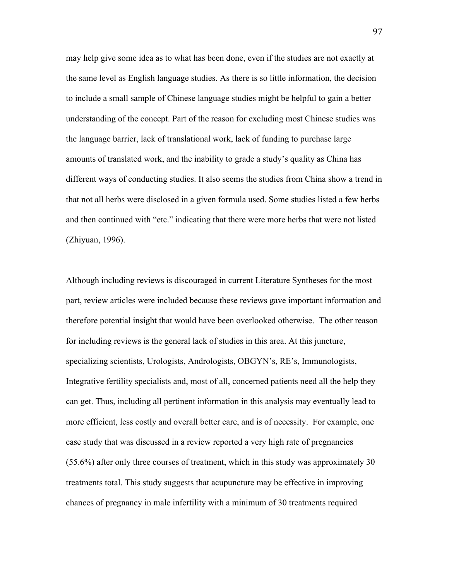may help give some idea as to what has been done, even if the studies are not exactly at the same level as English language studies. As there is so little information, the decision to include a small sample of Chinese language studies might be helpful to gain a better understanding of the concept. Part of the reason for excluding most Chinese studies was the language barrier, lack of translational work, lack of funding to purchase large amounts of translated work, and the inability to grade a study's quality as China has different ways of conducting studies. It also seems the studies from China show a trend in that not all herbs were disclosed in a given formula used. Some studies listed a few herbs and then continued with "etc." indicating that there were more herbs that were not listed (Zhiyuan, 1996).

Although including reviews is discouraged in current Literature Syntheses for the most part, review articles were included because these reviews gave important information and therefore potential insight that would have been overlooked otherwise. The other reason for including reviews is the general lack of studies in this area. At this juncture, specializing scientists, Urologists, Andrologists, OBGYN's, RE's, Immunologists, Integrative fertility specialists and, most of all, concerned patients need all the help they can get. Thus, including all pertinent information in this analysis may eventually lead to more efficient, less costly and overall better care, and is of necessity. For example, one case study that was discussed in a review reported a very high rate of pregnancies (55.6%) after only three courses of treatment, which in this study was approximately 30 treatments total. This study suggests that acupuncture may be effective in improving chances of pregnancy in male infertility with a minimum of 30 treatments required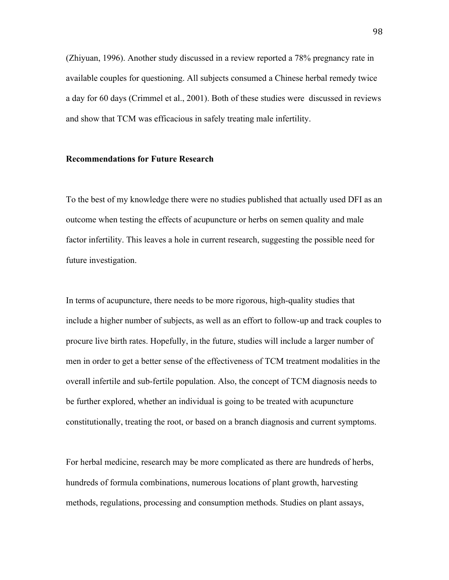(Zhiyuan, 1996). Another study discussed in a review reported a 78% pregnancy rate in available couples for questioning. All subjects consumed a Chinese herbal remedy twice a day for 60 days (Crimmel et al., 2001). Both of these studies were discussed in reviews and show that TCM was efficacious in safely treating male infertility.

### **Recommendations for Future Research**

To the best of my knowledge there were no studies published that actually used DFI as an outcome when testing the effects of acupuncture or herbs on semen quality and male factor infertility. This leaves a hole in current research, suggesting the possible need for future investigation.

In terms of acupuncture, there needs to be more rigorous, high-quality studies that include a higher number of subjects, as well as an effort to follow-up and track couples to procure live birth rates. Hopefully, in the future, studies will include a larger number of men in order to get a better sense of the effectiveness of TCM treatment modalities in the overall infertile and sub-fertile population. Also, the concept of TCM diagnosis needs to be further explored, whether an individual is going to be treated with acupuncture constitutionally, treating the root, or based on a branch diagnosis and current symptoms.

For herbal medicine, research may be more complicated as there are hundreds of herbs, hundreds of formula combinations, numerous locations of plant growth, harvesting methods, regulations, processing and consumption methods. Studies on plant assays,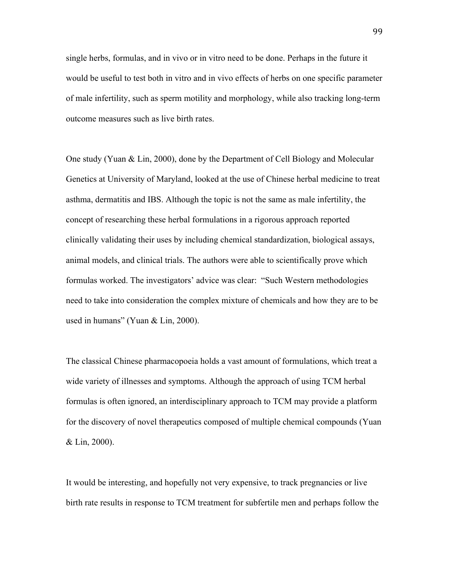single herbs, formulas, and in vivo or in vitro need to be done. Perhaps in the future it would be useful to test both in vitro and in vivo effects of herbs on one specific parameter of male infertility, such as sperm motility and morphology, while also tracking long-term outcome measures such as live birth rates.

One study (Yuan & Lin, 2000), done by the Department of Cell Biology and Molecular Genetics at University of Maryland, looked at the use of Chinese herbal medicine to treat asthma, dermatitis and IBS. Although the topic is not the same as male infertility, the concept of researching these herbal formulations in a rigorous approach reported clinically validating their uses by including chemical standardization, biological assays, animal models, and clinical trials. The authors were able to scientifically prove which formulas worked. The investigators' advice was clear: "Such Western methodologies need to take into consideration the complex mixture of chemicals and how they are to be used in humans" (Yuan & Lin, 2000).

The classical Chinese pharmacopoeia holds a vast amount of formulations, which treat a wide variety of illnesses and symptoms. Although the approach of using TCM herbal formulas is often ignored, an interdisciplinary approach to TCM may provide a platform for the discovery of novel therapeutics composed of multiple chemical compounds (Yuan & Lin, 2000).

It would be interesting, and hopefully not very expensive, to track pregnancies or live birth rate results in response to TCM treatment for subfertile men and perhaps follow the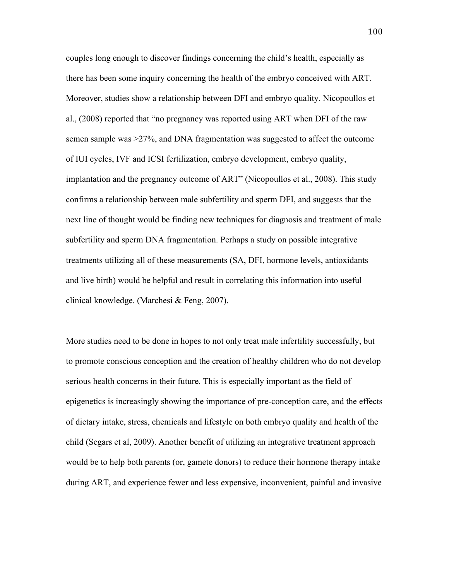couples long enough to discover findings concerning the child's health, especially as there has been some inquiry concerning the health of the embryo conceived with ART. Moreover, studies show a relationship between DFI and embryo quality. Nicopoullos et al., (2008) reported that "no pregnancy was reported using ART when DFI of the raw semen sample was >27%, and DNA fragmentation was suggested to affect the outcome of IUI cycles, IVF and ICSI fertilization, embryo development, embryo quality, implantation and the pregnancy outcome of ART" (Nicopoullos et al., 2008). This study confirms a relationship between male subfertility and sperm DFI, and suggests that the next line of thought would be finding new techniques for diagnosis and treatment of male subfertility and sperm DNA fragmentation. Perhaps a study on possible integrative treatments utilizing all of these measurements (SA, DFI, hormone levels, antioxidants and live birth) would be helpful and result in correlating this information into useful clinical knowledge. (Marchesi & Feng, 2007).

More studies need to be done in hopes to not only treat male infertility successfully, but to promote conscious conception and the creation of healthy children who do not develop serious health concerns in their future. This is especially important as the field of epigenetics is increasingly showing the importance of pre-conception care, and the effects of dietary intake, stress, chemicals and lifestyle on both embryo quality and health of the child (Segars et al, 2009). Another benefit of utilizing an integrative treatment approach would be to help both parents (or, gamete donors) to reduce their hormone therapy intake during ART, and experience fewer and less expensive, inconvenient, painful and invasive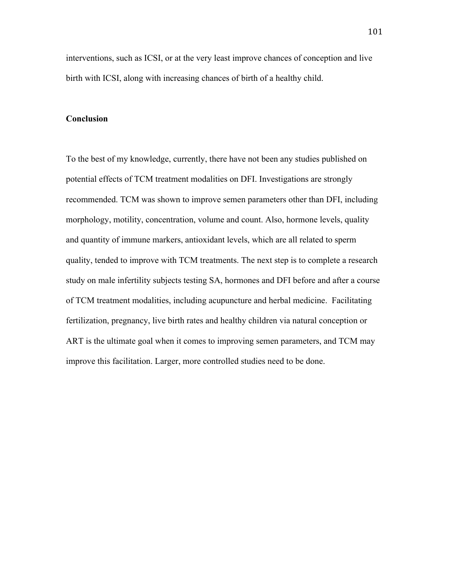interventions, such as ICSI, or at the very least improve chances of conception and live birth with ICSI, along with increasing chances of birth of a healthy child.

# **Conclusion**

To the best of my knowledge, currently, there have not been any studies published on potential effects of TCM treatment modalities on DFI. Investigations are strongly recommended. TCM was shown to improve semen parameters other than DFI, including morphology, motility, concentration, volume and count. Also, hormone levels, quality and quantity of immune markers, antioxidant levels, which are all related to sperm quality, tended to improve with TCM treatments. The next step is to complete a research study on male infertility subjects testing SA, hormones and DFI before and after a course of TCM treatment modalities, including acupuncture and herbal medicine. Facilitating fertilization, pregnancy, live birth rates and healthy children via natural conception or ART is the ultimate goal when it comes to improving semen parameters, and TCM may improve this facilitation. Larger, more controlled studies need to be done.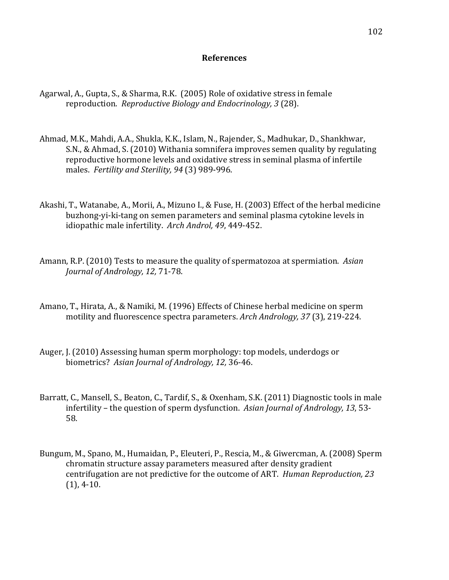# **References**

- Agarwal, A., Gupta, S., & Sharma, R.K. (2005) Role of oxidative stress in female reproduction. *Reproductive Biology and Endocrinology, 3* (28).
- Ahmad, M.K., Mahdi, A.A., Shukla, K.K., Islam, N., Rajender, S., Madhukar, D., Shankhwar, S.N., & Ahmad, S. (2010) Withania somnifera improves semen quality by regulating reproductive hormone levels and oxidative stress in seminal plasma of infertile males. Fertility and Sterility, 94 (3) 989-996.
- Akashi, T., Watanabe, A., Morii, A., Mizuno I., & Fuse, H. (2003) Effect of the herbal medicine buzhong-yi-ki-tang on semen parameters and seminal plasma cytokine levels in idiopathic male infertility. Arch Androl, 49, 449-452.
- Amann, R.P. (2010) Tests to measure the quality of spermatozoa at spermiation. Asian *Journal of Andrology, 12, 71-78.*
- Amano, T., Hirata, A., & Namiki, M. (1996) Effects of Chinese herbal medicine on sperm motility and fluorescence spectra parameters. *Arch Andrology, 37* (3), 219-224.
- Auger, J. (2010) Assessing human sperm morphology: top models, underdogs or biometrics? Asian Journal of Andrology, 12, 36-46.
- Barratt, C., Mansell, S., Beaton, C., Tardif, S., & Oxenham, S.K. (2011) Diagnostic tools in male infertility – the question of sperm dysfunction. *Asian Journal of Andrology, 13*, 53-58.
- Bungum, M., Spano, M., Humaidan, P., Eleuteri, P., Rescia, M., & Giwercman, A. (2008) Sperm chromatin structure assay parameters measured after density gradient centrifugation are not predictive for the outcome of ART. *Human Reproduction, 23*  $(1), 4-10.$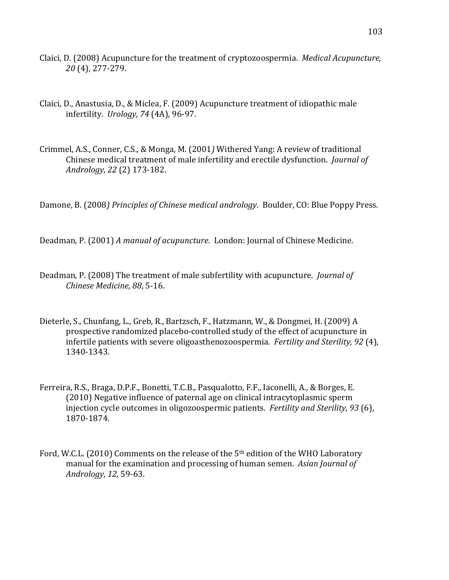- Claici, D. (2008) Acupuncture for the treatment of cryptozoospermia. *Medical Acupuncture*, *20* (4), 277-279.
- Claici, D., Anastusia, D., & Miclea, F. (2009) Acupuncture treatment of idiopathic male infertility. *Urology*, 74 (4A), 96-97.
- Crimmel, A.S., Conner, C.S., & Monga, M. (2001) Withered Yang: A review of traditional Chinese medical treatment of male infertility and erectile dysfunction. *Journal of Andrology, 22* (2) 173-182.

Damone, B. (2008) Principles of Chinese medical andrology. Boulder, CO: Blue Poppy Press.

Deadman, P. (2001) A manual of acupuncture. London: Journal of Chinese Medicine.

- Deadman, P. (2008) The treatment of male subfertility with acupuncture. *Journal of Chinese Medicine, 88, 5-16.*
- Dieterle, S., Chunfang, L., Greb, R., Bartzsch, F., Hatzmann, W., & Dongmei, H. (2009) A prospective randomized placebo-controlled study of the effect of acupuncture in infertile patients with severe oligoasthenozoospermia. *Fertility and Sterility, 92* (4), 1340-1343.
- Ferreira, R.S., Braga, D.P.F., Bonetti, T.C.B., Pasqualotto, F.F., Iaconelli, A., & Borges, E.  $(2010)$  Negative influence of paternal age on clinical intracytoplasmic sperm injection cycle outcomes in oligozoospermic patients. *Fertility and Sterility, 93* (6), 1870-1874.
- Ford, W.C.L. (2010) Comments on the release of the  $5<sup>th</sup>$  edition of the WHO Laboratory manual for the examination and processing of human semen. *Asian Journal of Andrology, 12, 59-63.*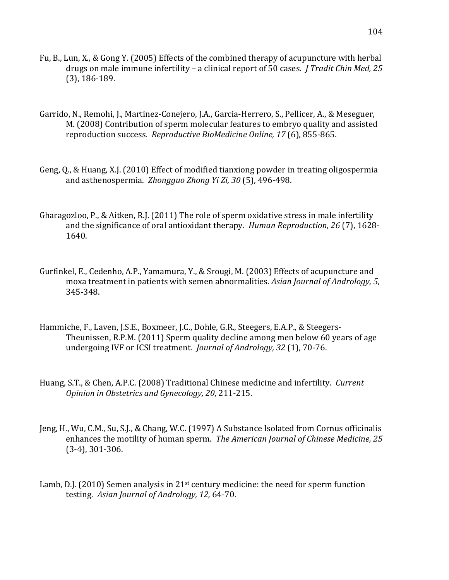- Fu, B., Lun, X., & Gong Y. (2005) Effects of the combined therapy of acupuncture with herbal drugs on male immune infertility – a clinical report of 50 cases. *J Tradit Chin Med, 25*  $(3)$ , 186-189.
- Garrido, N., Remohi, J., Martinez-Conejero, J.A., Garcia-Herrero, S., Pellicer, A., & Meseguer, M. (2008) Contribution of sperm molecular features to embryo quality and assisted reproduction success. *Reproductive BioMedicine Online, 17* (6), 855-865.
- Geng, Q., & Huang, X.J. (2010) Effect of modified tianxiong powder in treating oligospermia and asthenospermia. Zhongguo Zhong Yi Zi, 30 (5), 496-498.
- Gharagozloo, P., & Aitken, R.J. (2011) The role of sperm oxidative stress in male infertility and the significance of oral antioxidant therapy. *Human Reproduction, 26* (7), 1628-1640.
- Gurfinkel, E., Cedenho, A.P., Yamamura, Y., & Srougi, M. (2003) Effects of acupuncture and moxa treatment in patients with semen abnormalities. *Asian Journal of Andrology*, 5, 345-348.
- Hammiche, F., Laven, J.S.E., Boxmeer, J.C., Dohle, G.R., Steegers, E.A.P., & Steegers-Theunissen, R.P.M. (2011) Sperm quality decline among men below 60 years of age undergoing IVF or ICSI treatment. *Journal of Andrology, 32* (1), 70-76.
- Huang, S.T., & Chen, A.P.C. (2008) Traditional Chinese medicine and infertility. *Current Opinion in Obstetrics and Gynecology, 20, 211-215.*
- Jeng, H., Wu, C.M., Su, S.J., & Chang, W.C. (1997) A Substance Isolated from Cornus officinalis enhances the motility of human sperm. *The American Journal of Chinese Medicine, 25*  $(3-4)$ , 301 $-306$ .
- Lamb, D.J. (2010) Semen analysis in  $21<sup>st</sup>$  century medicine: the need for sperm function testing. Asian Journal of Andrology, 12, 64-70.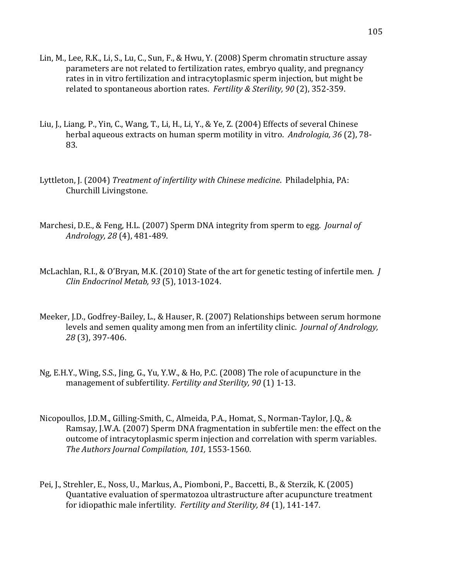- Lin, M., Lee, R.K., Li, S., Lu, C., Sun, F., & Hwu, Y. (2008) Sperm chromatin structure assay parameters are not related to fertilization rates, embryo quality, and pregnancy rates in in vitro fertilization and intracytoplasmic sperm injection, but might be related to spontaneous abortion rates. *Fertility & Sterility, 90* (2), 352-359.
- Liu, J., Liang, P., Yin, C., Wang, T., Li, H., Li, Y., & Ye, Z. (2004) Effects of several Chinese herbal aqueous extracts on human sperm motility in vitro. *Andrologia, 36* (2), 78-83.
- Lyttleton, J. (2004) *Treatment of infertility with Chinese medicine*. Philadelphia, PA: Churchill Livingstone.
- Marchesi, D.E., & Feng, H.L. (2007) Sperm DNA integrity from sperm to egg. *Journal of Andrology, 28* (4), 481-489.
- McLachlan, R.I., & O'Bryan, M.K. (2010) State of the art for genetic testing of infertile men. *I Clin Endocrinol Metab, 93* (5), 1013-1024.
- Meeker, J.D., Godfrey-Bailey, L., & Hauser, R. (2007) Relationships between serum hormone levels and semen quality among men from an infertility clinic. *Journal of Andrology*, *28* (3), 397-406.
- Ng, E.H.Y., Wing, S.S., Jing, G., Yu, Y.W., & Ho, P.C. (2008) The role of acupuncture in the management of subfertility. *Fertility and Sterility, 90* (1) 1-13.
- Nicopoullos, J.D.M., Gilling-Smith, C., Almeida, P.A., Homat, S., Norman-Taylor, J.Q., & Ramsay, J.W.A. (2007) Sperm DNA fragmentation in subfertile men: the effect on the outcome of intracytoplasmic sperm injection and correlation with sperm variables. *The Authors Journal Compilation, 101, 1553-1560.*
- Pei, J., Strehler, E., Noss, U., Markus, A., Piomboni, P., Baccetti, B., & Sterzik, K. (2005) Quantative evaluation of spermatozoa ultrastructure after acupuncture treatment for idiopathic male infertility. *Fertility and Sterility, 84* (1), 141-147.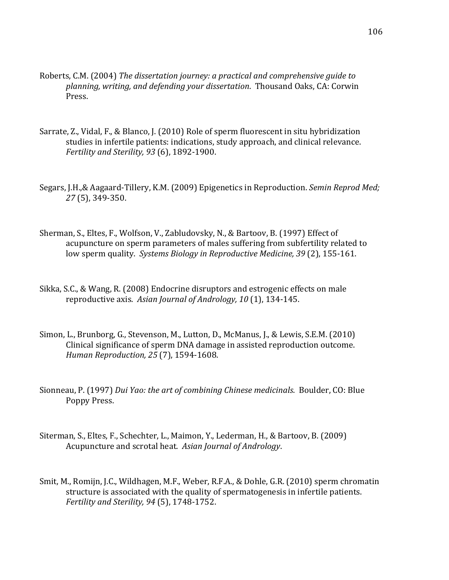- Roberts, C.M. (2004) The dissertation journey: a practical and comprehensive guide to planning, writing, and defending your dissertation. Thousand Oaks, CA: Corwin Press.
- Sarrate, Z., Vidal, F., & Blanco, J. (2010) Role of sperm fluorescent in situ hybridization studies in infertile patients: indications, study approach, and clinical relevance. *Fertility and Sterility, 93* (6), 1892-1900.
- Segars, J.H.,& Aagaard-Tillery, K.M. (2009) Epigenetics in Reproduction. *Semin Reprod Med; 27* (5), 349-350.
- Sherman, S., Eltes, F., Wolfson, V., Zabludovsky, N., & Bartoov, B. (1997) Effect of acupuncture on sperm parameters of males suffering from subfertility related to low sperm quality. Systems Biology in Reproductive Medicine, 39 (2), 155-161.
- Sikka, S.C., & Wang, R. (2008) Endocrine disruptors and estrogenic effects on male reproductive axis. Asian Journal of Andrology, 10 (1), 134-145.
- Simon, L., Brunborg, G., Stevenson, M., Lutton, D., McManus, J., & Lewis, S.E.M. (2010) Clinical significance of sperm DNA damage in assisted reproduction outcome. *Human Reproduction, 25 (7), 1594-1608.*
- Sionneau, P. (1997) *Dui Yao: the art of combining Chinese medicinals*. Boulder, CO: Blue Poppy Press.
- Siterman, S., Eltes, F., Schechter, L., Maimon, Y., Lederman, H., & Bartoov, B. (2009) Acupuncture and scrotal heat. Asian Journal of Andrology.
- Smit, M., Romijn, J.C., Wildhagen, M.F., Weber, R.F.A., & Dohle, G.R. (2010) sperm chromatin structure is associated with the quality of spermatogenesis in infertile patients. *Fertility and Sterility, 94 (5), 1748-1752.*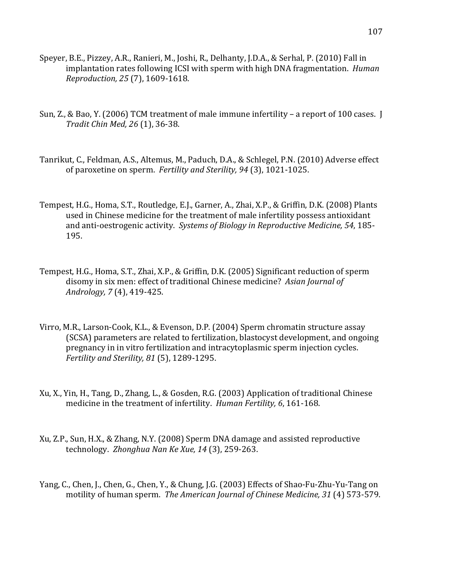- Speyer, B.E., Pizzey, A.R., Ranieri, M., Joshi, R., Delhanty, J.D.A., & Serhal, P. (2010) Fall in implantation rates following ICSI with sperm with high DNA fragmentation. *Human Reproduction, 25 (7), 1609-1618.*
- Sun, Z., & Bao, Y. (2006) TCM treatment of male immune infertility a report of 100 cases. I *Tradit Chin Med, 26* (1), 36-38.
- Tanrikut, C., Feldman, A.S., Altemus, M., Paduch, D.A., & Schlegel, P.N. (2010) Adverse effect of paroxetine on sperm. Fertility and Sterility, 94 (3), 1021-1025.
- Tempest, H.G., Homa, S.T., Routledge, E.J., Garner, A., Zhai, X.P., & Griffin, D.K. (2008) Plants used in Chinese medicine for the treatment of male infertility possess antioxidant and anti-oestrogenic activity. Systems of Biology in Reproductive Medicine, 54, 185-195.
- Tempest, H.G., Homa, S.T., Zhai, X.P., & Griffin, D.K. (2005) Significant reduction of sperm disomy in six men: effect of traditional Chinese medicine? Asian Journal of *Andrology, 7*(4), 419-425.
- Virro, M.R., Larson-Cook, K.L., & Evenson, D.P. (2004) Sperm chromatin structure assay (SCSA) parameters are related to fertilization, blastocyst development, and ongoing pregnancy in in vitro fertilization and intracytoplasmic sperm injection cycles. *Fertility and Sterility, 81* (5), 1289-1295.
- Xu, X., Yin, H., Tang, D., Zhang, L., & Gosden, R.G. (2003) Application of traditional Chinese medicine in the treatment of infertility. *Human Fertility*, 6, 161-168.
- Xu, Z.P., Sun, H.X., & Zhang, N.Y. (2008) Sperm DNA damage and assisted reproductive technology. *Zhonghua Nan Ke Xue, 14* (3), 259-263.
- Yang, C., Chen, J., Chen, G., Chen, Y., & Chung, J.G. (2003) Effects of Shao-Fu-Zhu-Yu-Tang on motility of human sperm. The American Journal of Chinese Medicine, 31 (4) 573-579.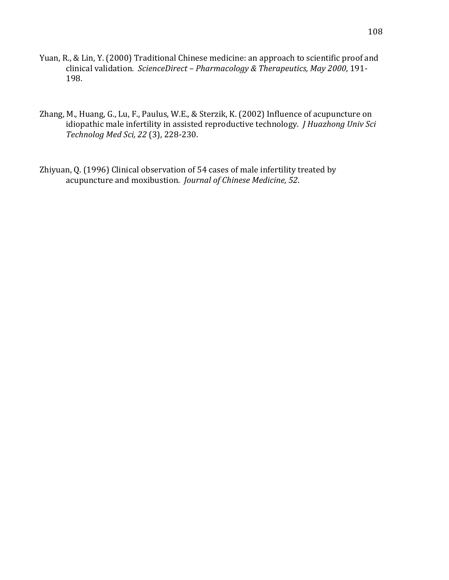- Yuan, R., & Lin, Y. (2000) Traditional Chinese medicine: an approach to scientific proof and clinical validation. ScienceDirect - *Pharmacology & Therapeutics, May 2000*, 191-198.
- Zhang, M., Huang, G., Lu, F., Paulus, W.E., & Sterzik, K. (2002) Influence of acupuncture on idiopathic male infertility in assisted reproductive technology. *J Huazhong Univ Sci Technolog Med Sci, 22* (3), 228-230.
- Zhiyuan, Q. (1996) Clinical observation of 54 cases of male infertility treated by acupuncture and moxibustion. *Journal of Chinese Medicine*, 52.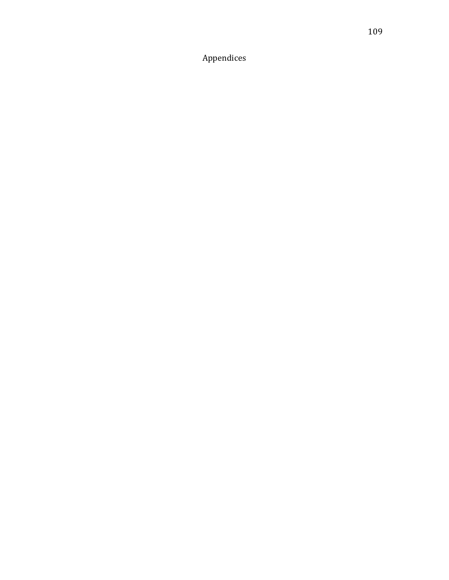Appendices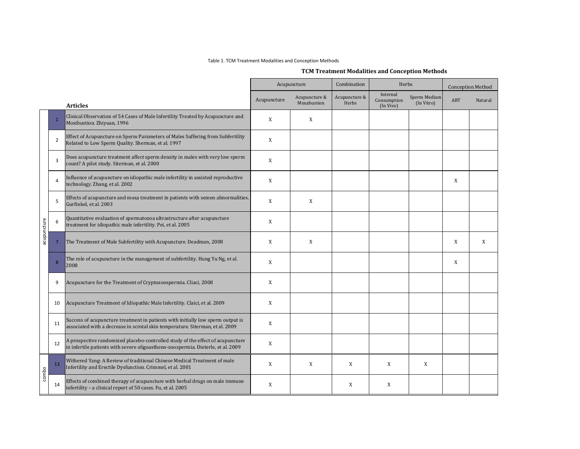### Table 1. TCM Treatment Modalities and Conception Methods

# **TCM,Treatment,Modalities,and,Conception,Methods**

|             |                |                                                                                                                                                                    |             | Acupuncture                  | Combination            | Herbs                                |                            |            | <b>Conception Method</b> |
|-------------|----------------|--------------------------------------------------------------------------------------------------------------------------------------------------------------------|-------------|------------------------------|------------------------|--------------------------------------|----------------------------|------------|--------------------------|
|             |                | <b>Articles</b>                                                                                                                                                    | Acupuncture | Acupuncture &<br>Moxabustion | Acupuncture &<br>Herbs | Internal<br>Consumption<br>(In Vivo) | Sperm Medium<br>(In Vitro) | <b>ART</b> | Natural                  |
|             | $\mathbf{1}$   | Clinical Observation of 54 Cases of Male Infertility Treated by Acupuncture and<br>Moxibustion. Zhiyuan, 1996                                                      | X           | X                            |                        |                                      |                            |            |                          |
|             | $\overline{2}$ | Effect of Acupuncture on Sperm Parameters of Males Suffering from Subfertility<br>Related to Low Sperm Quality. Sherman, et al. 1997                               | X           |                              |                        |                                      |                            |            |                          |
|             | 3              | Does acupuncture treatment affect sperm density in males with very low sperm<br>count? A pilot study. Siterman, et al. 2000                                        | X           |                              |                        |                                      |                            |            |                          |
|             | $\overline{4}$ | Influence of acupuncture on idiopathic male infertility in assisted reproductive<br>technology. Zhang, et al. 2002                                                 | X           |                              |                        |                                      |                            | X          |                          |
|             | 5              | Effects of acupuncture and moxa treatment in patients with semen abnormalities.<br>Gurfinkel, et al. 2003                                                          | X           | X                            |                        |                                      |                            |            |                          |
| acupuncture | 6              | Quantitative evaluation of spermatozoa ultrastructure after acupuncture<br>treatment for idiopathic male infertility. Pei, et al. 2005                             | X           |                              |                        |                                      |                            |            |                          |
|             | $\overline{7}$ | The Treatment of Male Subfertility with Acupuncture. Deadman, 2008                                                                                                 | X           | X                            |                        |                                      |                            | X          | X                        |
|             | 8              | The role of acupuncture in the management of subfertility. Hung Yu Ng, et al.<br>2008                                                                              | X           |                              |                        |                                      |                            | X          |                          |
|             | 9              | Acupuncture for the Treatment of Cryptozoospermia. Cliaci, 2008                                                                                                    | X           |                              |                        |                                      |                            |            |                          |
|             | 10             | Acupuncture Treatment of Idiopathic Male Infertility. Claici, et al. 2009                                                                                          | X           |                              |                        |                                      |                            |            |                          |
|             | 11             | Success of acupuncture treatment in patients with initially low sperm output is<br>associated with a decrease in scrotal skin temperature. Siterman, et al. 2009   | X           |                              |                        |                                      |                            |            |                          |
|             | 12             | A prospective randomized placebo-controlled study of the effect of acupuncture<br>in infertile patients with severe oligoastheno-zoospermia. Dieterle, et al. 2009 | X           |                              |                        |                                      |                            |            |                          |
|             | 13             | Withered Yang: A Review of traditional Chinese Medical Treatment of male<br>Infertility and Erectile Dysfunction. Crimmel, et al. 2001                             | X           | X                            | X                      | X                                    | X                          |            |                          |
| combo       | 14             | Effects of combined therapy of acupuncture with herbal drugs on male immune<br>infertility - a clinical report of 50 cases. Fu, et al. 2005                        | X           |                              | X                      | X                                    |                            |            |                          |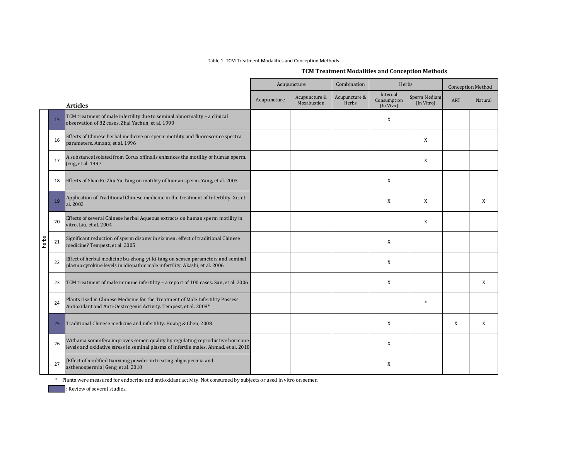### Table 1. TCM Treatment Modalities and Conception Methods

# **TCM,Treatment,Modalities,and,Conception,Methods**

|       |    |                                                                                                                                                                      |             | Acupuncture                  | Combination            | Herbs                                |                            |            | <b>Conception Method</b> |  |
|-------|----|----------------------------------------------------------------------------------------------------------------------------------------------------------------------|-------------|------------------------------|------------------------|--------------------------------------|----------------------------|------------|--------------------------|--|
|       |    | <b>Articles</b>                                                                                                                                                      | Acupuncture | Acupuncture &<br>Moxabustion | Acupuncture &<br>Herbs | Internal<br>Consumption<br>(In Vivo) | Sperm Medium<br>(In Vitro) | <b>ART</b> | Natural                  |  |
|       | 15 | TCM treatment of male infertility due to seminal abnormality - a clinical<br>observation of 82 cases. Zhai Yachun, et al. 1990                                       |             |                              |                        | X                                    |                            |            |                          |  |
|       | 16 | Effects of Chinese herbal medicine on sperm motility and fluorescence spectra<br>parameters. Amano, et al. 1996                                                      |             |                              |                        |                                      | X                          |            |                          |  |
|       | 17 | A substance isolated from Corus offinalis enhances the motility of human sperm.<br>Jeng, et al. 1997                                                                 |             |                              |                        |                                      | X                          |            |                          |  |
|       | 18 | Effects of Shao Fu Zhu Yu Tang on motility of human sperm. Yang, et al. 2003                                                                                         |             |                              |                        | X                                    |                            |            |                          |  |
|       | 19 | Application of Traditional Chinese medicine in the treatment of Infertility. Xu, et<br>al. 2003                                                                      |             |                              |                        | X                                    | X                          |            | X                        |  |
|       | 20 | Effects of several Chinese herbal Aqueous extracts on human sperm motility in<br>vitro. Liu, et al. 2004                                                             |             |                              |                        |                                      | X                          |            |                          |  |
| herbs | 21 | Significant reduction of sperm disomy in six men: effect of traditional Chinese<br>medicine? Tempest, et al. 2005                                                    |             |                              |                        | X                                    |                            |            |                          |  |
|       | 22 | Effect of herbal medicine bu-zhong-yi-ki-tang on semen parameters and seminal<br>plasma cytokine levels in idiopathic male infertility. Akashi, et al. 2006          |             |                              |                        | X                                    |                            |            |                          |  |
|       | 23 | TCM treatment of male immune infertility - a report of 100 cases. Sun, et al. 2006                                                                                   |             |                              |                        | X                                    |                            |            | X                        |  |
|       | 24 | Plants Used in Chinese Medicine for the Treatment of Male Infertility Possess<br>Antioxidant and Anti-Oestrogenic Activity. Tempest, et al. 2008*                    |             |                              |                        |                                      | $\ast$                     |            |                          |  |
|       | 25 | Traditional Chinese medicine and infertility. Huang & Chen, 2008.                                                                                                    |             |                              |                        | X                                    |                            | X          | X                        |  |
|       | 26 | Withania somnifera improves semen quality by regulating reproductive hormone<br>levels and oxidative stress in seminal plasma of infertile males. Ahmad, et al. 2010 |             |                              |                        | X                                    |                            |            |                          |  |
|       | 27 | [Effect of modified tianxiong powder in treating oligospermia and<br>asthenospermial Geng, et al. 2010                                                               |             |                              |                        | X                                    |                            |            |                          |  |

\* Plants were measured for endocrine and antioxidant activity. Not consumed by subjects or used in vitro on semen.

: Review of several studies.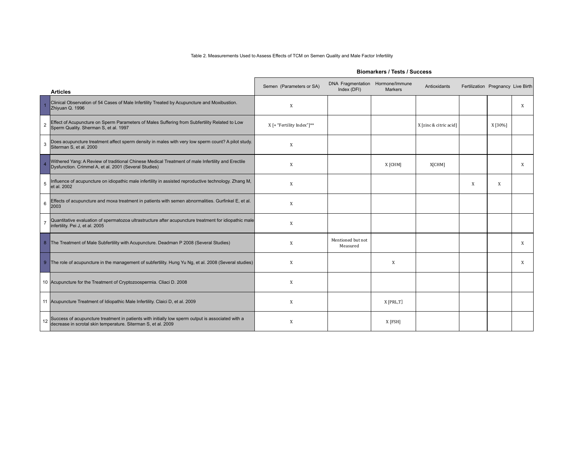### Table 2. Measurements Used to Assess Effects of TCM on Semen Quality and Male Factor Infertility

|                | <b>Articles</b>                                                                                                                                                    | Semen (Parameters or SA)  | <b>DNA Fragmentation</b><br>Index (DFI) | Hormone/Immune<br><b>Markers</b> | Antioxidants           | Fertilization Pregnancy Live Birth |         |   |
|----------------|--------------------------------------------------------------------------------------------------------------------------------------------------------------------|---------------------------|-----------------------------------------|----------------------------------|------------------------|------------------------------------|---------|---|
|                | Clinical Observation of 54 Cases of Male Infertility Treated by Acupuncture and Moxibustion.<br>Zhivuan Q. 1996                                                    | X                         |                                         |                                  |                        |                                    |         | X |
| $\overline{2}$ | Effect of Acupuncture on Sperm Parameters of Males Suffering from Subfertility Related to Low<br>Sperm Quality. Sherman S, et al. 1997                             | X [+ "Fertility Index"]** |                                         |                                  | X [zinc & citric acid] |                                    | X [30%] |   |
| 3              | Does acupuncture treatment affect sperm density in males with very low sperm count? A pilot study.<br>Siterman S, et al. 2000                                      | X                         |                                         |                                  |                        |                                    |         |   |
| $\overline{4}$ | Withered Yang: A Review of traditional Chinese Medical Treatment of male Infertility and Erectile<br>Dysfunction. Crimmel A, et al. 2001 (Several Studies)         | X                         |                                         | X [CHM]                          | X[CHM]                 |                                    |         | X |
| 5              | Influence of acupuncture on idiopathic male infertility in assisted reproductive technology. Zhang M,<br>et al. 2002                                               | X                         |                                         |                                  |                        | X                                  | X       |   |
| 6              | Effects of acupuncture and moxa treatment in patients with semen abnormalities. Gurfinkel E, et al.<br>2003                                                        | X                         |                                         |                                  |                        |                                    |         |   |
| $\overline{7}$ | Quantitative evaluation of spermatozoa ultrastructure after acupuncture treatment for idiopathic male<br>infertility. Pei J, et al. 2005                           | X                         |                                         |                                  |                        |                                    |         |   |
| 8 <sup>°</sup> | The Treatment of Male Subfertility with Acupuncture. Deadman P 2008 (Several Studies)                                                                              | X                         | Mentioned but not<br>Measured           |                                  |                        |                                    |         | X |
|                | 9 The role of acupuncture in the management of subfertility. Hung Yu Ng, et al. 2008 (Several studies)                                                             | X                         |                                         | X                                |                        |                                    |         | X |
|                | 10 Acupuncture for the Treatment of Cryptozoospermia. Cliaci D. 2008                                                                                               | X                         |                                         |                                  |                        |                                    |         |   |
|                | 11 Acupuncture Treatment of Idiopathic Male Infertility. Claici D, et al. 2009                                                                                     | X                         |                                         | X [PRL,T]                        |                        |                                    |         |   |
| 12             | Success of acupuncture treatment in patients with initially low sperm output is associated with a<br>decrease in scrotal skin temperature. Siterman S, et al. 2009 | X                         |                                         | X [FSH]                          |                        |                                    |         |   |

### **Biomarkers / Tests / Success**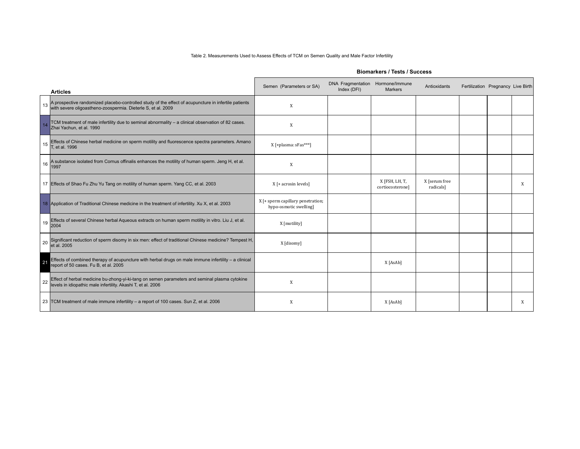### Table 2. Measurements Used to Assess Effects of TCM on Semen Quality and Male Factor Infertility

|    | <b>Articles</b>                                                                                                                                                      | Semen (Parameters or SA)                                    | <b>DNA Fragmentation</b><br>Index (DFI) | Hormone/Immune<br><b>Markers</b>   | Antioxidants               | Fertilization Pregnancy Live Birth |   |
|----|----------------------------------------------------------------------------------------------------------------------------------------------------------------------|-------------------------------------------------------------|-----------------------------------------|------------------------------------|----------------------------|------------------------------------|---|
| 13 | A prospective randomized placebo-controlled study of the effect of acupuncture in infertile patients<br>with severe oligoastheno-zoospermia. Dieterle S, et al. 2009 | X                                                           |                                         |                                    |                            |                                    |   |
| 14 | TCM treatment of male infertility due to seminal abnormality - a clinical observation of 82 cases.<br>Zhai Yachun, et al. 1990                                       | X                                                           |                                         |                                    |                            |                                    |   |
| 15 | Effects of Chinese herbal medicine on sperm motility and fluorescence spectra parameters. Amano<br>T, et al. 1996                                                    | X [+plasma: sFas***]                                        |                                         |                                    |                            |                                    |   |
| 16 | A substance isolated from Cornus offinalis enhances the motility of human sperm. Jeng H, et al.<br>1997                                                              | X                                                           |                                         |                                    |                            |                                    |   |
|    | 17 Effects of Shao Fu Zhu Yu Tang on motility of human sperm. Yang CC, et al. 2003                                                                                   | $X$ [+ acrosin levels]                                      |                                         | X [FSH, LH, T,<br>cortiocosteronel | X [serum free<br>radicals] |                                    | X |
|    | 18 Application of Traditional Chinese medicine in the treatment of infertility. Xu X, et al. 2003                                                                    | X [+ sperm capillary penetration;<br>hypo-osmotic swelling] |                                         |                                    |                            |                                    |   |
| 19 | Effects of several Chinese herbal Aqueous extracts on human sperm motility in vitro. Liu J, et al.<br>2004                                                           | X [motility]                                                |                                         |                                    |                            |                                    |   |
| 20 | Significant reduction of sperm disomy in six men: effect of traditional Chinese medicine? Tempest H, et al. 2005                                                     | X [disomy]                                                  |                                         |                                    |                            |                                    |   |
| 21 | Effects of combined therapy of acupuncture with herbal drugs on male immune infertility - a clinical<br>report of 50 cases. Fu B, et al. 2005                        |                                                             |                                         | X [AsAb]                           |                            |                                    |   |
| 22 | Effect of herbal medicine bu-zhong-yi-ki-tang on semen parameters and seminal plasma cytokine<br>levels in idiopathic male infertility. Akashi T, et al. 2006        | X                                                           |                                         |                                    |                            |                                    |   |
|    | 23 TCM treatment of male immune infertility - a report of 100 cases. Sun Z, et al. 2006                                                                              | X                                                           |                                         | X [AsAb]                           |                            |                                    | X |

### **Biomarkers / Tests / Success**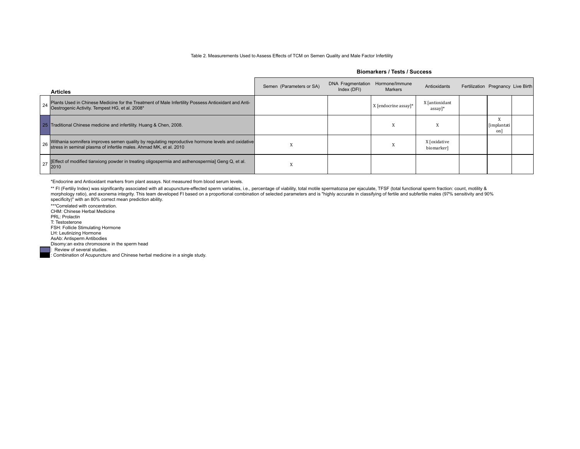#### Table 2. Measurements Used to Assess Effects of TCM on Semen Quality and Male Factor Infertility

**Biomarkers / Tests / Success**

|    | <b>Articles</b>                                                                                                                                                            | Semen (Parameters or SA) | DNA Fragmentation<br>Index (DFI) | Hormone/Immune<br><b>Markers</b> | Antioxidants                           | Fertilization Pregnancy Live Birth |                          |  |
|----|----------------------------------------------------------------------------------------------------------------------------------------------------------------------------|--------------------------|----------------------------------|----------------------------------|----------------------------------------|------------------------------------|--------------------------|--|
| 24 | Plants Used in Chinese Medicine for the Treatment of Male Infertility Possess Antioxidant and Anti-<br>Oestrogenic Activity. Tempest HG, et al. 2008*                      |                          |                                  | X [endocrine assay]*             | X [antioxidant<br>$assay$ <sup>*</sup> |                                    |                          |  |
|    | 25 Traditional Chinese medicine and infertility. Huang & Chen, 2008.                                                                                                       |                          |                                  | $\lambda$                        | л                                      |                                    | <i>[implantati</i><br>on |  |
|    | 26 Withania somnifera improves semen quality by regulating reproductive hormone levels and oxidative<br>stress in seminal plasma of infertile males. Ahmad MK, et al. 2010 |                          |                                  |                                  | X [oxidative<br>biomarker]             |                                    |                          |  |
|    | [Effect of modified tianxiong powder in treating oligospermia and asthenospermia] Geng Q, et al.<br>2010                                                                   | $\Lambda$                |                                  |                                  |                                        |                                    |                          |  |

\*Endocrine and Antioxidant markers from plant assays. Not measured from blood serum levels.

\*\* FI (Fertiliy Index) was significanlty associated with all acupuncture-effected sperm variables, i.e., percentage of viability, total motile spermatozoa per ejaculate, TFSF (total functional sperm fraction: count, motili specificity)" with an 80% correct mean prediction ability.

\*\*\*Correlated with concentration. CHM: Chinese Herbal Medicine PRL: Prolactin T: Testosterone FSH: Follicle Stimulating Hormone LH: Leutinizing Hormone AsAb: Antisperm Antibodies

Disomy:an extra chromosone in the sperm head

Review of several studies.

: Combination of Acupuncture and Chinese herbal medicine in a single study.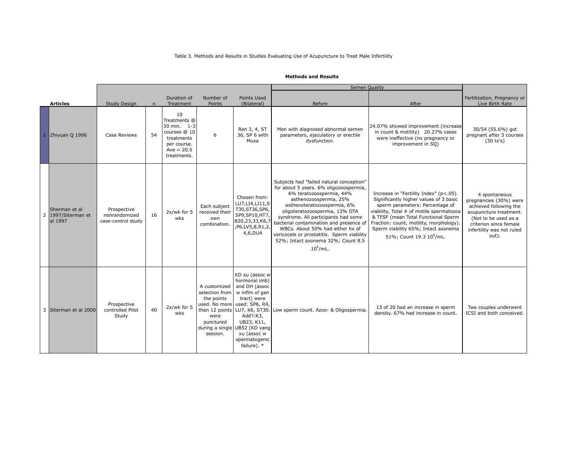### Table 3. Methods and Results in Studies Evaluating Use of Acupuncture to Treat Male Infertility

|                |                                              |                                                    |    |                                                                                                               |                                                                               |                                                                                                                                                                                                                              | <b>Semen Quality</b>                                                                                                                                                                                                                                                                                                                                                                                                               |                                                                                                                                                                                                                                                                                                                                  |                                                                                                                                                                                     |
|----------------|----------------------------------------------|----------------------------------------------------|----|---------------------------------------------------------------------------------------------------------------|-------------------------------------------------------------------------------|------------------------------------------------------------------------------------------------------------------------------------------------------------------------------------------------------------------------------|------------------------------------------------------------------------------------------------------------------------------------------------------------------------------------------------------------------------------------------------------------------------------------------------------------------------------------------------------------------------------------------------------------------------------------|----------------------------------------------------------------------------------------------------------------------------------------------------------------------------------------------------------------------------------------------------------------------------------------------------------------------------------|-------------------------------------------------------------------------------------------------------------------------------------------------------------------------------------|
|                | <b>Articles</b>                              | Study Design                                       | n  | Duration of<br>Treatment                                                                                      | Number of<br>Points                                                           | Points Used<br>(Bilateral)                                                                                                                                                                                                   | Before                                                                                                                                                                                                                                                                                                                                                                                                                             | After                                                                                                                                                                                                                                                                                                                            | Fertilization, Pregnancy or<br>Live Birth Rate                                                                                                                                      |
|                | Zhiyuan Q 1996                               | Case Reviews                                       | 54 | 10<br>Treatments @<br>30 min. 1-3<br>courses @ 10<br>treatments<br>per course.<br>$Ave = 20.5$<br>treatments. | 6                                                                             | Ren 3, 4, ST<br>36, SP 6 with<br>Moxa                                                                                                                                                                                        | Men with diagnosed abnormal semen<br>parameters, ejaculatory or erectile<br>dysfunction.                                                                                                                                                                                                                                                                                                                                           | 24.07% showed improvement (increase<br>in count & motility) 20.27% cases<br>were ineffective (no pregnancy or<br>improvement in SQ)                                                                                                                                                                                              | 30/54 (55.6%) got<br>pregnant after 3 courses<br>(30 tx's)                                                                                                                          |
| $\overline{2}$ | Sherman et al<br>1997/Siterman et<br>al 1997 | Prospective<br>nonrandomized<br>case-control study | 16 | 2x/wk for 5<br>wks                                                                                            | Each subject<br>received their<br>own<br>combination.                         | Chosen from:<br>LU7, LI4, LI11, S<br>T30, ST36, SP6,<br>SP9, SP10, HT7,<br>B20,23,33,K6,7<br>,P6,LV5,8,R1,2,<br>4,6,DU4                                                                                                      | Subjects had "failed natural conception"<br>for about 5 years. 6% oligozoospermia,<br>6% teratozoospermia, 44%<br>asthenozoospermia, 25%<br>asthenoteratozoospermia, 6%<br>oligoteratozoospermia, 13% OTA<br>syndrome. All participants had some<br>bacterial contamination and presence of<br>WBCs. About 50% had either hx of<br>vericocele or prostatitis. Sperm viability<br>52%; Intact axonema 32%; Count 8.5<br>$10^6$ /mL. | Increase in "Fertility Index" (p<.05).<br>Significantly higher values of 3 basic<br>sperm perameters: Percentage of<br>viability, Total # of motile spermatozoa<br>& TFSF (mean Total Functional Sperm<br>Fraction: count, motility, morphology).<br>Sperm viability 65%; Intact axonema<br>51%; Count 19.3 10 <sup>6</sup> /mL. | 4 spontaneous<br>pregnancies (30%) were<br>achieved following the<br>acupuncture treatment.<br>(Not to be used as a<br>criterion since female<br>infertility was not ruled<br>out). |
|                | 3 Siterman et al 2000                        | Prospective<br>controlled Pilot<br>Study           | 40 | 2x/wk for 5<br>wks                                                                                            | A customized<br>selection from<br>the points<br>were<br>punctured<br>session. | KD xu (assoc w<br>hormonal imb)<br>and DH (assoc<br>w inflm of gen<br>tract) were<br>used. No more used: SP6, R4,<br>Add'l:K3,<br>UB23, K11,<br>during a single UB52 (KD yang<br>xu (assoc w<br>spermatogenic<br>failure). * | than 12 points   LU7, K6, ST30. Low sperm count. Azoo- & Oligospermia.                                                                                                                                                                                                                                                                                                                                                             | 13 of 20 had an increase in sperm<br>density. 67% had increase in count.                                                                                                                                                                                                                                                         | Two couples underwent<br>ICSI and both conceived.                                                                                                                                   |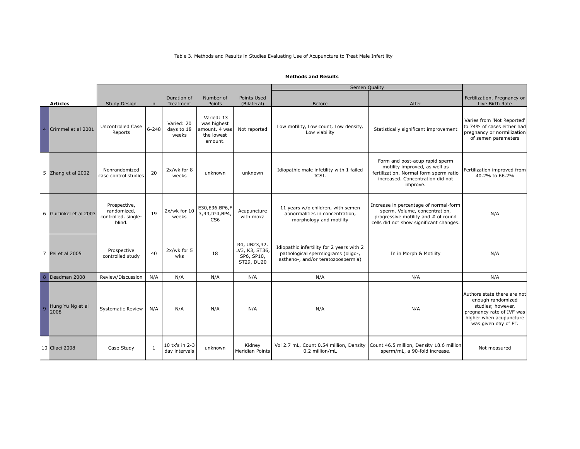## Table 3. Methods and Results in Studies Evaluating Use of Acupuncture to Treat Male Infertility

|   |                          |                                                              |              |                                   |                                                                     |                                                            | Semen Quality                                                                                                         |                                                                                                                                                           |                                                                                                                                                       |
|---|--------------------------|--------------------------------------------------------------|--------------|-----------------------------------|---------------------------------------------------------------------|------------------------------------------------------------|-----------------------------------------------------------------------------------------------------------------------|-----------------------------------------------------------------------------------------------------------------------------------------------------------|-------------------------------------------------------------------------------------------------------------------------------------------------------|
|   | <b>Articles</b>          | <b>Study Design</b>                                          | $\mathsf{n}$ | Duration of<br>Treatment          | Number of<br>Points                                                 | Points Used<br>(Bilateral)                                 | <b>Before</b>                                                                                                         | After                                                                                                                                                     | Fertilization, Pregnancy or<br>Live Birth Rate                                                                                                        |
|   | Crimmel et al 2001       | <b>Uncontrolled Case</b><br>Reports                          | $6 - 248$    | Varied: 20<br>days to 18<br>weeks | Varied: 13<br>was highest<br>amount. 4 was<br>the lowest<br>amount. | Not reported                                               | Low motility, Low count, Low density,<br>Low viability                                                                | Statistically significant improvement                                                                                                                     | Varies from 'Not Reported'<br>to 74% of cases either had<br>pregnancy or normilization<br>of semen parameters                                         |
|   | 5 Zhang et al 2002       | Nonrandomized<br>case control studies                        | 20           | 2x/wk for 8<br>weeks              | unknown                                                             | unknown                                                    | Idiopathic male infetility with 1 failed<br>ICSI.                                                                     | Form and post-acup rapid sperm<br>motility improved, as well as<br>fertilization. Normal form sperm ratio<br>increased. Concentration did not<br>improve. | Fertilization improved from<br>40.2% to 66.2%                                                                                                         |
|   | 6 Gurfinkel et al 2003   | Prospective,<br>randomized,<br>controlled, single-<br>blind. | 19           | $2x/wk$ for $10$<br>weeks         | E30,E36,BP6,F<br>3, R3, IG4, BP4,<br>CS <sub>6</sub>                | Acupuncture<br>with moxa                                   | 11 years w/o children, with semen<br>abnormalities in concentration,<br>morphology and motility                       | Increase in percentage of normal-form<br>sperm. Volume, concentration,<br>progressive motility and # of round<br>cells did not show significant changes.  | N/A                                                                                                                                                   |
|   | 7 Pei et al 2005         | Prospective<br>controlled study                              | 40           | 2x/wk for 5<br>wks                | 18                                                                  | R4, UB23,32,<br>LV3, K3, ST36,<br>SP6, SP10,<br>ST29, DU20 | Idiopathic infertility for 2 years with 2<br>pathological spermiograms (oligo-,<br>astheno-, and/or teratozoospermia) | In in Morph & Motility                                                                                                                                    | N/A                                                                                                                                                   |
| 8 | Deadman 2008             | Review/Discussion                                            | N/A          | N/A                               | N/A                                                                 | N/A                                                        | N/A                                                                                                                   | N/A                                                                                                                                                       | N/A                                                                                                                                                   |
| g | Hung Yu Ng et al<br>2008 | <b>Systematic Review</b>                                     | N/A          | N/A                               | N/A                                                                 | N/A                                                        | N/A                                                                                                                   | N/A                                                                                                                                                       | Authors state there are not<br>enough randomized<br>studies; however,<br>pregnancy rate of IVF was<br>higher when acupuncture<br>was given day of ET. |
|   | 10 Cliaci 2008           | Case Study                                                   | $\mathbf{1}$ | 10 tx's in 2-3<br>day intervals   | unknown                                                             | Kidney<br>Meridian Points                                  | Vol 2.7 mL, Count 0.54 million, Density Count 46.5 million, Density 18.6 million<br>0.2 million/mL                    | sperm/mL, a 90-fold increase.                                                                                                                             | Not measured                                                                                                                                          |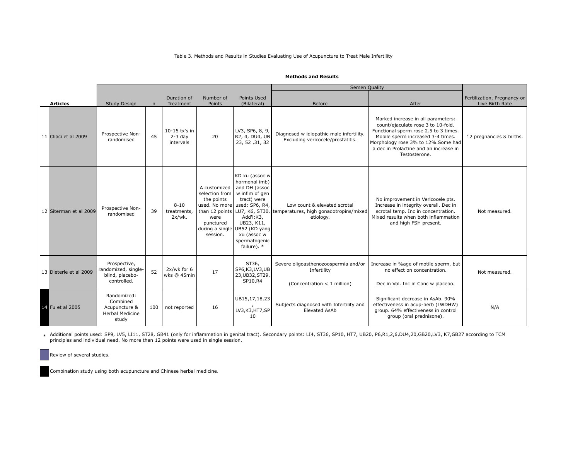### Table 3. Methods and Results in Studies Evaluating Use of Acupuncture to Treat Male Infertility

#### **Methods and Results**

|                         |                                                                             |              |                                           |                                                                               |                                                                                                                                                                                                                              | Semen Quality                                                                                                       |                                                                                                                                                                                                                                                          |                                                |
|-------------------------|-----------------------------------------------------------------------------|--------------|-------------------------------------------|-------------------------------------------------------------------------------|------------------------------------------------------------------------------------------------------------------------------------------------------------------------------------------------------------------------------|---------------------------------------------------------------------------------------------------------------------|----------------------------------------------------------------------------------------------------------------------------------------------------------------------------------------------------------------------------------------------------------|------------------------------------------------|
| <b>Articles</b>         | Study Design                                                                | $\mathsf{n}$ | Duration of<br>Treatment                  | Number of<br>Points                                                           | Points Used<br>(Bilateral)                                                                                                                                                                                                   | Before                                                                                                              | After                                                                                                                                                                                                                                                    | Fertilization, Pregnancy or<br>Live Birth Rate |
| 11 Cliaci et al 2009    | Prospective Non-<br>randomised                                              | 45           | $10-15$ tx's in<br>$2-3$ day<br>intervals | 20                                                                            | LV3, SP6, 8, 9,<br>R2, 4, DU4, UB<br>23, 52, 31, 32                                                                                                                                                                          | Diagnosed w idiopathic male infertility.<br>Excluding vericocele/prostatitis.                                       | Marked increase in all parameters:<br>count/ejaculate rose 3 to 10-fold.<br>Functional sperm rose 2.5 to 3 times.<br>Mobile sperm increased 3-4 times.<br>Morphology rose 3% to 12%. Some had<br>a dec in Prolactine and an increase in<br>Testosterone. | 12 pregnancies & births.                       |
| 12 Siterman et al 2009  | Prospective Non-<br>randomised                                              | 39           | $8 - 10$<br>treatments,<br>$2x/wk$ .      | A customized<br>selection from<br>the points<br>were<br>punctured<br>session. | KD xu (assoc w<br>hormonal imb)<br>and DH (assoc<br>w inflm of gen<br>tract) were<br>used. No more used: SP6, R4,<br>Add'l:K3,<br>UB23, K11,<br>during a single UB52 (KD yang<br>xu (assoc w<br>spermatogenic<br>failure). * | Low count & elevated scrotal<br>than 12 points   LU7, K6, ST30. temperatures, high gonadotropins/mixed<br>etiology. | No improvement in Vericocele pts.<br>Increase in integrity overall. Dec in<br>scrotal temp. Inc in concentration.<br>Mixed results when both inflammation<br>and high FSH present.                                                                       | Not measured.                                  |
| 13 Dieterle et al 2009  | Prospective,<br>randomized, single-<br>blind, placebo-<br>controlled.       | 52           | 2x/wk for 6<br>wks @ 45min                | 17                                                                            | ST36,<br>SP6, K3, LV3, UB<br>23, UB32, ST29,<br>SP10,R4                                                                                                                                                                      | Severe oligoasthenozoospermia and/or<br>Infertility<br>(Concentration < 1 million)                                  | Increase in %age of motile sperm, but<br>no effect on concentration.<br>Dec in Vol. Inc in Conc w placebo.                                                                                                                                               | Not measured.                                  |
| <b>14</b> Fu et al 2005 | Randomized:<br>Combined<br>Acupuncture &<br><b>Herbal Medicine</b><br>study | 100          | not reported                              | 16                                                                            | UB15,17,18,23<br>LV3, K3, HT7, SP<br>10                                                                                                                                                                                      | Subjects diagnosed with Infertility and<br><b>Elevated AsAb</b>                                                     | Significant decrease in AsAb. 90%<br>effectiveness in acup-herb (LWDHW)<br>group. 64% effectiveness in control<br>group (oral prednisone).                                                                                                               | N/A                                            |

\* Additional points used: SP9, LV5, LI11, ST28, GB41 (only for inflammation in genital tract). Secondary points: LI4, ST36, SP10, HT7, UB20, P6,R1,2,6,DU4,20,GB20,LV3, K7,GB27 according to TCM principles and individual need. No more than 12 points were used in single session.

Review of several studies.

Combination study using both acupuncture and Chinese herbal medicine.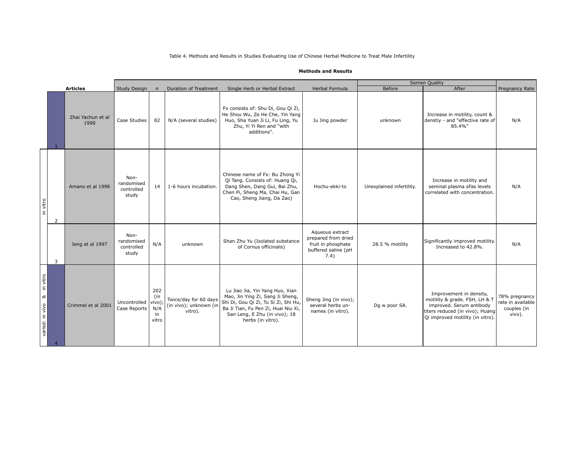|                                  |   |                           |                                           |                                            |                                                            |                                                                                                                                                                                                          |                                                                                             |                          | Semen Quality                                                                                                                                               |                                                             |
|----------------------------------|---|---------------------------|-------------------------------------------|--------------------------------------------|------------------------------------------------------------|----------------------------------------------------------------------------------------------------------------------------------------------------------------------------------------------------------|---------------------------------------------------------------------------------------------|--------------------------|-------------------------------------------------------------------------------------------------------------------------------------------------------------|-------------------------------------------------------------|
|                                  |   | <b>Articles</b>           | <b>Study Design</b>                       | n                                          | <b>Duration of Treatment</b>                               | Single Herb or Herbal Extract                                                                                                                                                                            | Herbal Formula                                                                              | Before                   | After                                                                                                                                                       | Pregnancy Rate                                              |
|                                  |   | Zhai Yachun et al<br>1990 | Case Studies                              | 82                                         | N/A (several studies)                                      | Fx consists of: Shu Di, Gou Qi Zi,<br>He Shou Wu, Ze He Che, Yin Yang<br>Huo, Sha Yuan Ji Li, Fu Ling, Yu<br>Zhu, Yi Yi Ren and "with<br>additions".                                                     | Ju Jing powder                                                                              | unknown                  | Increase in motility, count &<br>denstiy - and "effective rate of<br>85.4%"                                                                                 | N/A                                                         |
| in vitro                         | 2 | Amano et al 1996          | Non-<br>randomised<br>controlled<br>study | 14                                         | 1-6 hours incubation.                                      | Chinese name of Fx: Bu Zhong Yi<br>Qi Tang. Consists of: Huang Qi,<br>Dang Shen, Dang Gui, Bai Zhu,<br>Chen Pi, Sheng Ma, Chai Hu, Gan<br>Cao, Sheng Jiang, Da Zao)                                      | Hochu-ekki-to                                                                               | Unexplained infertility. | Increase in motility and<br>seminal plasma sFas levels<br>correlated with concentration.                                                                    | N/A                                                         |
|                                  | 3 | Jeng et al 1997           | Non-<br>randomised<br>controlled<br>study | N/A                                        | unknown                                                    | Shan Zhu Yu (Isolated substance<br>of Cornus officinalis)                                                                                                                                                | Aqueous extract<br>prepared from dried<br>fruit in phosphate<br>buffered saline (pH<br>7.4) | 28.5 % motility          | Significantly improved motility.<br>Increased to 42.8%.                                                                                                     | N/A                                                         |
| in vitro<br>ಹ<br>varied: in vivo |   | Crimmel et al 2001        | Uncontrolled<br>Case Reports              | 202<br>(in<br>vivo);<br>N/A<br>in<br>vitro | Twice/day for 60 days<br>(in vivo); unknown (in<br>vitro). | Lu Jiao Jia, Yin Yang Huo, Xian<br>Mao, Jin Ying Zi, Sang Ji Sheng,<br>Shi Di, Gou Qi Zi, Tu Si Zi, Shi Hu,<br>Ba Ji Tian, Fu Pen Zi, Huai Niu Xi,<br>San Leng, E Zhu (in vivo); 18<br>herbs (in vitro). | Sheng Jing (in vivo);<br>several herbs un-<br>names (in vitro).                             | Dg w poor SA.            | Improvement in density,<br>motility & grade. FSH, LH & T<br>improved. Serum antibody<br>titers reduced (in vivo); Huang<br>Qi improved motility (in vitro). | 78% pregnancy<br>rate in available<br>couples (in<br>vivo). |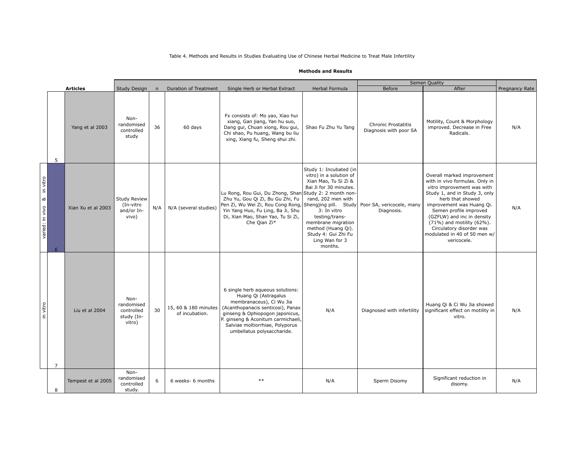|                            |                |                    |                                                          |     |                                        |                                                                                                                                                                                                                                                                             |                                                                                                                                                                                                                                                            | Semen Quality                                        |                                                                                                                                                                                                                                                                                                                                              |                |
|----------------------------|----------------|--------------------|----------------------------------------------------------|-----|----------------------------------------|-----------------------------------------------------------------------------------------------------------------------------------------------------------------------------------------------------------------------------------------------------------------------------|------------------------------------------------------------------------------------------------------------------------------------------------------------------------------------------------------------------------------------------------------------|------------------------------------------------------|----------------------------------------------------------------------------------------------------------------------------------------------------------------------------------------------------------------------------------------------------------------------------------------------------------------------------------------------|----------------|
|                            |                | <b>Articles</b>    | Study Design                                             | n   | <b>Duration of Treatment</b>           | Single Herb or Herbal Extract                                                                                                                                                                                                                                               | Herbal Formula                                                                                                                                                                                                                                             | <b>Before</b>                                        | After                                                                                                                                                                                                                                                                                                                                        | Pregnancy Rate |
|                            | 5              | Yang et al 2003    | Non-<br>randomised<br>controlled<br>study                | 36  | 60 days                                | Fx consists of: Mo yao, Xiao hui<br>xiang, Gan jiang, Yan hu suo,<br>Dang gui, Chuan xiong, Rou gui,<br>Chi shao, Pu huang, Wang bu liu<br>xing, Xiang fu, Sheng shui zhi.                                                                                                  | Shao Fu Zhu Yu Tang                                                                                                                                                                                                                                        | <b>Chronic Prostatitis</b><br>Diagnosis with poor SA | Motility, Count & Morphology<br>improved. Decrease in Free<br>Radicals.                                                                                                                                                                                                                                                                      | N/A            |
| varied: in vivo & in vitro | 6              | Xian Xu et al 2003 | <b>Study Review</b><br>(In-vitro<br>and/or In-<br>vivo)  | N/A | N/A (several studies)                  | Lu Rong, Rou Gui, Du Zhong, Shan Study 2: 2 month non-<br>Zhu Yu, Gou Qi Zi, Bu Gu Zhi, Fu<br>Pen Zi, Wu Wei Zi, Rou Cong Rong, Shengjing pill. Study   Poor SA, vericocele, many<br>Yin Yang Huo, Fu Ling, Ba Ji, Shu<br>Di, Xian Mao, Shan Yao, Tu Si Zi,<br>Che Qian Zi* | Study 1: Incubated (in<br>vitro) in a solution of<br>Xian Mao, Tu Si Zi &<br>Bai Ji for 30 minutes.<br>rand, 202 men with<br>3: In vitro<br>testing/trans-<br>membrane migration<br>method (Huang Qi).<br>Study 4: Gui Zhi Fu<br>Ling Wan for 3<br>months. | Diagnosis.                                           | Overall marked improvement<br>with in vivo formulas. Only in<br>vitro improvement was with<br>Study 1, and in Study 3, only<br>herb that showed<br>improvement was Huang Qi.<br>Semen profile improved<br>(GZFLW) and inc in density<br>(71%) and motility (62%).<br>Circulatory disorder was<br>modulated in 40 of 50 men w/<br>vericocele. | N/A            |
| in vitro                   | $\overline{7}$ | Liu et al 2004     | Non-<br>randomised<br>controlled<br>study (In-<br>vitro) | 30  | 15, 60 & 180 minutes<br>of incubation. | 6 single herb aqueous solutions:<br>Huang Qi (Astragalus<br>membranaceus), Ci Wu Jia<br>(Acanthopanacis senticosi), Panax<br>ginseng & Ophiopogon japonicus,<br>P. ginseng & Aconitum carmichaeli,<br>Salviae moltiorrhiae, Polyporus<br>umbellatus polysaccharide.         | N/A                                                                                                                                                                                                                                                        | Diagnosed with infertility                           | Huang Qi & Ci Wu Jia showed<br>significant effect on motility in<br>vitro.                                                                                                                                                                                                                                                                   | N/A            |
|                            | 8              | Tempest et al 2005 | Non-<br>randomised<br>controlled<br>study.               | 6   | 6 weeks- 6 months                      | $**$                                                                                                                                                                                                                                                                        | N/A                                                                                                                                                                                                                                                        | Sperm Disomy                                         | Significant reduction in<br>disomy.                                                                                                                                                                                                                                                                                                          | N/A            |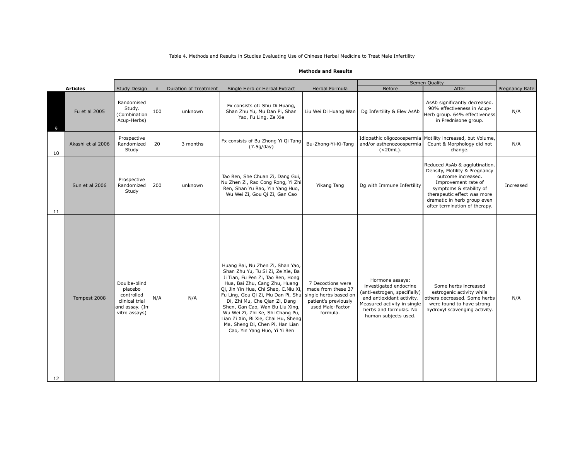|    |                   |                                                                                            |              |                              |                                                                                                                                                                                                                                                                                                                                                                                                                                             |                                                                                                                          |                                                                                                                                                                                         | Semen Quality                                                                                                                                                                                                                         |                |
|----|-------------------|--------------------------------------------------------------------------------------------|--------------|------------------------------|---------------------------------------------------------------------------------------------------------------------------------------------------------------------------------------------------------------------------------------------------------------------------------------------------------------------------------------------------------------------------------------------------------------------------------------------|--------------------------------------------------------------------------------------------------------------------------|-----------------------------------------------------------------------------------------------------------------------------------------------------------------------------------------|---------------------------------------------------------------------------------------------------------------------------------------------------------------------------------------------------------------------------------------|----------------|
|    | <b>Articles</b>   | Study Design                                                                               | $\mathsf{n}$ | <b>Duration of Treatment</b> | Single Herb or Herbal Extract                                                                                                                                                                                                                                                                                                                                                                                                               | Herbal Formula                                                                                                           | <b>Before</b>                                                                                                                                                                           | After                                                                                                                                                                                                                                 | Pregnancy Rate |
| 9  | Fu et al 2005     | Randomised<br>Study.<br>(Combination<br>Acup-Herbs)                                        | 100          | unknown                      | Fx consists of: Shu Di Huang,<br>Shan Zhu Yu, Mu Dan Pi, Shan<br>Yao, Fu Ling, Ze Xie                                                                                                                                                                                                                                                                                                                                                       | Liu Wei Di Huang Wan                                                                                                     | Dq Infertility & Elev AsAb                                                                                                                                                              | AsAb significantly decreased.<br>90% effectiveness in Acup-<br>Herb group. 64% effectiveness<br>in Prednisone group.                                                                                                                  | N/A            |
| 10 | Akashi et al 2006 | Prospective<br>Randomized<br>Study                                                         | 20           | 3 months                     | Fx consists of Bu Zhong Yi Qi Tang<br>(7.5g/day)                                                                                                                                                                                                                                                                                                                                                                                            | Bu-Zhong-Yi-Ki-Tang                                                                                                      | and/or asthenozoospermia<br>$(<20mL$ ).                                                                                                                                                 | Idiopathic oligozoospermia Motility increased, but Volume,<br>Count & Morphology did not<br>change.                                                                                                                                   | N/A            |
| 11 | Sun et al 2006    | Prospective<br>Randomized<br>Study                                                         | 200          | unknown                      | Tao Ren, She Chuan Zi, Dang Gui,<br>Nu Zhen Zi, Rao Cong Rong, Yi Zhi<br>Ren, Shan Yu Rao, Yin Yang Huo,<br>Wu Wei Zi, Gou Qi Zi, Gan Cao                                                                                                                                                                                                                                                                                                   | Yikang Tang                                                                                                              | Dq with Immune Infertility                                                                                                                                                              | Reduced AsAb & agglutination.<br>Density, Motility & Pregnancy<br>outcome increased.<br>Improvement rate of<br>symptoms & stability of<br>therapeutic effect was more<br>dramatic in herb group even<br>after termination of therapy. | Increased      |
| 12 | Tempest 2008      | Doulbe-blind<br>placebo<br>controlled<br>clinical trial<br>and assay. (In<br>vitro assays) | N/A          | N/A                          | Huang Bai, Nu Zhen Zi, Shan Yao,<br>Shan Zhu Yu, Tu Si Zi, Ze Xie, Ba<br>Ji Tian, Fu Pen Zi, Tao Ren, Hong<br>Hua, Bai Zhu, Cang Zhu, Huang<br>Qi, Jin Yin Hua, Chi Shao, C.Niu Xi,<br>Fu Ling, Gou Qi Zi, Mu Dan Pi, Shu<br>Di, Zhi Mu, Che Qian Zi, Dang<br>Shen, Gan Cao, Wan Bu Liu Xing,<br>Wu Wei Zi, Zhi Ke, Shi Chang Pu,<br>Lian Zi Xin, Bi Xie, Chai Hu, Sheng<br>Ma, Sheng Di, Chen Pi, Han Lian<br>Cao, Yin Yang Huo, Yi Yi Ren | 7 Decoctions were<br>made from these 37<br>single herbs based on<br>patient's previously<br>used Male-Factor<br>formula. | Hormone assays:<br>investigated endocrine<br>(anti-estrogen, specifially)<br>and antioxidant activity.<br>Measured activity in single<br>herbs and formulas. No<br>human subjects used. | Some herbs increased<br>estrogenic activity while<br>others decreased. Some herbs<br>were found to have strong<br>hydroxyl scavenging activity.                                                                                       | N/A            |